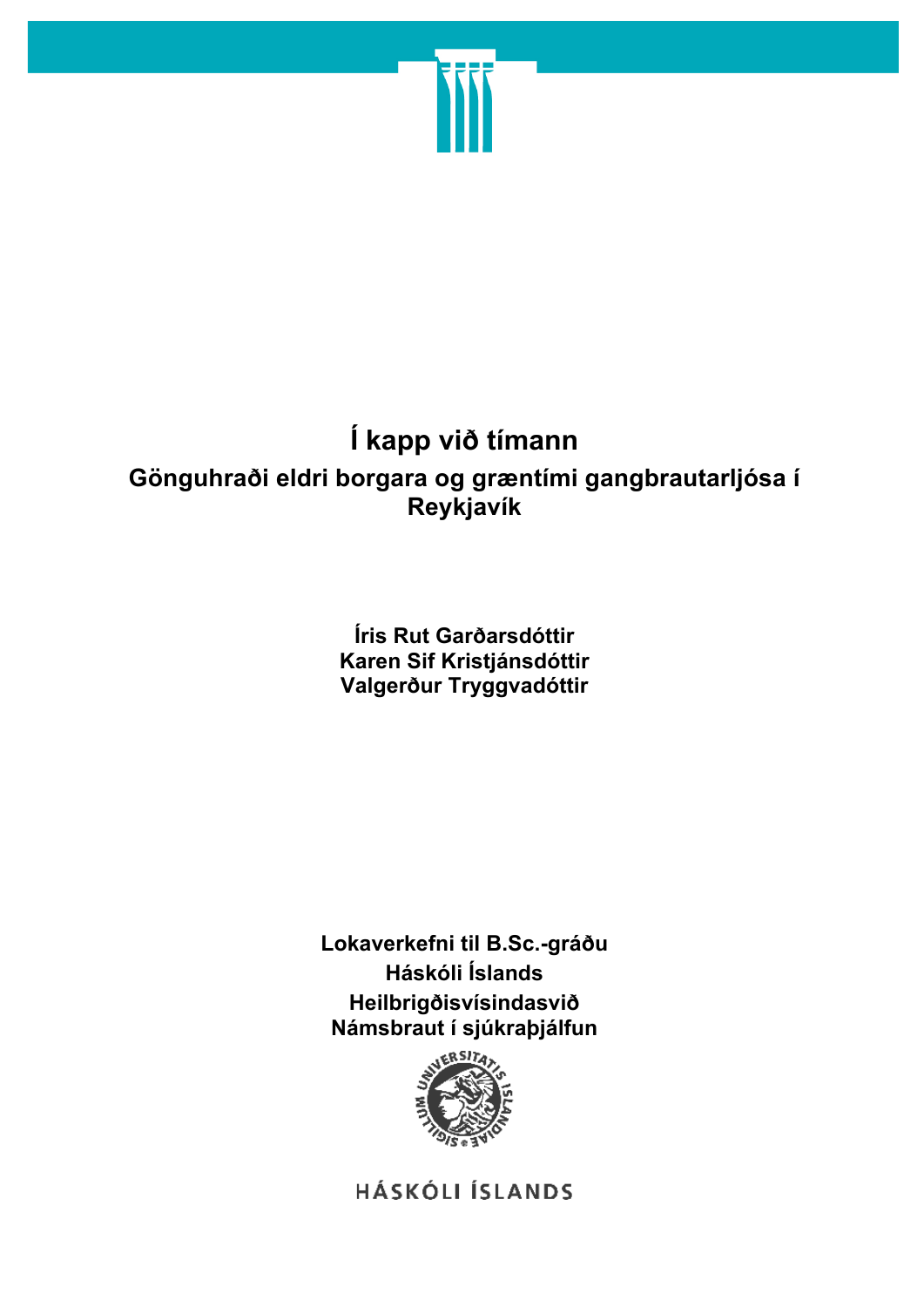

# **Í kapp við tímann**

# **Gönguhraði eldri borgara og græntími gangbrautarljósa í Reykjavík**

## **Íris Rut Garðarsdóttir Karen Sif Kristjánsdóttir Valgerður Tryggvadóttir**

**Lokaverkefni til B.Sc.-gráðu Háskóli Íslands Heilbrigðisvísindasvið Námsbraut í sjúkraþjálfun**



**HÁSKÓLI ÍSLANDS**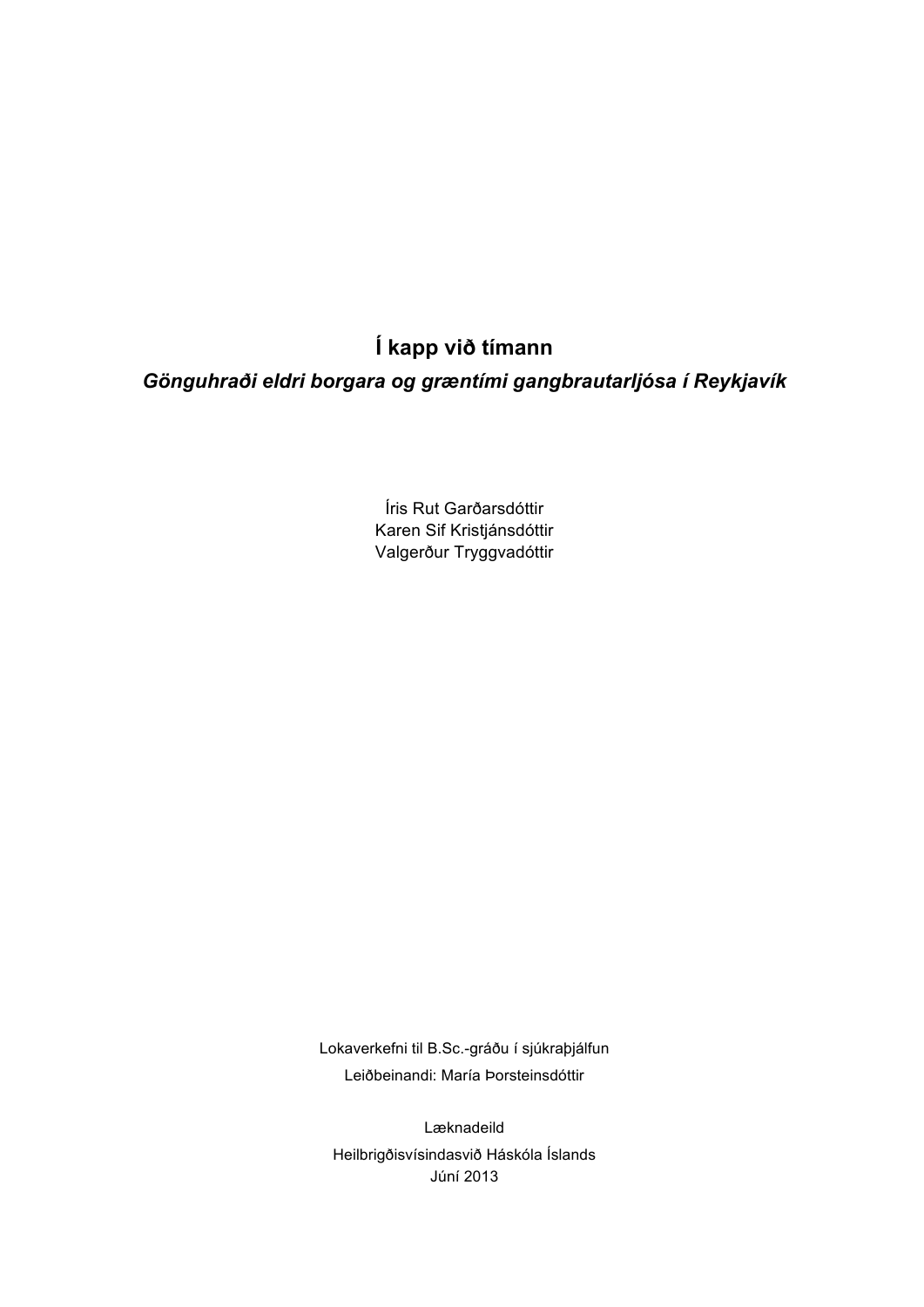**Í kapp við tímann**

*Gönguhraði eldri borgara og græntími gangbrautarljósa í Reykjavík*

Íris Rut Garðarsdóttir Karen Sif Kristjánsdóttir Valgerður Tryggvadóttir

Lokaverkefni til B.Sc.-gráðu í sjúkraþjálfun Leiðbeinandi: María Þorsteinsdóttir

Læknadeild Heilbrigðisvísindasvið Háskóla Íslands Júní 2013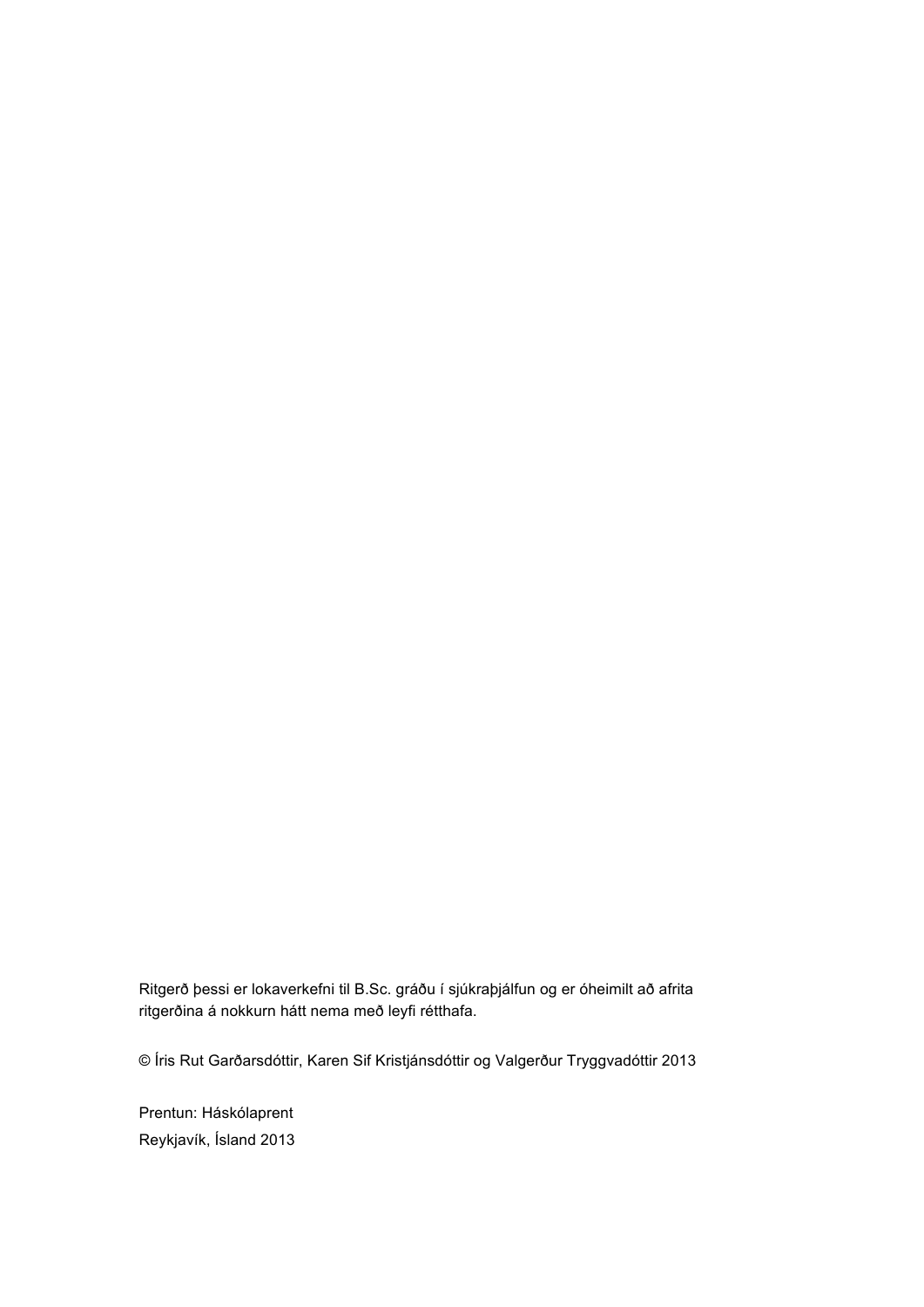Ritgerð þessi er lokaverkefni til B.Sc. gráðu í sjúkraþjálfun og er óheimilt að afrita ritgerðina á nokkurn hátt nema með leyfi rétthafa.

© Íris Rut Garðarsdóttir, Karen Sif Kristjánsdóttir og Valgerður Tryggvadóttir 2013

Prentun: Háskólaprent Reykjavík, Ísland 2013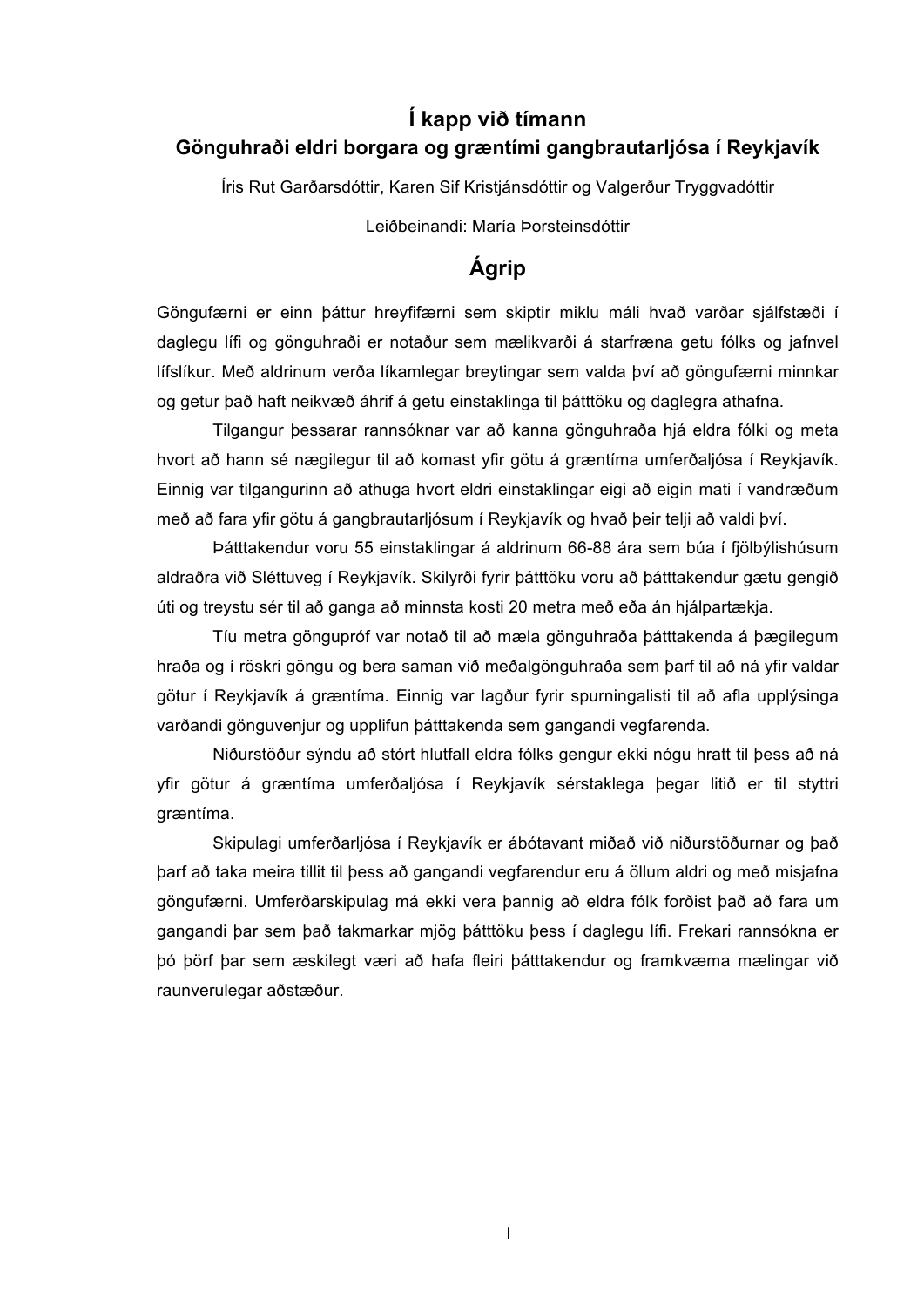## **Í kapp við tímann Gönguhraði eldri borgara og græntími gangbrautarljósa í Reykjavík**

Íris Rut Garðarsdóttir, Karen Sif Kristjánsdóttir og Valgerður Tryggvadóttir

Leiðbeinandi: María Þorsteinsdóttir

## **Ágrip**

Göngufærni er einn þáttur hreyfifærni sem skiptir miklu máli hvað varðar sjálfstæði í daglegu lífi og gönguhraði er notaður sem mælikvarði á starfræna getu fólks og jafnvel lífslíkur. Með aldrinum verða líkamlegar breytingar sem valda því að göngufærni minnkar og getur það haft neikvæð áhrif á getu einstaklinga til þátttöku og daglegra athafna.

Tilgangur þessarar rannsóknar var að kanna gönguhraða hjá eldra fólki og meta hvort að hann sé nægilegur til að komast yfir götu á græntíma umferðaljósa í Reykjavík. Einnig var tilgangurinn að athuga hvort eldri einstaklingar eigi að eigin mati í vandræðum með að fara yfir götu á gangbrautarljósum í Reykjavík og hvað þeir telji að valdi því.

Þátttakendur voru 55 einstaklingar á aldrinum 66-88 ára sem búa í fjölbýlishúsum aldraðra við Sléttuveg í Reykjavík. Skilyrði fyrir þátttöku voru að þátttakendur gætu gengið úti og treystu sér til að ganga að minnsta kosti 20 metra með eða án hjálpartækja.

Tíu metra göngupróf var notað til að mæla gönguhraða þátttakenda á þægilegum hraða og í röskri göngu og bera saman við meðalgönguhraða sem þarf til að ná yfir valdar götur í Reykjavík á græntíma. Einnig var lagður fyrir spurningalisti til að afla upplýsinga varðandi gönguvenjur og upplifun þátttakenda sem gangandi vegfarenda.

Niðurstöður sýndu að stórt hlutfall eldra fólks gengur ekki nógu hratt til þess að ná yfir götur á græntíma umferðaljósa í Reykjavík sérstaklega þegar litið er til styttri græntíma.

Skipulagi umferðarljósa í Reykjavík er ábótavant miðað við niðurstöðurnar og það þarf að taka meira tillit til þess að gangandi vegfarendur eru á öllum aldri og með misjafna göngufærni. Umferðarskipulag má ekki vera þannig að eldra fólk forðist það að fara um gangandi þar sem það takmarkar mjög þátttöku þess í daglegu lífi. Frekari rannsókna er þó þörf þar sem æskilegt væri að hafa fleiri þátttakendur og framkvæma mælingar við raunverulegar aðstæður.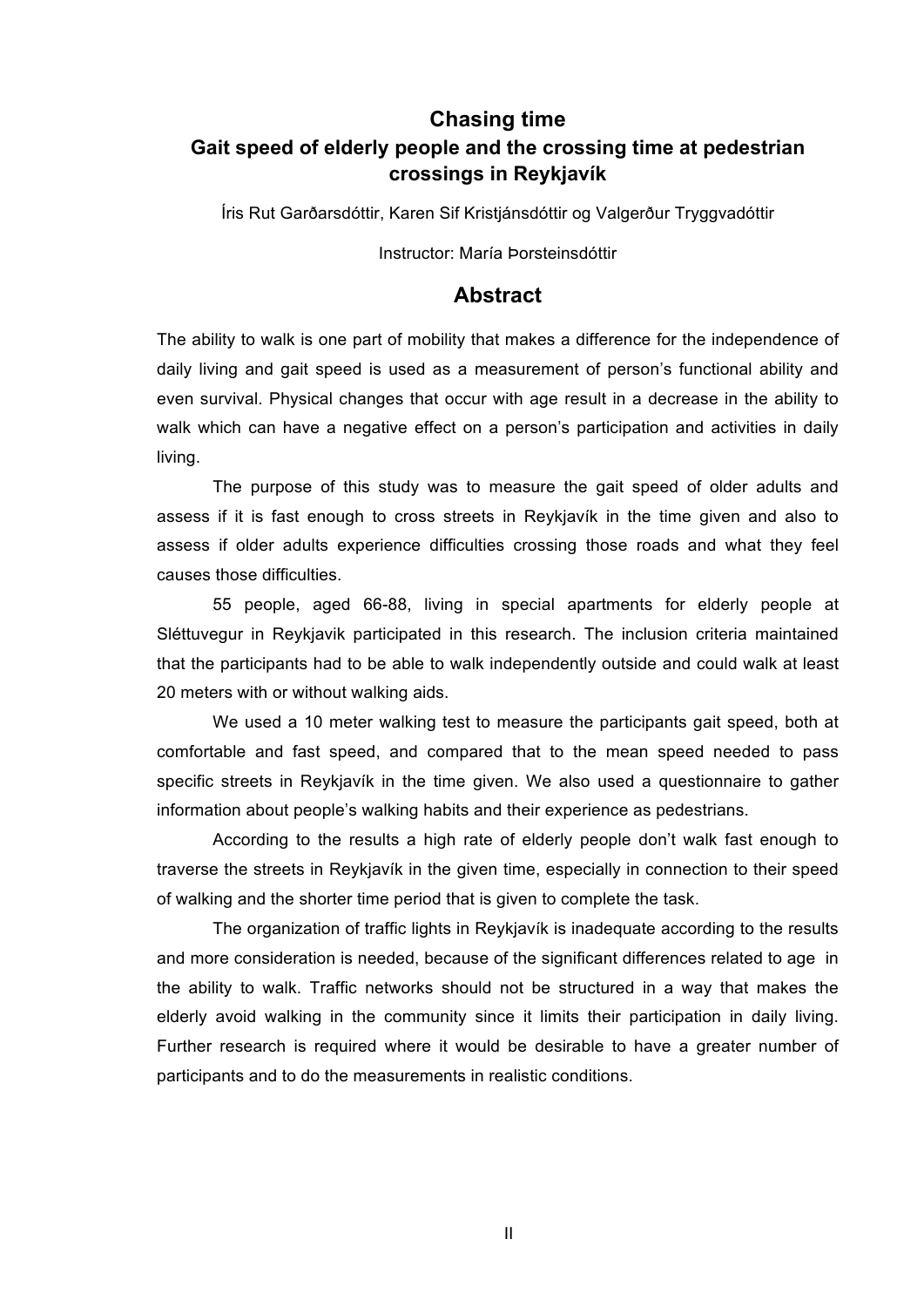## **Chasing time Gait speed of elderly people and the crossing time at pedestrian crossings in Reykjavík**

Íris Rut Garðarsdóttir, Karen Sif Kristjánsdóttir og Valgerður Tryggvadóttir

Instructor: María Þorsteinsdóttir

### **Abstract**

The ability to walk is one part of mobility that makes a difference for the independence of daily living and gait speed is used as a measurement of person's functional ability and even survival. Physical changes that occur with age result in a decrease in the ability to walk which can have a negative effect on a person's participation and activities in daily living.

The purpose of this study was to measure the gait speed of older adults and assess if it is fast enough to cross streets in Reykjavík in the time given and also to assess if older adults experience difficulties crossing those roads and what they feel causes those difficulties.

55 people, aged 66-88, living in special apartments for elderly people at Sléttuvegur in Reykjavik participated in this research. The inclusion criteria maintained that the participants had to be able to walk independently outside and could walk at least 20 meters with or without walking aids.

We used a 10 meter walking test to measure the participants gait speed, both at comfortable and fast speed, and compared that to the mean speed needed to pass specific streets in Reykjavík in the time given. We also used a questionnaire to gather information about people's walking habits and their experience as pedestrians.

According to the results a high rate of elderly people don't walk fast enough to traverse the streets in Reykjavík in the given time, especially in connection to their speed of walking and the shorter time period that is given to complete the task.

The organization of traffic lights in Reykjavík is inadequate according to the results and more consideration is needed, because of the significant differences related to age in the ability to walk. Traffic networks should not be structured in a way that makes the elderly avoid walking in the community since it limits their participation in daily living. Further research is required where it would be desirable to have a greater number of participants and to do the measurements in realistic conditions.

II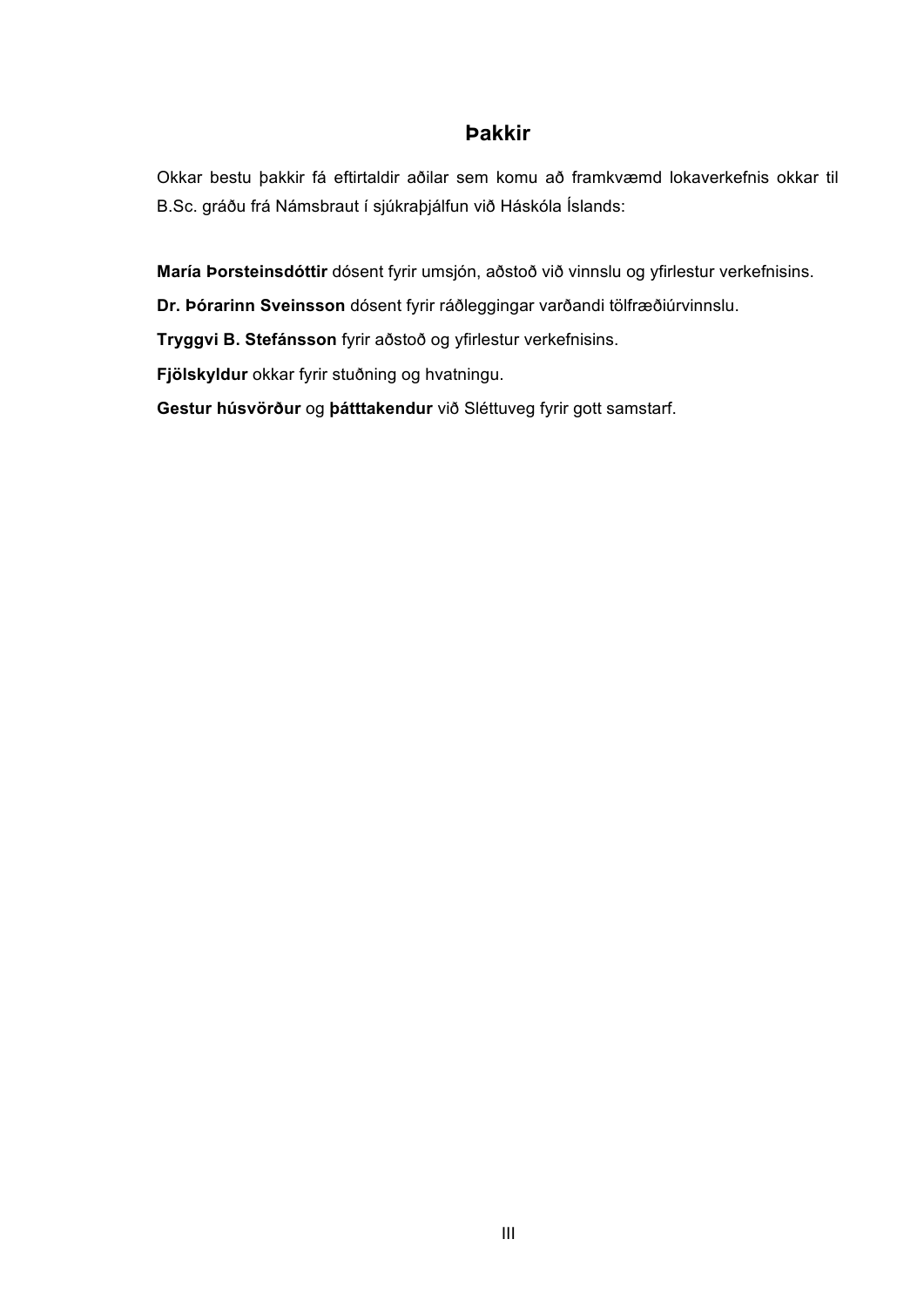### **Þakkir**

Okkar bestu þakkir fá eftirtaldir aðilar sem komu að framkvæmd lokaverkefnis okkar til B.Sc. gráðu frá Námsbraut í sjúkraþjálfun við Háskóla Íslands:

**María Þorsteinsdóttir** dósent fyrir umsjón, aðstoð við vinnslu og yfirlestur verkefnisins.

**Dr. Þórarinn Sveinsson** dósent fyrir ráðleggingar varðandi tölfræðiúrvinnslu.

**Tryggvi B. Stefánsson** fyrir aðstoð og yfirlestur verkefnisins.

**Fjölskyldur** okkar fyrir stuðning og hvatningu.

**Gestur húsvörður** og **þátttakendur** við Sléttuveg fyrir gott samstarf.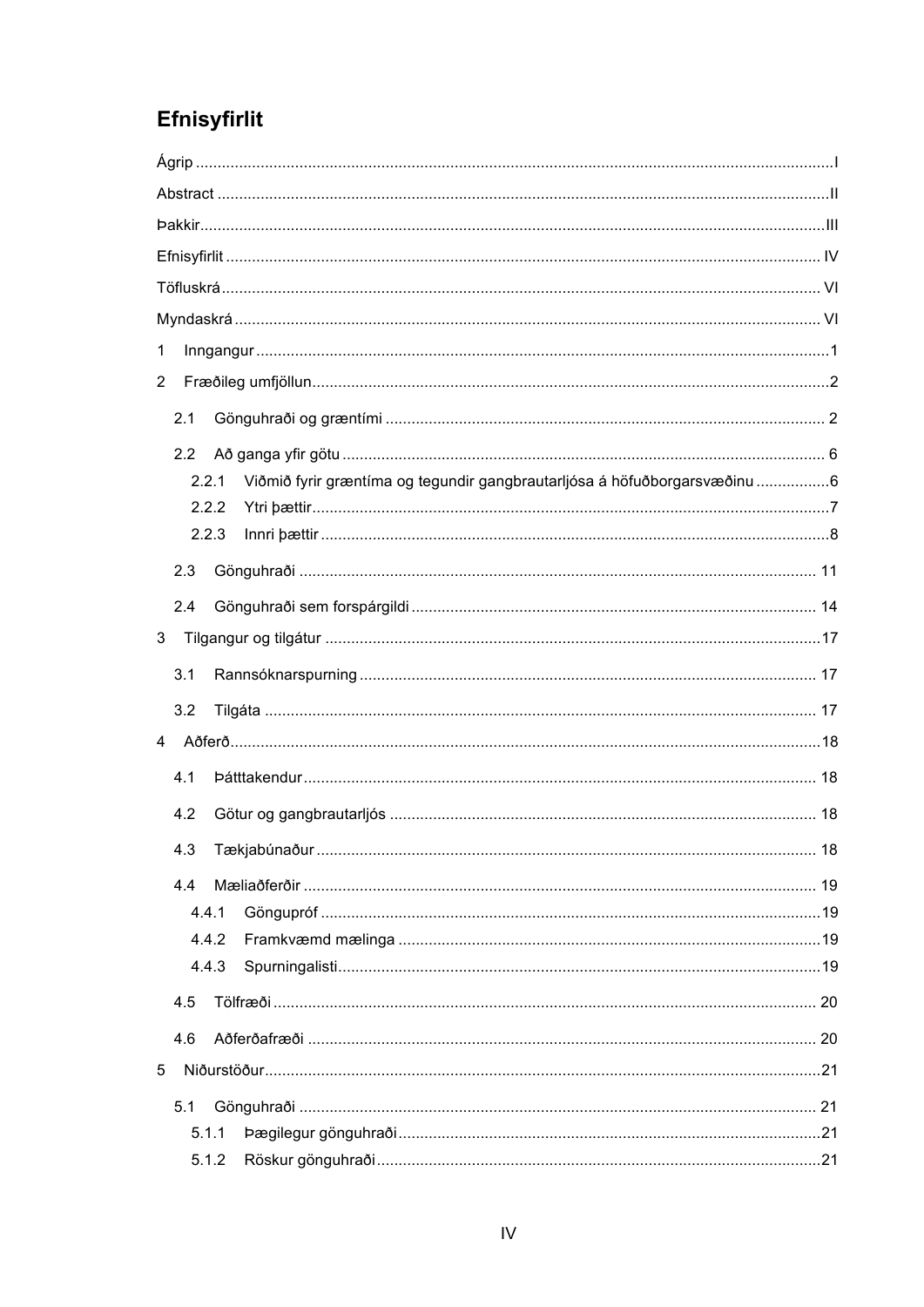# Efnisyfirlit

| 1                                                                                  |  |
|------------------------------------------------------------------------------------|--|
| $\overline{c}$                                                                     |  |
| 2.1                                                                                |  |
| 2.2                                                                                |  |
| Viðmið fyrir græntíma og tegundir gangbrautarljósa á höfuðborgarsvæðinu 6<br>2.2.1 |  |
| 2.2.2                                                                              |  |
| 2.2.3                                                                              |  |
| 2.3                                                                                |  |
| 2.4                                                                                |  |
| 3 <sup>1</sup>                                                                     |  |
| 3.1                                                                                |  |
| 3.2                                                                                |  |
| 4                                                                                  |  |
| 4.1                                                                                |  |
| 4.2                                                                                |  |
|                                                                                    |  |
| 4.4                                                                                |  |
| 4.4.1                                                                              |  |
| 4.4.2                                                                              |  |
| 4.4.3                                                                              |  |
| 4.5                                                                                |  |
| 4.6                                                                                |  |
| 5                                                                                  |  |
| 5.1                                                                                |  |
| 5.1.1                                                                              |  |
| 5.1.2                                                                              |  |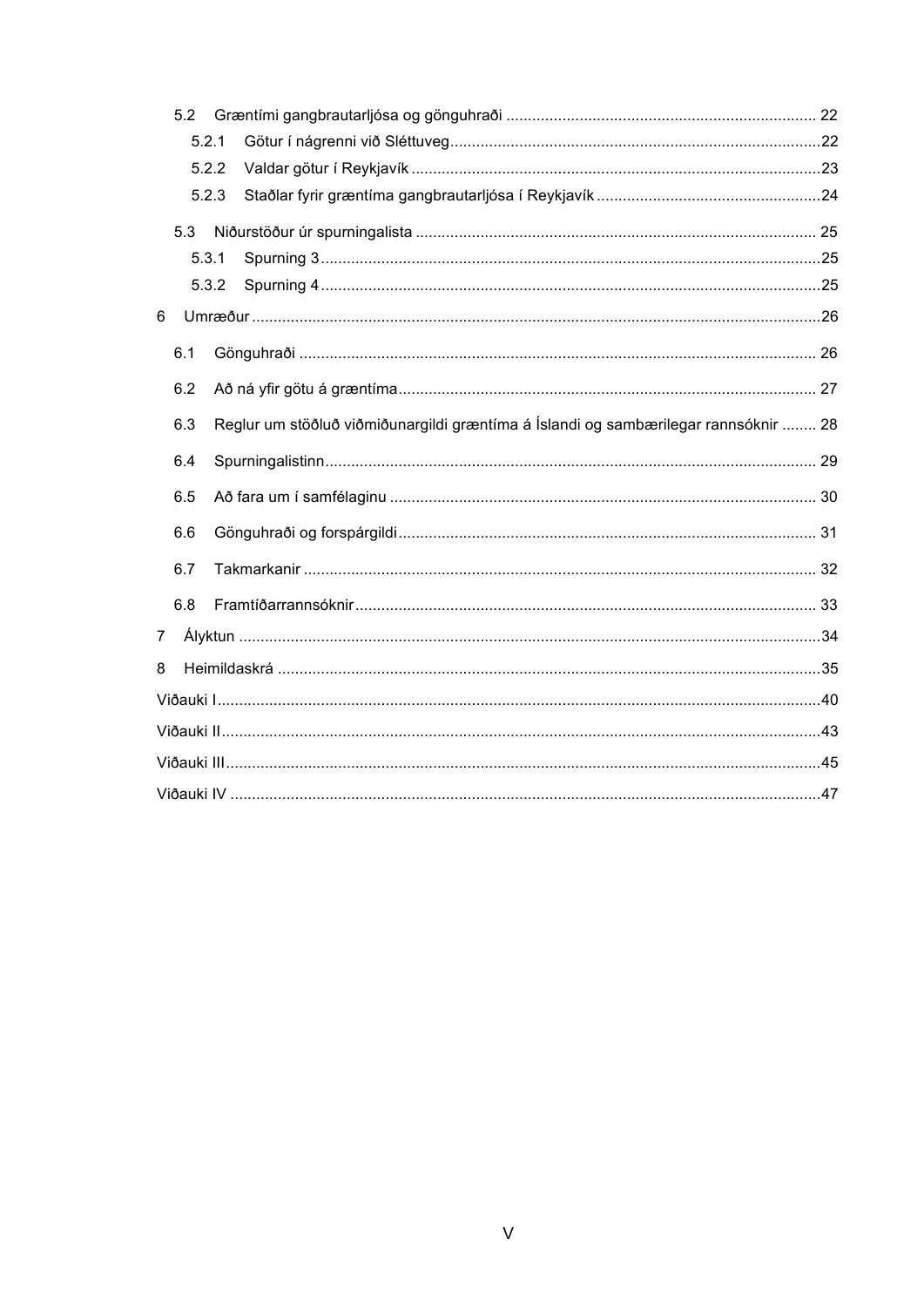|                | 5.2   |                                                                                     |  |
|----------------|-------|-------------------------------------------------------------------------------------|--|
|                | 5.2.1 |                                                                                     |  |
|                | 5.2.2 |                                                                                     |  |
|                | 5.2.3 |                                                                                     |  |
|                | 5.3   |                                                                                     |  |
|                | 5.3.1 |                                                                                     |  |
|                | 5.3.2 |                                                                                     |  |
| 6              |       |                                                                                     |  |
|                | 6.1   |                                                                                     |  |
|                | 6.2   |                                                                                     |  |
|                | 6.3   | Reglur um stöðluð viðmiðunargildi græntíma á Íslandi og sambærilegar rannsóknir  28 |  |
|                | 6.4   |                                                                                     |  |
|                | 6.5   |                                                                                     |  |
|                | 6.6   |                                                                                     |  |
|                | 6.7   |                                                                                     |  |
|                | 6.8   |                                                                                     |  |
| $\overline{7}$ |       |                                                                                     |  |
| 8              |       |                                                                                     |  |
|                |       |                                                                                     |  |
|                |       |                                                                                     |  |
|                |       |                                                                                     |  |
|                |       |                                                                                     |  |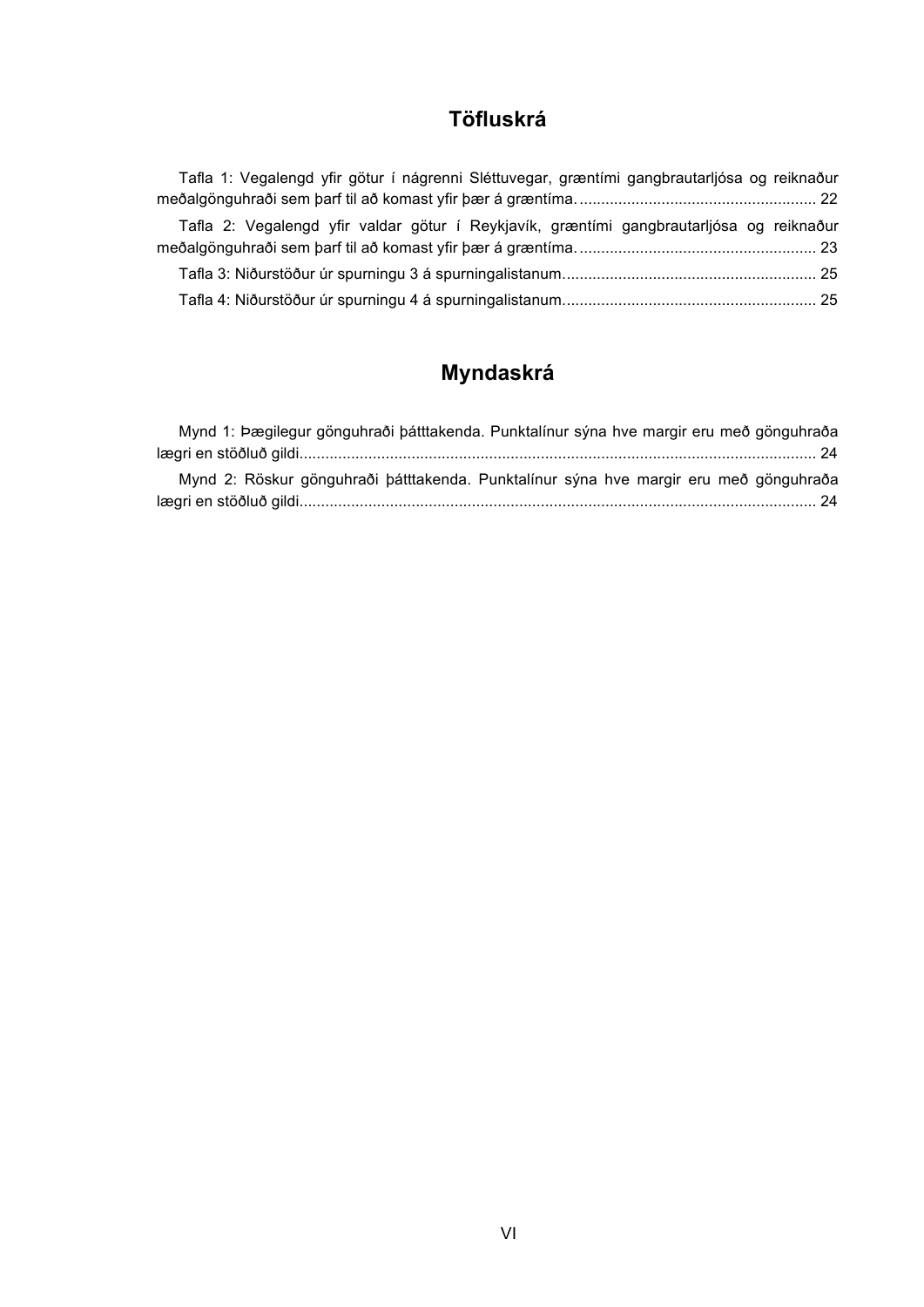# **Töfluskrá**

| Tafla 1: Vegalengd yfir götur í nágrenni Sléttuvegar, græntími gangbrautarljósa og reiknaður |  |
|----------------------------------------------------------------------------------------------|--|
|                                                                                              |  |
| Tafla 2: Vegalengd yfir valdar götur í Reykjavík, græntími gangbrautarljósa og reiknaður     |  |
|                                                                                              |  |
|                                                                                              |  |
|                                                                                              |  |

# **Myndaskrá**

| Mynd 1: Þægilegur gönguhraði þátttakenda. Punktalínur sýna hve margir eru með gönguhraða |  |
|------------------------------------------------------------------------------------------|--|
|                                                                                          |  |
| Mynd 2: Röskur gönguhraði þátttakenda. Punktalínur sýna hve margir eru með gönguhraða    |  |
|                                                                                          |  |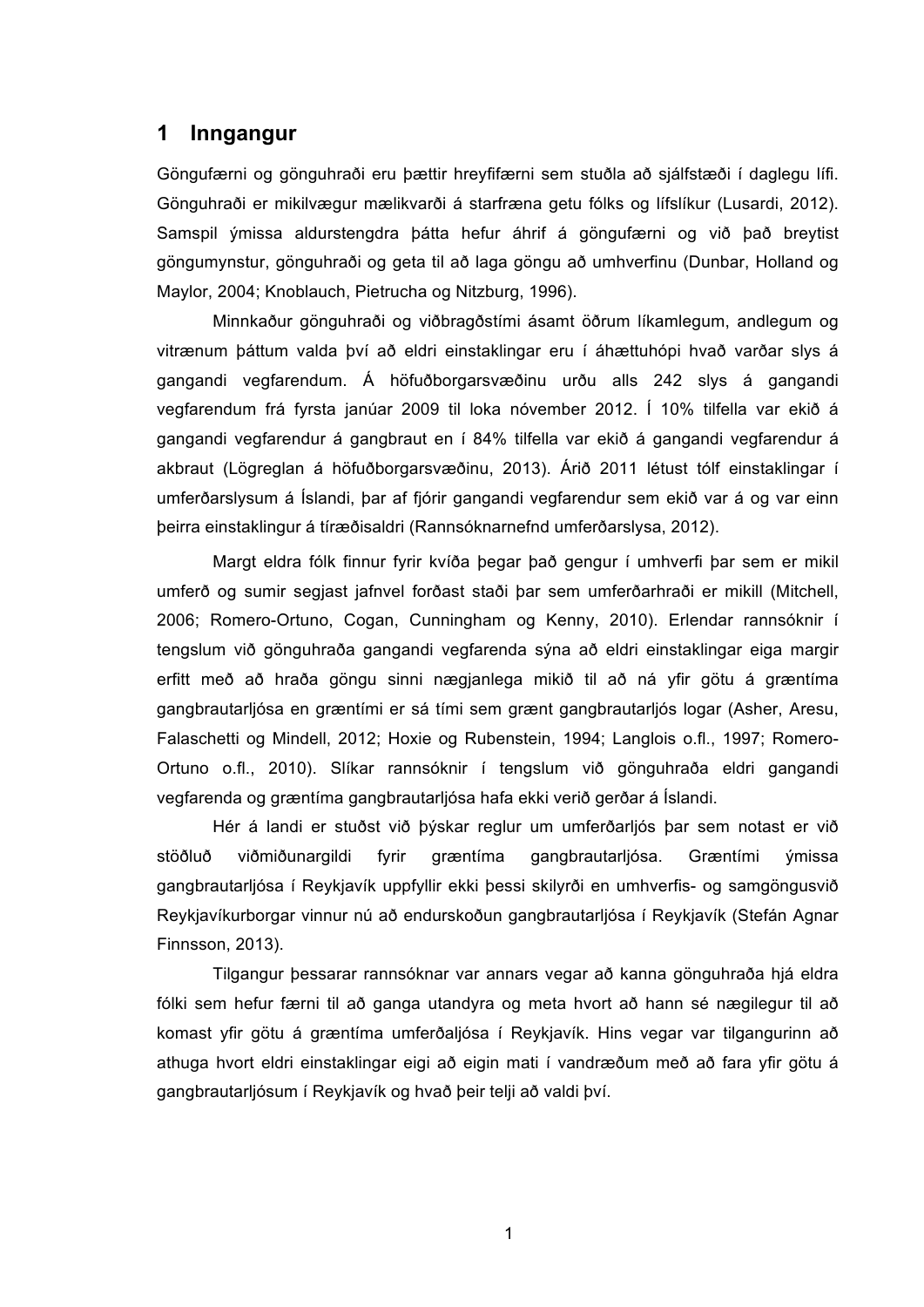#### **1 Inngangur**

Göngufærni og gönguhraði eru þættir hreyfifærni sem stuðla að sjálfstæði í daglegu lífi. Gönguhraði er mikilvægur mælikvarði á starfræna getu fólks og lífslíkur (Lusardi, 2012). Samspil ýmissa aldurstengdra þátta hefur áhrif á göngufærni og við það breytist göngumynstur, gönguhraði og geta til að laga göngu að umhverfinu (Dunbar, Holland og Maylor, 2004; Knoblauch, Pietrucha og Nitzburg, 1996).

Minnkaður gönguhraði og viðbragðstími ásamt öðrum líkamlegum, andlegum og vitrænum þáttum valda því að eldri einstaklingar eru í áhættuhópi hvað varðar slys á gangandi vegfarendum. Á höfuðborgarsvæðinu urðu alls 242 slys á gangandi vegfarendum frá fyrsta janúar 2009 til loka nóvember 2012. Í 10% tilfella var ekið á gangandi vegfarendur á gangbraut en í 84% tilfella var ekið á gangandi vegfarendur á akbraut (Lögreglan á höfuðborgarsvæðinu, 2013). Árið 2011 létust tólf einstaklingar í umferðarslysum á Íslandi, þar af fjórir gangandi vegfarendur sem ekið var á og var einn þeirra einstaklingur á tíræðisaldri (Rannsóknarnefnd umferðarslysa, 2012).

Margt eldra fólk finnur fyrir kvíða þegar það gengur í umhverfi þar sem er mikil umferð og sumir segjast jafnvel forðast staði þar sem umferðarhraði er mikill (Mitchell, 2006; Romero-Ortuno, Cogan, Cunningham og Kenny, 2010). Erlendar rannsóknir í tengslum við gönguhraða gangandi vegfarenda sýna að eldri einstaklingar eiga margir erfitt með að hraða göngu sinni nægjanlega mikið til að ná yfir götu á græntíma gangbrautarljósa en græntími er sá tími sem grænt gangbrautarljós logar (Asher, Aresu, Falaschetti og Mindell, 2012; Hoxie og Rubenstein, 1994; Langlois o.fl., 1997; Romero-Ortuno o.fl., 2010). Slíkar rannsóknir í tengslum við gönguhraða eldri gangandi vegfarenda og græntíma gangbrautarljósa hafa ekki verið gerðar á Íslandi.

Hér á landi er stuðst við þýskar reglur um umferðarljós þar sem notast er við stöðluð viðmiðunargildi fyrir græntíma gangbrautarljósa. Græntími ýmissa gangbrautarljósa í Reykjavík uppfyllir ekki þessi skilyrði en umhverfis- og samgöngusvið Reykjavíkurborgar vinnur nú að endurskoðun gangbrautarljósa í Reykjavík (Stefán Agnar Finnsson, 2013).

Tilgangur þessarar rannsóknar var annars vegar að kanna gönguhraða hjá eldra fólki sem hefur færni til að ganga utandyra og meta hvort að hann sé nægilegur til að komast yfir götu á græntíma umferðaljósa í Reykjavík. Hins vegar var tilgangurinn að athuga hvort eldri einstaklingar eigi að eigin mati í vandræðum með að fara yfir götu á gangbrautarljósum í Reykjavík og hvað þeir telji að valdi því.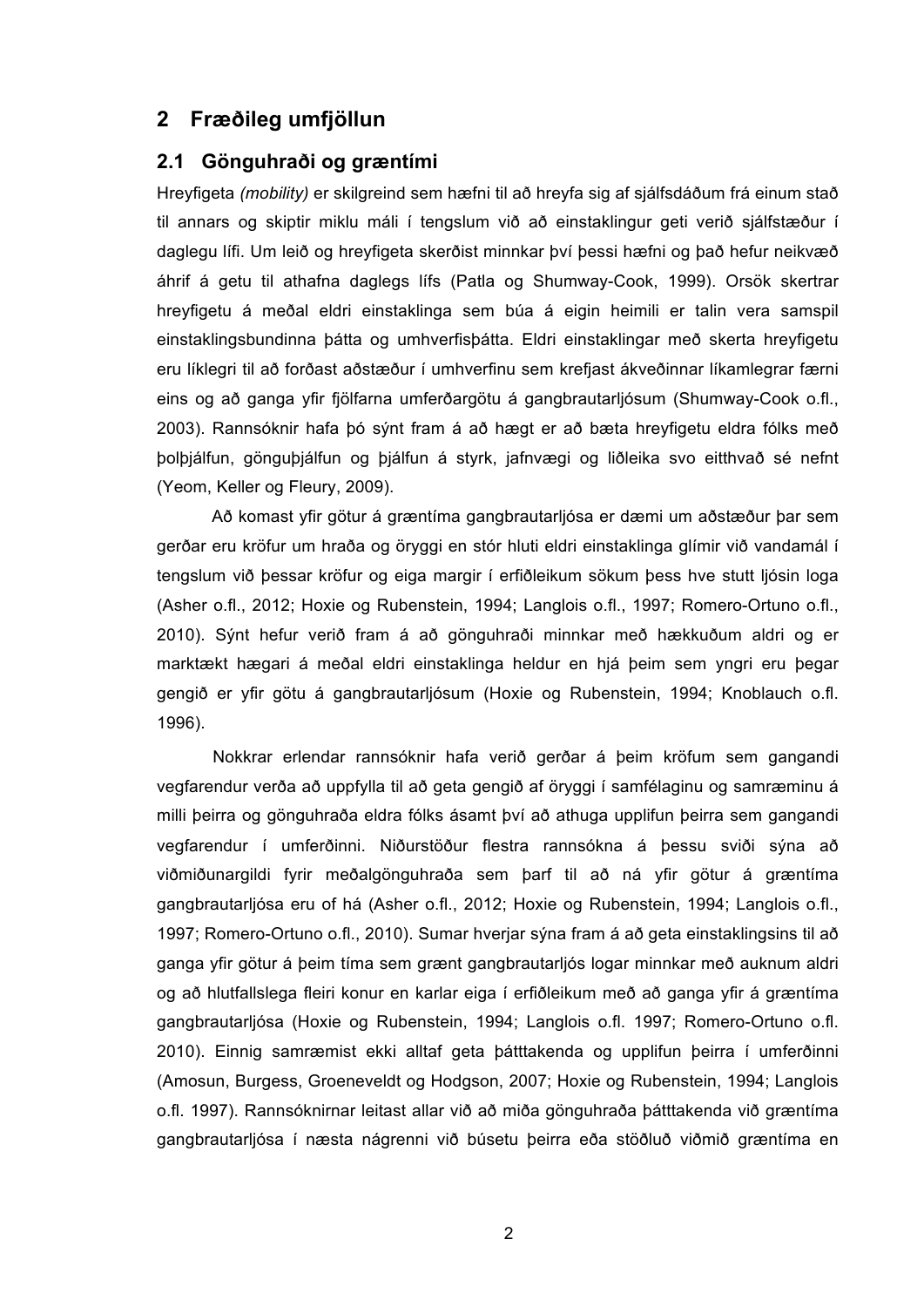## **2 Fræðileg umfjöllun**

#### **2.1 Gönguhraði og græntími**

Hreyfigeta *(mobility)* er skilgreind sem hæfni til að hreyfa sig af sjálfsdáðum frá einum stað til annars og skiptir miklu máli í tengslum við að einstaklingur geti verið sjálfstæður í daglegu lífi. Um leið og hreyfigeta skerðist minnkar því þessi hæfni og það hefur neikvæð áhrif á getu til athafna daglegs lífs (Patla og Shumway-Cook, 1999). Orsök skertrar hreyfigetu á meðal eldri einstaklinga sem búa á eigin heimili er talin vera samspil einstaklingsbundinna þátta og umhverfisþátta. Eldri einstaklingar með skerta hreyfigetu eru líklegri til að forðast aðstæður í umhverfinu sem krefjast ákveðinnar líkamlegrar færni eins og að ganga yfir fjölfarna umferðargötu á gangbrautarljósum (Shumway-Cook o.fl., 2003). Rannsóknir hafa þó sýnt fram á að hægt er að bæta hreyfigetu eldra fólks með þolþjálfun, gönguþjálfun og þjálfun á styrk, jafnvægi og liðleika svo eitthvað sé nefnt (Yeom, Keller og Fleury, 2009).

Að komast yfir götur á græntíma gangbrautarljósa er dæmi um aðstæður þar sem gerðar eru kröfur um hraða og öryggi en stór hluti eldri einstaklinga glímir við vandamál í tengslum við þessar kröfur og eiga margir í erfiðleikum sökum þess hve stutt ljósin loga (Asher o.fl., 2012; Hoxie og Rubenstein, 1994; Langlois o.fl., 1997; Romero-Ortuno o.fl., 2010). Sýnt hefur verið fram á að gönguhraði minnkar með hækkuðum aldri og er marktækt hægari á meðal eldri einstaklinga heldur en hjá þeim sem yngri eru þegar gengið er yfir götu á gangbrautarljósum (Hoxie og Rubenstein, 1994; Knoblauch o.fl. 1996).

Nokkrar erlendar rannsóknir hafa verið gerðar á þeim kröfum sem gangandi vegfarendur verða að uppfylla til að geta gengið af öryggi í samfélaginu og samræminu á milli þeirra og gönguhraða eldra fólks ásamt því að athuga upplifun þeirra sem gangandi vegfarendur í umferðinni. Niðurstöður flestra rannsókna á þessu sviði sýna að viðmiðunargildi fyrir meðalgönguhraða sem þarf til að ná yfir götur á græntíma gangbrautarljósa eru of há (Asher o.fl., 2012; Hoxie og Rubenstein, 1994; Langlois o.fl., 1997; Romero-Ortuno o.fl., 2010). Sumar hverjar sýna fram á að geta einstaklingsins til að ganga yfir götur á þeim tíma sem grænt gangbrautarljós logar minnkar með auknum aldri og að hlutfallslega fleiri konur en karlar eiga í erfiðleikum með að ganga yfir á græntíma gangbrautarljósa (Hoxie og Rubenstein, 1994; Langlois o.fl. 1997; Romero-Ortuno o.fl. 2010). Einnig samræmist ekki alltaf geta þátttakenda og upplifun þeirra í umferðinni (Amosun, Burgess, Groeneveldt og Hodgson, 2007; Hoxie og Rubenstein, 1994; Langlois o.fl. 1997). Rannsóknirnar leitast allar við að miða gönguhraða þátttakenda við græntíma gangbrautarljósa í næsta nágrenni við búsetu þeirra eða stöðluð viðmið græntíma en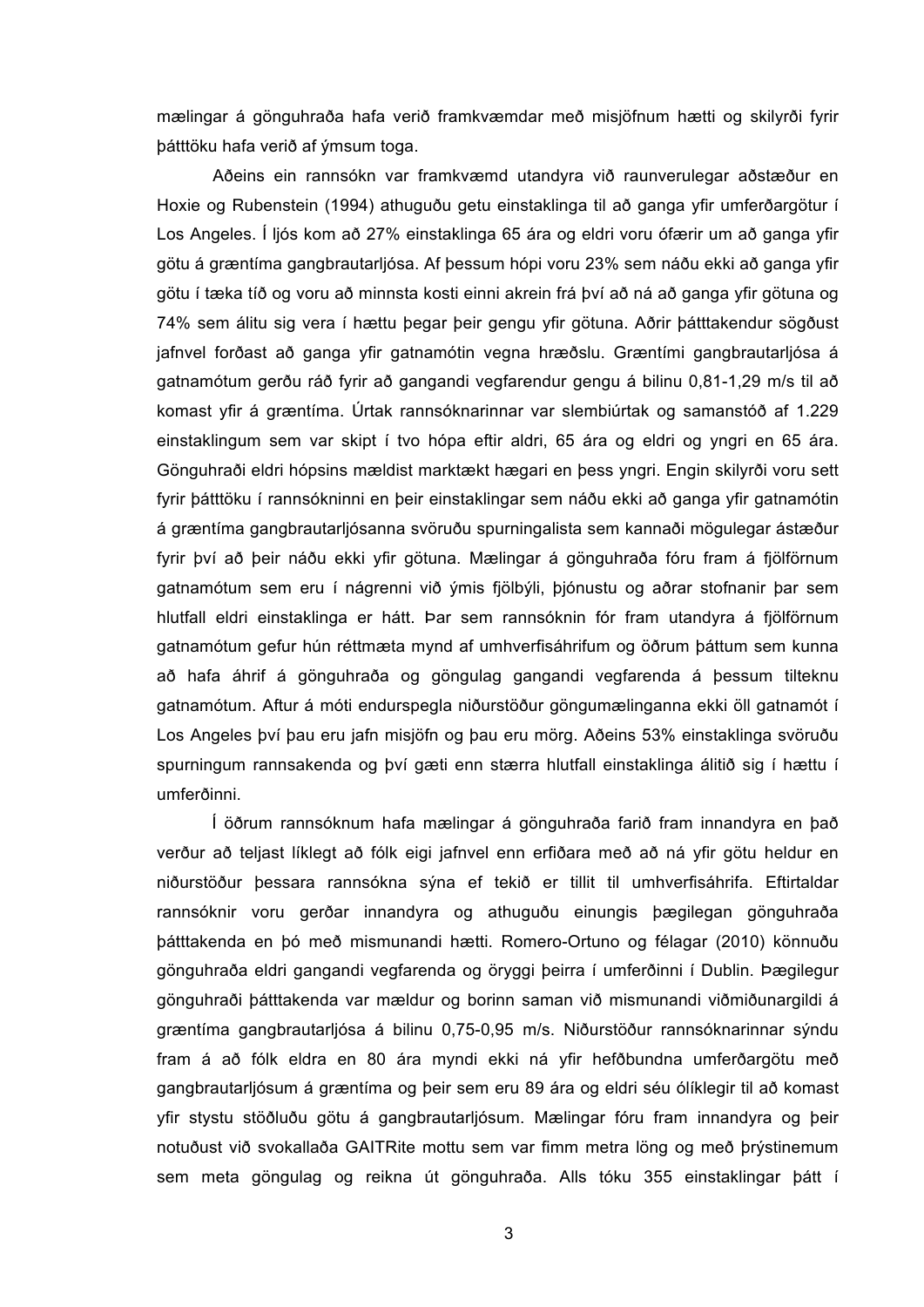mælingar á gönguhraða hafa verið framkvæmdar með misjöfnum hætti og skilyrði fyrir þátttöku hafa verið af ýmsum toga.

Aðeins ein rannsókn var framkvæmd utandyra við raunverulegar aðstæður en Hoxie og Rubenstein (1994) athuguðu getu einstaklinga til að ganga yfir umferðargötur í Los Angeles. Í ljós kom að 27% einstaklinga 65 ára og eldri voru ófærir um að ganga yfir götu á græntíma gangbrautarljósa. Af þessum hópi voru 23% sem náðu ekki að ganga yfir götu í tæka tíð og voru að minnsta kosti einni akrein frá því að ná að ganga yfir götuna og 74% sem álitu sig vera í hættu þegar þeir gengu yfir götuna. Aðrir þátttakendur sögðust jafnvel forðast að ganga yfir gatnamótin vegna hræðslu. Græntími gangbrautarljósa á gatnamótum gerðu ráð fyrir að gangandi vegfarendur gengu á bilinu 0,81-1,29 m/s til að komast yfir á græntíma. Úrtak rannsóknarinnar var slembiúrtak og samanstóð af 1.229 einstaklingum sem var skipt í tvo hópa eftir aldri, 65 ára og eldri og yngri en 65 ára. Gönguhraði eldri hópsins mældist marktækt hægari en þess yngri. Engin skilyrði voru sett fyrir þátttöku í rannsókninni en þeir einstaklingar sem náðu ekki að ganga yfir gatnamótin á græntíma gangbrautarljósanna svöruðu spurningalista sem kannaði mögulegar ástæður fyrir því að þeir náðu ekki yfir götuna. Mælingar á gönguhraða fóru fram á fjölförnum gatnamótum sem eru í nágrenni við ýmis fjölbýli, þjónustu og aðrar stofnanir þar sem hlutfall eldri einstaklinga er hátt. Þar sem rannsóknin fór fram utandyra á fjölförnum gatnamótum gefur hún réttmæta mynd af umhverfisáhrifum og öðrum þáttum sem kunna að hafa áhrif á gönguhraða og göngulag gangandi vegfarenda á þessum tilteknu gatnamótum. Aftur á móti endurspegla niðurstöður göngumælinganna ekki öll gatnamót í Los Angeles því þau eru jafn misjöfn og þau eru mörg. Aðeins 53% einstaklinga svöruðu spurningum rannsakenda og því gæti enn stærra hlutfall einstaklinga álitið sig í hættu í umferðinni.

Í öðrum rannsóknum hafa mælingar á gönguhraða farið fram innandyra en það verður að teljast líklegt að fólk eigi jafnvel enn erfiðara með að ná yfir götu heldur en niðurstöður þessara rannsókna sýna ef tekið er tillit til umhverfisáhrifa. Eftirtaldar rannsóknir voru gerðar innandyra og athuguðu einungis þægilegan gönguhraða þátttakenda en þó með mismunandi hætti. Romero-Ortuno og félagar (2010) könnuðu gönguhraða eldri gangandi vegfarenda og öryggi þeirra í umferðinni í Dublin. Þægilegur gönguhraði þátttakenda var mældur og borinn saman við mismunandi viðmiðunargildi á græntíma gangbrautarljósa á bilinu 0,75-0,95 m/s. Niðurstöður rannsóknarinnar sýndu fram á að fólk eldra en 80 ára myndi ekki ná yfir hefðbundna umferðargötu með gangbrautarljósum á græntíma og þeir sem eru 89 ára og eldri séu ólíklegir til að komast yfir stystu stöðluðu götu á gangbrautarljósum. Mælingar fóru fram innandyra og þeir notuðust við svokallaða GAITRite mottu sem var fimm metra löng og með þrýstinemum sem meta göngulag og reikna út gönguhraða. Alls tóku 355 einstaklingar þátt í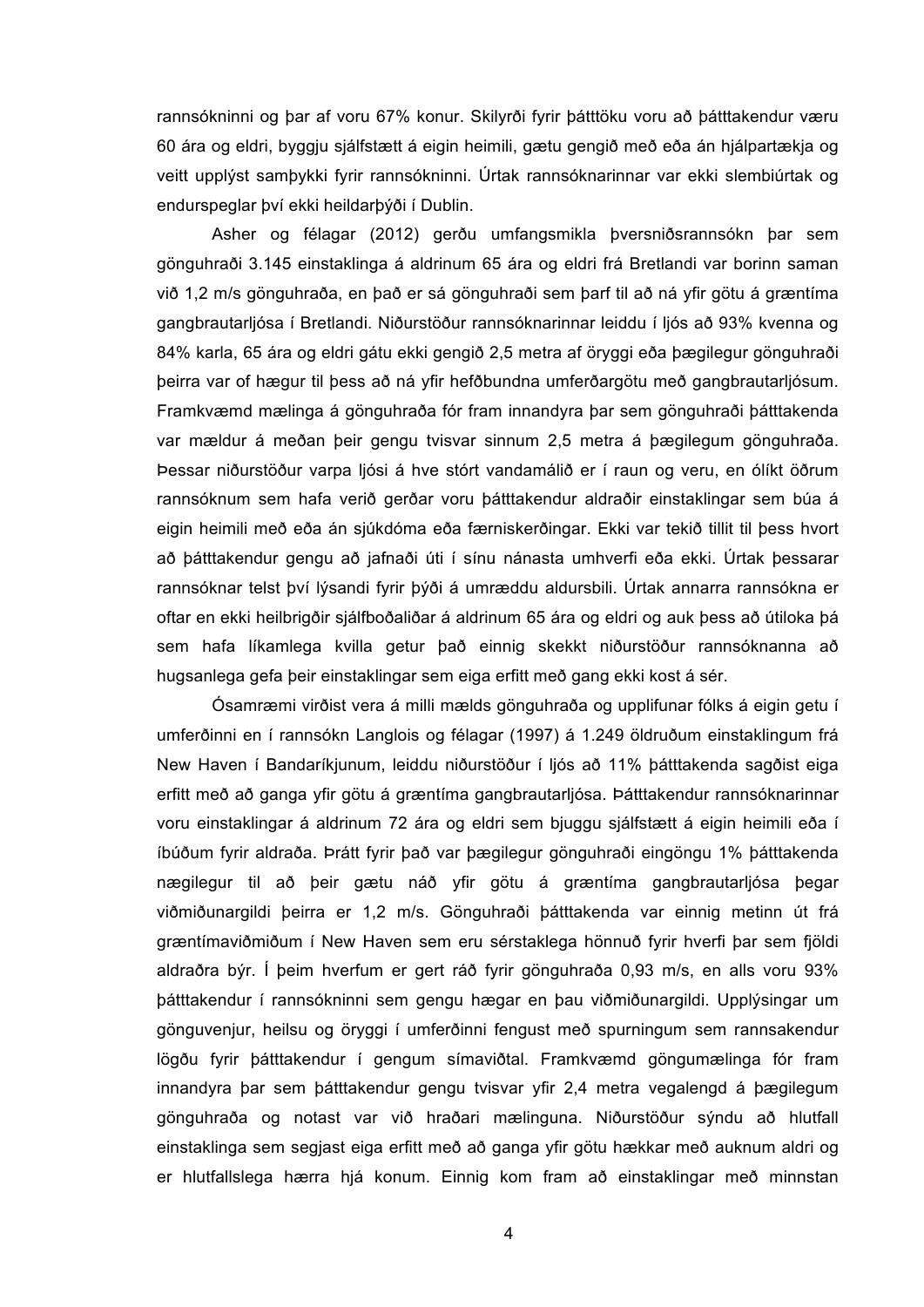rannsókninni og þar af voru 67% konur. Skilyrði fyrir þátttöku voru að þátttakendur væru 60 ára og eldri, byggju sjálfstætt á eigin heimili, gætu gengið með eða án hjálpartækja og veitt upplýst samþykki fyrir rannsókninni. Úrtak rannsóknarinnar var ekki slembiúrtak og endurspeglar því ekki heildarþýði í Dublin.

Asher og félagar (2012) gerðu umfangsmikla þversniðsrannsókn þar sem gönguhraði 3.145 einstaklinga á aldrinum 65 ára og eldri frá Bretlandi var borinn saman við 1,2 m/s gönguhraða, en það er sá gönguhraði sem þarf til að ná yfir götu á græntíma gangbrautarljósa í Bretlandi. Niðurstöður rannsóknarinnar leiddu í ljós að 93% kvenna og 84% karla, 65 ára og eldri gátu ekki gengið 2,5 metra af öryggi eða þægilegur gönguhraði þeirra var of hægur til þess að ná yfir hefðbundna umferðargötu með gangbrautarljósum. Framkvæmd mælinga á gönguhraða fór fram innandyra þar sem gönguhraði þátttakenda var mældur á meðan þeir gengu tvisvar sinnum 2,5 metra á þægilegum gönguhraða. Þessar niðurstöður varpa ljósi á hve stórt vandamálið er í raun og veru, en ólíkt öðrum rannsóknum sem hafa verið gerðar voru þátttakendur aldraðir einstaklingar sem búa á eigin heimili með eða án sjúkdóma eða færniskerðingar. Ekki var tekið tillit til þess hvort að þátttakendur gengu að jafnaði úti í sínu nánasta umhverfi eða ekki. Úrtak þessarar rannsóknar telst því lýsandi fyrir þýði á umræddu aldursbili. Úrtak annarra rannsókna er oftar en ekki heilbrigðir sjálfboðaliðar á aldrinum 65 ára og eldri og auk þess að útiloka þá sem hafa líkamlega kvilla getur það einnig skekkt niðurstöður rannsóknanna að hugsanlega gefa þeir einstaklingar sem eiga erfitt með gang ekki kost á sér.

Ósamræmi virðist vera á milli mælds gönguhraða og upplifunar fólks á eigin getu í umferðinni en í rannsókn Langlois og félagar (1997) á 1.249 öldruðum einstaklingum frá New Haven í Bandaríkjunum, leiddu niðurstöður í ljós að 11% þátttakenda sagðist eiga erfitt með að ganga yfir götu á græntíma gangbrautarljósa. Þátttakendur rannsóknarinnar voru einstaklingar á aldrinum 72 ára og eldri sem bjuggu sjálfstætt á eigin heimili eða í íbúðum fyrir aldraða. Þrátt fyrir það var þægilegur gönguhraði eingöngu 1% þátttakenda nægilegur til að þeir gætu náð yfir götu á græntíma gangbrautarljósa þegar viðmiðunargildi þeirra er 1,2 m/s. Gönguhraði þátttakenda var einnig metinn út frá græntímaviðmiðum í New Haven sem eru sérstaklega hönnuð fyrir hverfi þar sem fjöldi aldraðra býr. Í þeim hverfum er gert ráð fyrir gönguhraða 0,93 m/s, en alls voru 93% þátttakendur í rannsókninni sem gengu hægar en þau viðmiðunargildi. Upplýsingar um gönguvenjur, heilsu og öryggi í umferðinni fengust með spurningum sem rannsakendur lögðu fyrir þátttakendur í gengum símaviðtal. Framkvæmd göngumælinga fór fram innandyra þar sem þátttakendur gengu tvisvar yfir 2,4 metra vegalengd á þægilegum gönguhraða og notast var við hraðari mælinguna. Niðurstöður sýndu að hlutfall einstaklinga sem segjast eiga erfitt með að ganga yfir götu hækkar með auknum aldri og er hlutfallslega hærra hjá konum. Einnig kom fram að einstaklingar með minnstan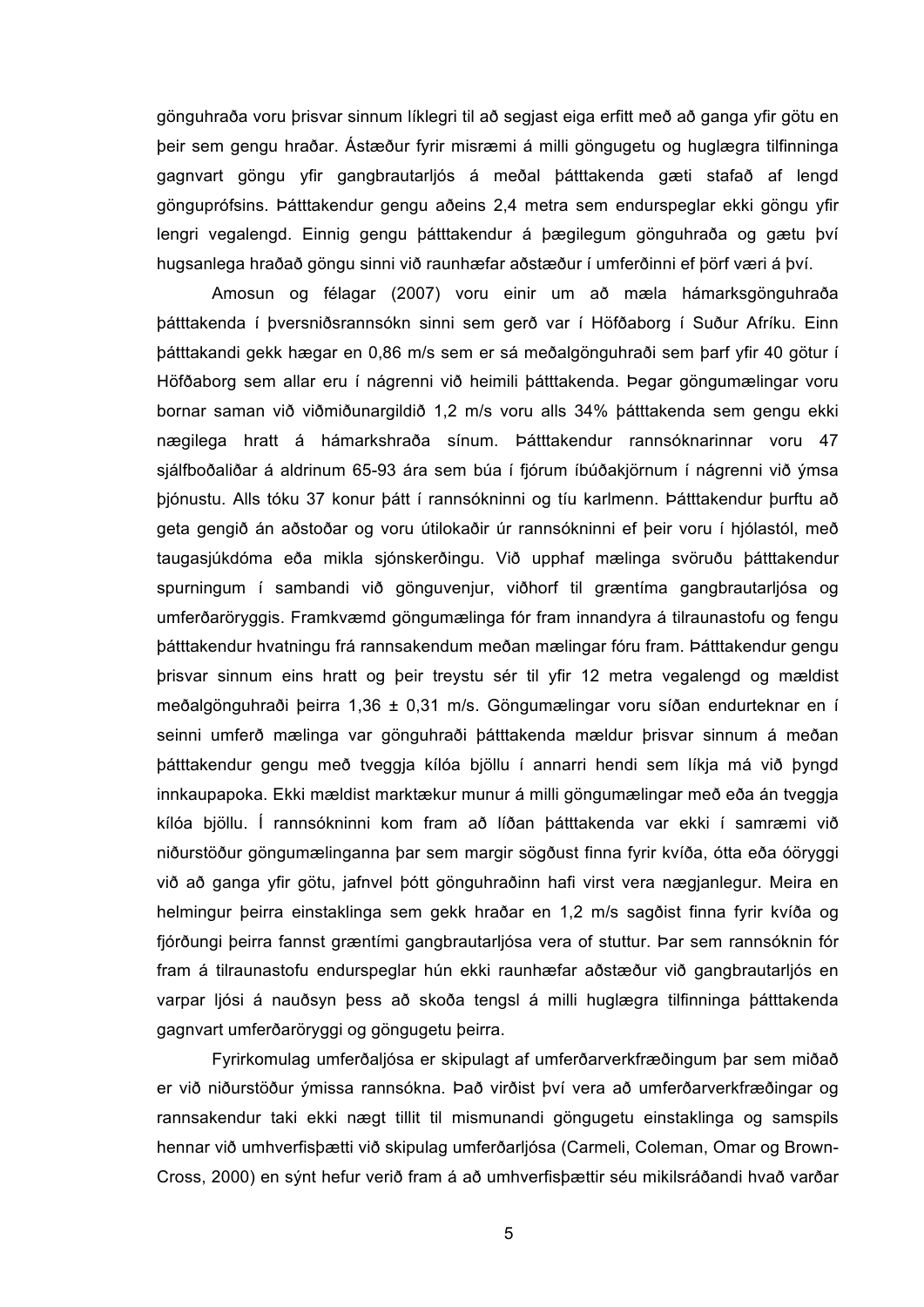gönguhraða voru þrisvar sinnum líklegri til að segjast eiga erfitt með að ganga yfir götu en þeir sem gengu hraðar. Ástæður fyrir misræmi á milli göngugetu og huglægra tilfinninga gagnvart göngu yfir gangbrautarljós á meðal þátttakenda gæti stafað af lengd gönguprófsins. Þátttakendur gengu aðeins 2,4 metra sem endurspeglar ekki göngu yfir lengri vegalengd. Einnig gengu þátttakendur á þægilegum gönguhraða og gætu því hugsanlega hraðað göngu sinni við raunhæfar aðstæður í umferðinni ef þörf væri á því.

Amosun og félagar (2007) voru einir um að mæla hámarksgönguhraða þátttakenda í þversniðsrannsókn sinni sem gerð var í Höfðaborg í Suður Afríku. Einn þátttakandi gekk hægar en 0,86 m/s sem er sá meðalgönguhraði sem þarf yfir 40 götur í Höfðaborg sem allar eru í nágrenni við heimili þátttakenda. Þegar göngumælingar voru bornar saman við viðmiðunargildið 1,2 m/s voru alls 34% þátttakenda sem gengu ekki nægilega hratt á hámarkshraða sínum. Þátttakendur rannsóknarinnar voru 47 sjálfboðaliðar á aldrinum 65-93 ára sem búa í fjórum íbúðakjörnum í nágrenni við ýmsa þjónustu. Alls tóku 37 konur þátt í rannsókninni og tíu karlmenn. Þátttakendur þurftu að geta gengið án aðstoðar og voru útilokaðir úr rannsókninni ef þeir voru í hjólastól, með taugasjúkdóma eða mikla sjónskerðingu. Við upphaf mælinga svöruðu þátttakendur spurningum í sambandi við gönguvenjur, viðhorf til græntíma gangbrautarljósa og umferðaröryggis. Framkvæmd göngumælinga fór fram innandyra á tilraunastofu og fengu þátttakendur hvatningu frá rannsakendum meðan mælingar fóru fram. Þátttakendur gengu þrisvar sinnum eins hratt og þeir treystu sér til yfir 12 metra vegalengd og mældist meðalgönguhraði þeirra 1,36 ± 0,31 m/s. Göngumælingar voru síðan endurteknar en í seinni umferð mælinga var gönguhraði þátttakenda mældur þrisvar sinnum á meðan þátttakendur gengu með tveggja kílóa bjöllu í annarri hendi sem líkja má við þyngd innkaupapoka. Ekki mældist marktækur munur á milli göngumælingar með eða án tveggja kílóa bjöllu. Í rannsókninni kom fram að líðan þátttakenda var ekki í samræmi við niðurstöður göngumælinganna þar sem margir sögðust finna fyrir kvíða, ótta eða óöryggi við að ganga yfir götu, jafnvel þótt gönguhraðinn hafi virst vera nægjanlegur. Meira en helmingur þeirra einstaklinga sem gekk hraðar en 1,2 m/s sagðist finna fyrir kvíða og fjórðungi þeirra fannst græntími gangbrautarljósa vera of stuttur. Þar sem rannsóknin fór fram á tilraunastofu endurspeglar hún ekki raunhæfar aðstæður við gangbrautarljós en varpar ljósi á nauðsyn þess að skoða tengsl á milli huglægra tilfinninga þátttakenda gagnvart umferðaröryggi og göngugetu þeirra.

Fyrirkomulag umferðaljósa er skipulagt af umferðarverkfræðingum þar sem miðað er við niðurstöður ýmissa rannsókna. Það virðist því vera að umferðarverkfræðingar og rannsakendur taki ekki nægt tillit til mismunandi göngugetu einstaklinga og samspils hennar við umhverfisþætti við skipulag umferðarljósa (Carmeli, Coleman, Omar og Brown-Cross, 2000) en sýnt hefur verið fram á að umhverfisþættir séu mikilsráðandi hvað varðar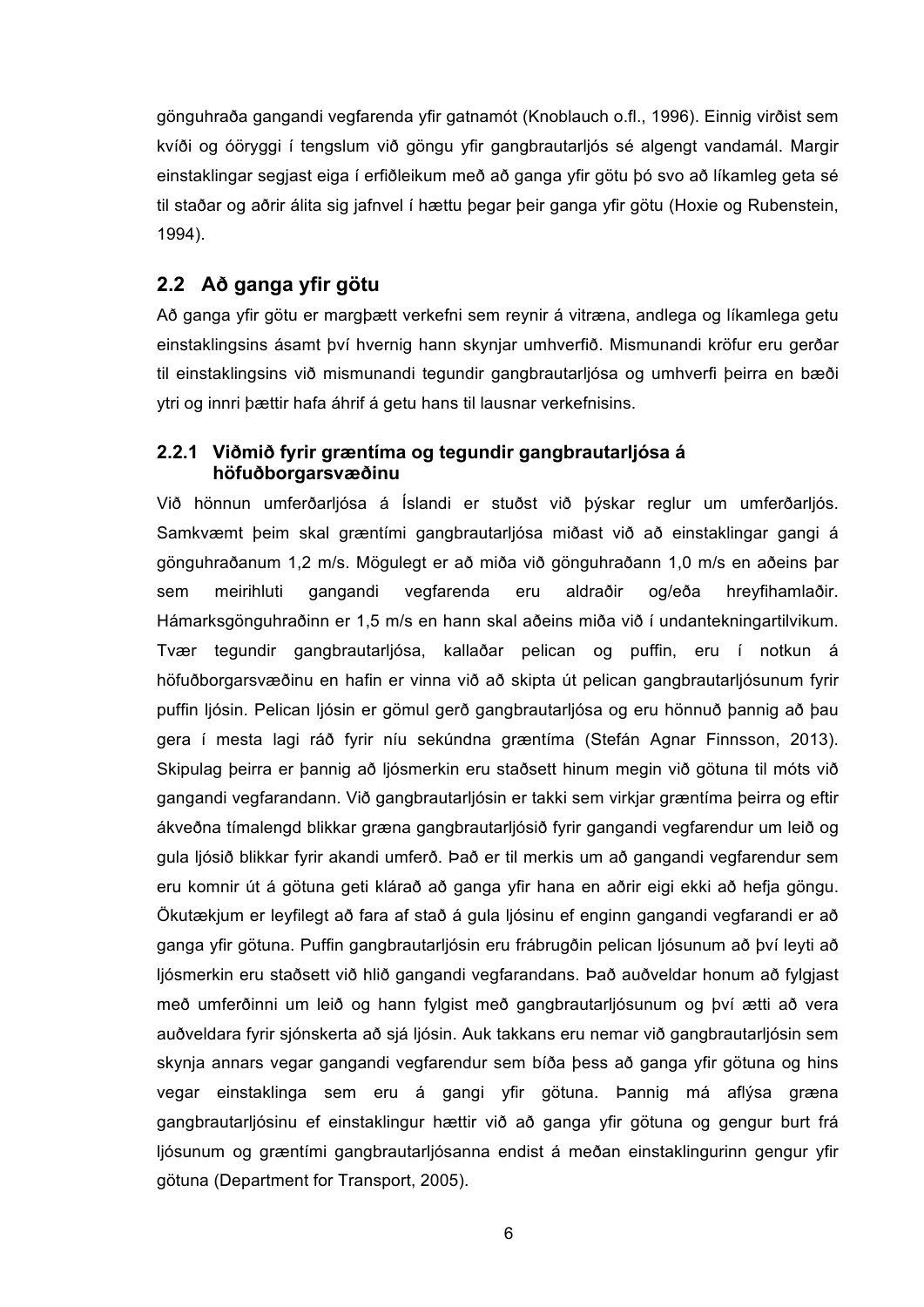gönguhraða gangandi vegfarenda yfir gatnamót (Knoblauch o.fl., 1996). Einnig virðist sem kvíði og óöryggi í tengslum við göngu yfir gangbrautarljós sé algengt vandamál. Margir einstaklingar segjast eiga í erfiðleikum með að ganga yfir götu þó svo að líkamleg geta sé til staðar og aðrir álita sig jafnvel í hættu þegar þeir ganga yfir götu (Hoxie og Rubenstein, 1994).

### **2.2 Að ganga yfir götu**

Að ganga yfir götu er margþætt verkefni sem reynir á vitræna, andlega og líkamlega getu einstaklingsins ásamt því hvernig hann skynjar umhverfið. Mismunandi kröfur eru gerðar til einstaklingsins við mismunandi tegundir gangbrautarljósa og umhverfi þeirra en bæði ytri og innri þættir hafa áhrif á getu hans til lausnar verkefnisins.

#### **2.2.1 Viðmið fyrir græntíma og tegundir gangbrautarljósa á höfuðborgarsvæðinu**

Við hönnun umferðarljósa á Íslandi er stuðst við þýskar reglur um umferðarljós. Samkvæmt þeim skal græntími gangbrautarljósa miðast við að einstaklingar gangi á gönguhraðanum 1,2 m/s. Mögulegt er að miða við gönguhraðann 1,0 m/s en aðeins þar sem meirihluti gangandi vegfarenda eru aldraðir og/eða hreyfihamlaðir. Hámarksgönguhraðinn er 1,5 m/s en hann skal aðeins miða við í undantekningartilvikum. Tvær tegundir gangbrautarljósa, kallaðar pelican og puffin, eru í notkun á höfuðborgarsvæðinu en hafin er vinna við að skipta út pelican gangbrautarljósunum fyrir puffin ljósin. Pelican ljósin er gömul gerð gangbrautarljósa og eru hönnuð þannig að þau gera í mesta lagi ráð fyrir níu sekúndna græntíma (Stefán Agnar Finnsson, 2013). Skipulag þeirra er þannig að ljósmerkin eru staðsett hinum megin við götuna til móts við gangandi vegfarandann. Við gangbrautarljósin er takki sem virkjar græntíma þeirra og eftir ákveðna tímalengd blikkar græna gangbrautarljósið fyrir gangandi vegfarendur um leið og gula ljósið blikkar fyrir akandi umferð. Það er til merkis um að gangandi vegfarendur sem eru komnir út á götuna geti klárað að ganga yfir hana en aðrir eigi ekki að hefja göngu. Ökutækjum er leyfilegt að fara af stað á gula ljósinu ef enginn gangandi vegfarandi er að ganga yfir götuna. Puffin gangbrautarljósin eru frábrugðin pelican ljósunum að því leyti að ljósmerkin eru staðsett við hlið gangandi vegfarandans. Það auðveldar honum að fylgjast með umferðinni um leið og hann fylgist með gangbrautarljósunum og því ætti að vera auðveldara fyrir sjónskerta að sjá ljósin. Auk takkans eru nemar við gangbrautarljósin sem skynja annars vegar gangandi vegfarendur sem bíða þess að ganga yfir götuna og hins vegar einstaklinga sem eru á gangi yfir götuna. Þannig má aflýsa græna gangbrautarljósinu ef einstaklingur hættir við að ganga yfir götuna og gengur burt frá ljósunum og græntími gangbrautarljósanna endist á meðan einstaklingurinn gengur yfir götuna (Department for Transport, 2005).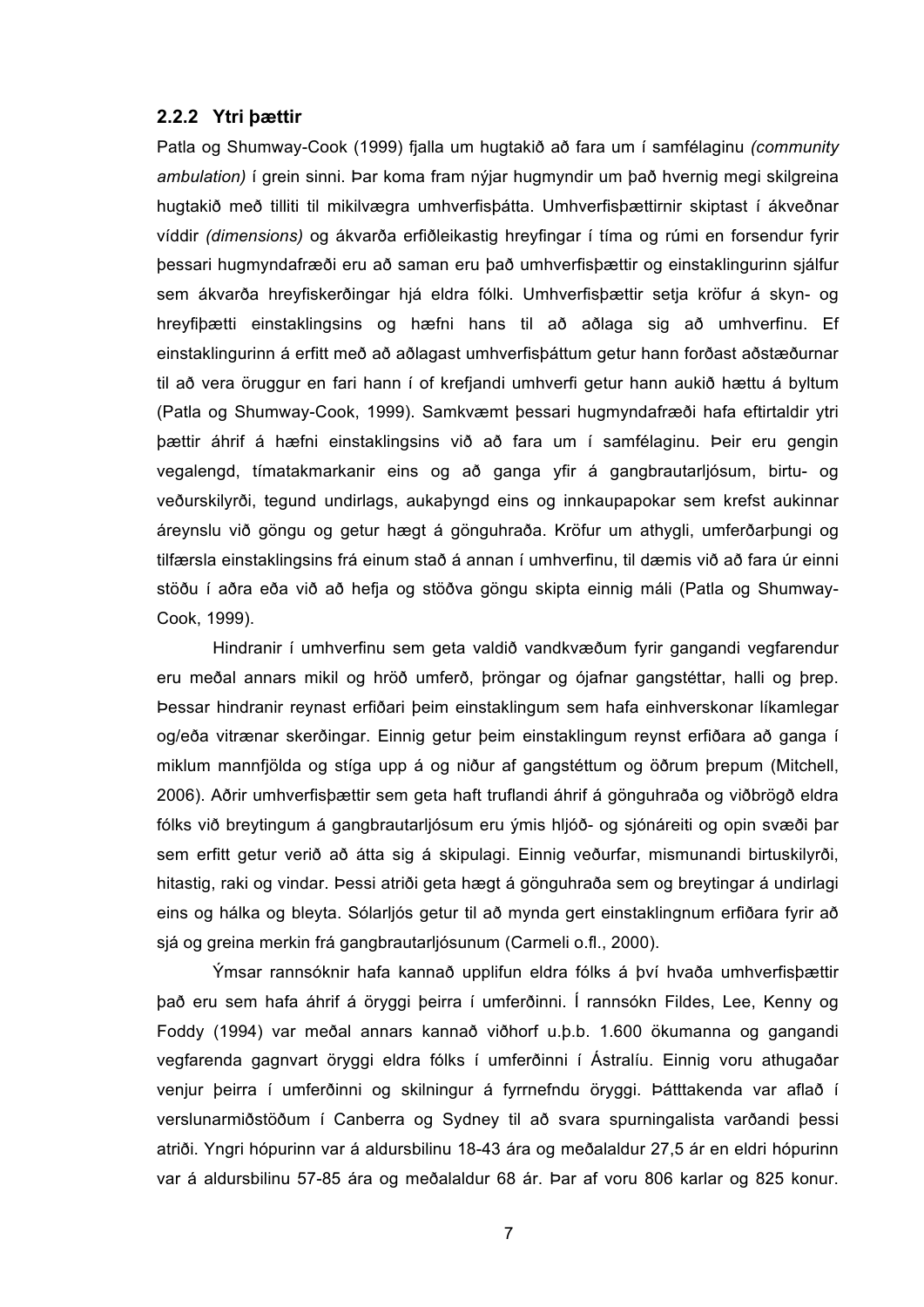#### **2.2.2 Ytri þættir**

Patla og Shumway-Cook (1999) fjalla um hugtakið að fara um í samfélaginu *(community ambulation)* í grein sinni. Þar koma fram nýjar hugmyndir um það hvernig megi skilgreina hugtakið með tilliti til mikilvægra umhverfisþátta. Umhverfisþættirnir skiptast í ákveðnar víddir *(dimensions)* og ákvarða erfiðleikastig hreyfingar í tíma og rúmi en forsendur fyrir þessari hugmyndafræði eru að saman eru það umhverfisþættir og einstaklingurinn sjálfur sem ákvarða hreyfiskerðingar hjá eldra fólki. Umhverfisþættir setja kröfur á skyn- og hreyfiþætti einstaklingsins og hæfni hans til að aðlaga sig að umhverfinu. Ef einstaklingurinn á erfitt með að aðlagast umhverfisþáttum getur hann forðast aðstæðurnar til að vera öruggur en fari hann í of krefjandi umhverfi getur hann aukið hættu á byltum (Patla og Shumway-Cook, 1999). Samkvæmt þessari hugmyndafræði hafa eftirtaldir ytri þættir áhrif á hæfni einstaklingsins við að fara um í samfélaginu. Þeir eru gengin vegalengd, tímatakmarkanir eins og að ganga yfir á gangbrautarljósum, birtu- og veðurskilyrði, tegund undirlags, aukaþyngd eins og innkaupapokar sem krefst aukinnar áreynslu við göngu og getur hægt á gönguhraða. Kröfur um athygli, umferðarþungi og tilfærsla einstaklingsins frá einum stað á annan í umhverfinu, til dæmis við að fara úr einni stöðu í aðra eða við að hefja og stöðva göngu skipta einnig máli (Patla og Shumway-Cook, 1999).

Hindranir í umhverfinu sem geta valdið vandkvæðum fyrir gangandi vegfarendur eru meðal annars mikil og hröð umferð, þröngar og ójafnar gangstéttar, halli og þrep. Þessar hindranir reynast erfiðari þeim einstaklingum sem hafa einhverskonar líkamlegar og/eða vitrænar skerðingar. Einnig getur þeim einstaklingum reynst erfiðara að ganga í miklum mannfjölda og stíga upp á og niður af gangstéttum og öðrum þrepum (Mitchell, 2006). Aðrir umhverfisþættir sem geta haft truflandi áhrif á gönguhraða og viðbrögð eldra fólks við breytingum á gangbrautarljósum eru ýmis hljóð- og sjónáreiti og opin svæði þar sem erfitt getur verið að átta sig á skipulagi. Einnig veðurfar, mismunandi birtuskilyrði, hitastig, raki og vindar. Þessi atriði geta hægt á gönguhraða sem og breytingar á undirlagi eins og hálka og bleyta. Sólarljós getur til að mynda gert einstaklingnum erfiðara fyrir að sjá og greina merkin frá gangbrautarljósunum (Carmeli o.fl., 2000).

Ýmsar rannsóknir hafa kannað upplifun eldra fólks á því hvaða umhverfisþættir það eru sem hafa áhrif á öryggi þeirra í umferðinni. Í rannsókn Fildes, Lee, Kenny og Foddy (1994) var meðal annars kannað viðhorf u.þ.b. 1.600 ökumanna og gangandi vegfarenda gagnvart öryggi eldra fólks í umferðinni í Ástralíu. Einnig voru athugaðar venjur þeirra í umferðinni og skilningur á fyrrnefndu öryggi. Þátttakenda var aflað í verslunarmiðstöðum í Canberra og Sydney til að svara spurningalista varðandi þessi atriði. Yngri hópurinn var á aldursbilinu 18-43 ára og meðalaldur 27,5 ár en eldri hópurinn var á aldursbilinu 57-85 ára og meðalaldur 68 ár. Þar af voru 806 karlar og 825 konur.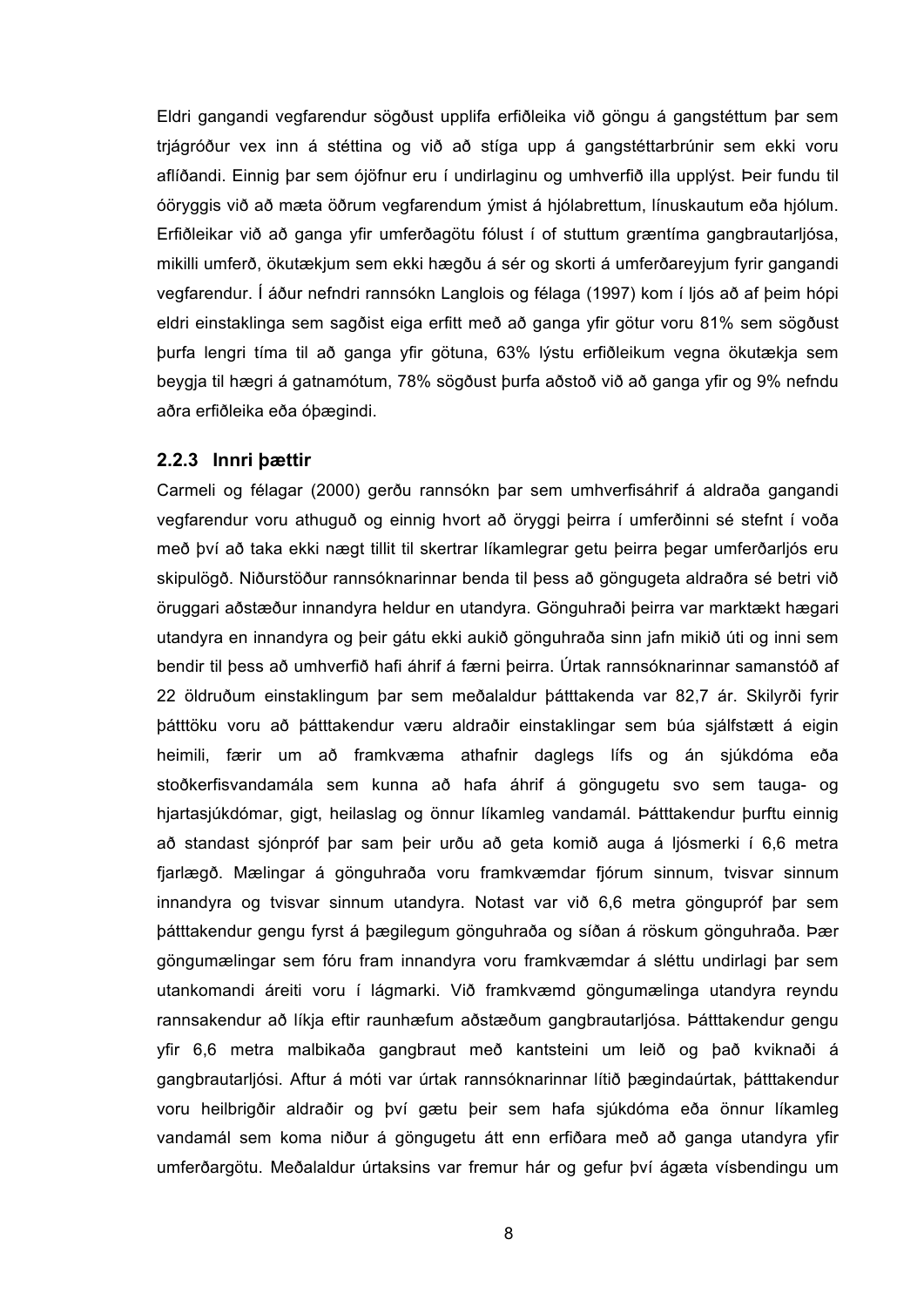Eldri gangandi vegfarendur sögðust upplifa erfiðleika við göngu á gangstéttum þar sem trjágróður vex inn á stéttina og við að stíga upp á gangstéttarbrúnir sem ekki voru aflíðandi. Einnig þar sem ójöfnur eru í undirlaginu og umhverfið illa upplýst. Þeir fundu til óöryggis við að mæta öðrum vegfarendum ýmist á hjólabrettum, línuskautum eða hjólum. Erfiðleikar við að ganga yfir umferðagötu fólust í of stuttum græntíma gangbrautarljósa, mikilli umferð, ökutækjum sem ekki hægðu á sér og skorti á umferðareyjum fyrir gangandi vegfarendur. Í áður nefndri rannsókn Langlois og félaga (1997) kom í ljós að af þeim hópi eldri einstaklinga sem sagðist eiga erfitt með að ganga yfir götur voru 81% sem sögðust þurfa lengri tíma til að ganga yfir götuna, 63% lýstu erfiðleikum vegna ökutækja sem beygja til hægri á gatnamótum, 78% sögðust þurfa aðstoð við að ganga yfir og 9% nefndu aðra erfiðleika eða óþægindi.

#### **2.2.3 Innri þættir**

Carmeli og félagar (2000) gerðu rannsókn þar sem umhverfisáhrif á aldraða gangandi vegfarendur voru athuguð og einnig hvort að öryggi þeirra í umferðinni sé stefnt í voða með því að taka ekki nægt tillit til skertrar líkamlegrar getu þeirra þegar umferðarljós eru skipulögð. Niðurstöður rannsóknarinnar benda til þess að göngugeta aldraðra sé betri við öruggari aðstæður innandyra heldur en utandyra. Gönguhraði þeirra var marktækt hægari utandyra en innandyra og þeir gátu ekki aukið gönguhraða sinn jafn mikið úti og inni sem bendir til þess að umhverfið hafi áhrif á færni þeirra. Úrtak rannsóknarinnar samanstóð af 22 öldruðum einstaklingum þar sem meðalaldur þátttakenda var 82,7 ár. Skilyrði fyrir þátttöku voru að þátttakendur væru aldraðir einstaklingar sem búa sjálfstætt á eigin heimili, færir um að framkvæma athafnir daglegs lífs og án sjúkdóma eða stoðkerfisvandamála sem kunna að hafa áhrif á göngugetu svo sem tauga- og hjartasjúkdómar, gigt, heilaslag og önnur líkamleg vandamál. Þátttakendur þurftu einnig að standast sjónpróf þar sam þeir urðu að geta komið auga á ljósmerki í 6,6 metra fjarlægð. Mælingar á gönguhraða voru framkvæmdar fjórum sinnum, tvisvar sinnum innandyra og tvisvar sinnum utandyra. Notast var við 6,6 metra göngupróf þar sem þátttakendur gengu fyrst á þægilegum gönguhraða og síðan á röskum gönguhraða. Þær göngumælingar sem fóru fram innandyra voru framkvæmdar á sléttu undirlagi þar sem utankomandi áreiti voru í lágmarki. Við framkvæmd göngumælinga utandyra reyndu rannsakendur að líkja eftir raunhæfum aðstæðum gangbrautarljósa. Þátttakendur gengu yfir 6,6 metra malbikaða gangbraut með kantsteini um leið og það kviknaði á gangbrautarljósi. Aftur á móti var úrtak rannsóknarinnar lítið þægindaúrtak, þátttakendur voru heilbrigðir aldraðir og því gætu þeir sem hafa sjúkdóma eða önnur líkamleg vandamál sem koma niður á göngugetu átt enn erfiðara með að ganga utandyra yfir umferðargötu. Meðalaldur úrtaksins var fremur hár og gefur því ágæta vísbendingu um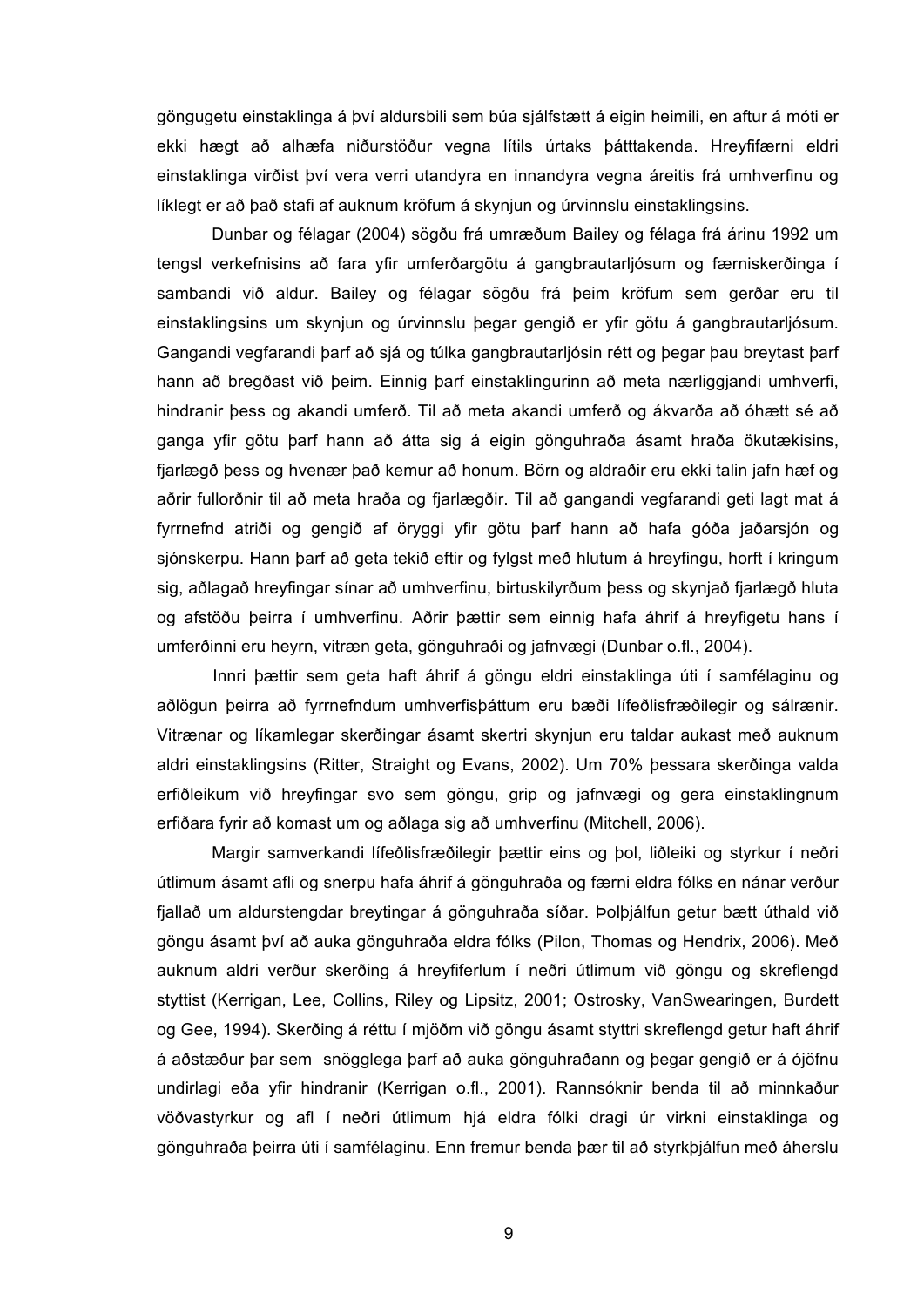göngugetu einstaklinga á því aldursbili sem búa sjálfstætt á eigin heimili, en aftur á móti er ekki hægt að alhæfa niðurstöður vegna lítils úrtaks þátttakenda. Hreyfifærni eldri einstaklinga virðist því vera verri utandyra en innandyra vegna áreitis frá umhverfinu og líklegt er að það stafi af auknum kröfum á skynjun og úrvinnslu einstaklingsins.

Dunbar og félagar (2004) sögðu frá umræðum Bailey og félaga frá árinu 1992 um tengsl verkefnisins að fara yfir umferðargötu á gangbrautarljósum og færniskerðinga í sambandi við aldur. Bailey og félagar sögðu frá þeim kröfum sem gerðar eru til einstaklingsins um skynjun og úrvinnslu þegar gengið er yfir götu á gangbrautarljósum. Gangandi vegfarandi þarf að sjá og túlka gangbrautarljósin rétt og þegar þau breytast þarf hann að bregðast við þeim. Einnig þarf einstaklingurinn að meta nærliggjandi umhverfi, hindranir þess og akandi umferð. Til að meta akandi umferð og ákvarða að óhætt sé að ganga yfir götu þarf hann að átta sig á eigin gönguhraða ásamt hraða ökutækisins, fjarlægð þess og hvenær það kemur að honum. Börn og aldraðir eru ekki talin jafn hæf og aðrir fullorðnir til að meta hraða og fjarlægðir. Til að gangandi vegfarandi geti lagt mat á fyrrnefnd atriði og gengið af öryggi yfir götu þarf hann að hafa góða jaðarsjón og sjónskerpu. Hann þarf að geta tekið eftir og fylgst með hlutum á hreyfingu, horft í kringum sig, aðlagað hreyfingar sínar að umhverfinu, birtuskilyrðum þess og skynjað fjarlægð hluta og afstöðu þeirra í umhverfinu. Aðrir þættir sem einnig hafa áhrif á hreyfigetu hans í umferðinni eru heyrn, vitræn geta, gönguhraði og jafnvægi (Dunbar o.fl., 2004).

Innri þættir sem geta haft áhrif á göngu eldri einstaklinga úti í samfélaginu og aðlögun þeirra að fyrrnefndum umhverfisþáttum eru bæði lífeðlisfræðilegir og sálrænir. Vitrænar og líkamlegar skerðingar ásamt skertri skynjun eru taldar aukast með auknum aldri einstaklingsins (Ritter, Straight og Evans, 2002). Um 70% þessara skerðinga valda erfiðleikum við hreyfingar svo sem göngu, grip og jafnvægi og gera einstaklingnum erfiðara fyrir að komast um og aðlaga sig að umhverfinu (Mitchell, 2006).

Margir samverkandi lífeðlisfræðilegir þættir eins og þol, liðleiki og styrkur í neðri útlimum ásamt afli og snerpu hafa áhrif á gönguhraða og færni eldra fólks en nánar verður fjallað um aldurstengdar breytingar á gönguhraða síðar. Þolþjálfun getur bætt úthald við göngu ásamt því að auka gönguhraða eldra fólks (Pilon, Thomas og Hendrix, 2006). Með auknum aldri verður skerðing á hreyfiferlum í neðri útlimum við göngu og skreflengd styttist (Kerrigan, Lee, Collins, Riley og Lipsitz, 2001; Ostrosky, VanSwearingen, Burdett og Gee, 1994). Skerðing á réttu í mjöðm við göngu ásamt styttri skreflengd getur haft áhrif á aðstæður þar sem snögglega þarf að auka gönguhraðann og þegar gengið er á ójöfnu undirlagi eða yfir hindranir (Kerrigan o.fl., 2001). Rannsóknir benda til að minnkaður vöðvastyrkur og afl í neðri útlimum hjá eldra fólki dragi úr virkni einstaklinga og gönguhraða þeirra úti í samfélaginu. Enn fremur benda þær til að styrkþjálfun með áherslu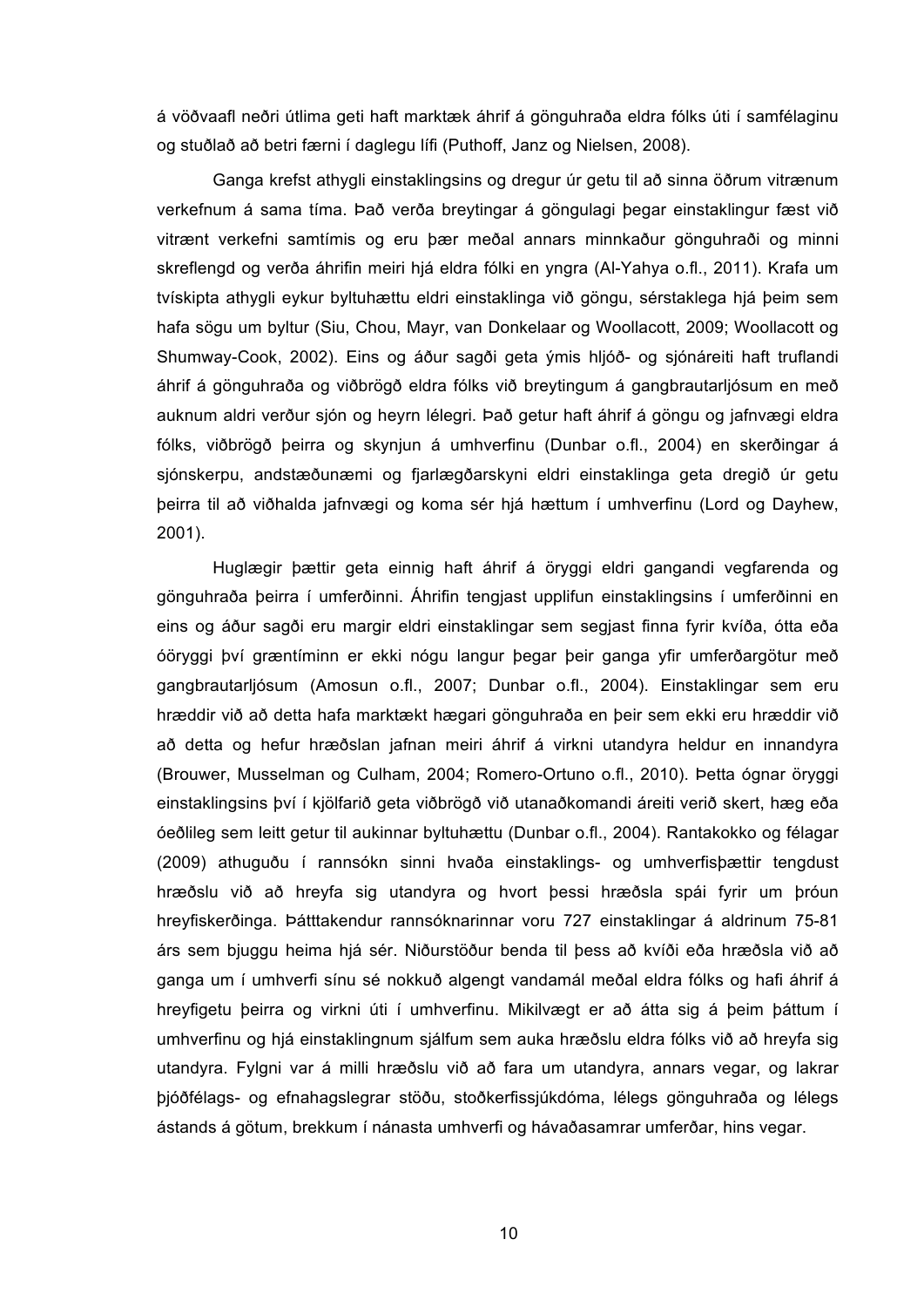á vöðvaafl neðri útlima geti haft marktæk áhrif á gönguhraða eldra fólks úti í samfélaginu og stuðlað að betri færni í daglegu lífi (Puthoff, Janz og Nielsen, 2008).

Ganga krefst athygli einstaklingsins og dregur úr getu til að sinna öðrum vitrænum verkefnum á sama tíma. Það verða breytingar á göngulagi þegar einstaklingur fæst við vitrænt verkefni samtímis og eru þær meðal annars minnkaður gönguhraði og minni skreflengd og verða áhrifin meiri hjá eldra fólki en yngra (Al-Yahya o.fl., 2011). Krafa um tvískipta athygli eykur byltuhættu eldri einstaklinga við göngu, sérstaklega hjá þeim sem hafa sögu um byltur (Siu, Chou, Mayr, van Donkelaar og Woollacott, 2009; Woollacott og Shumway-Cook, 2002). Eins og áður sagði geta ýmis hljóð- og sjónáreiti haft truflandi áhrif á gönguhraða og viðbrögð eldra fólks við breytingum á gangbrautarljósum en með auknum aldri verður sjón og heyrn lélegri. Það getur haft áhrif á göngu og jafnvægi eldra fólks, viðbrögð þeirra og skynjun á umhverfinu (Dunbar o.fl., 2004) en skerðingar á sjónskerpu, andstæðunæmi og fjarlægðarskyni eldri einstaklinga geta dregið úr getu þeirra til að viðhalda jafnvægi og koma sér hjá hættum í umhverfinu (Lord og Dayhew, 2001).

Huglægir þættir geta einnig haft áhrif á öryggi eldri gangandi vegfarenda og gönguhraða þeirra í umferðinni. Áhrifin tengjast upplifun einstaklingsins í umferðinni en eins og áður sagði eru margir eldri einstaklingar sem segjast finna fyrir kvíða, ótta eða óöryggi því græntíminn er ekki nógu langur þegar þeir ganga yfir umferðargötur með gangbrautarljósum (Amosun o.fl., 2007; Dunbar o.fl., 2004). Einstaklingar sem eru hræddir við að detta hafa marktækt hægari gönguhraða en þeir sem ekki eru hræddir við að detta og hefur hræðslan jafnan meiri áhrif á virkni utandyra heldur en innandyra (Brouwer, Musselman og Culham, 2004; Romero-Ortuno o.fl., 2010). Þetta ógnar öryggi einstaklingsins því í kjölfarið geta viðbrögð við utanaðkomandi áreiti verið skert, hæg eða óeðlileg sem leitt getur til aukinnar byltuhættu (Dunbar o.fl., 2004). Rantakokko og félagar (2009) athuguðu í rannsókn sinni hvaða einstaklings- og umhverfisþættir tengdust hræðslu við að hreyfa sig utandyra og hvort þessi hræðsla spái fyrir um þróun hreyfiskerðinga. Þátttakendur rannsóknarinnar voru 727 einstaklingar á aldrinum 75-81 árs sem bjuggu heima hjá sér. Niðurstöður benda til þess að kvíði eða hræðsla við að ganga um í umhverfi sínu sé nokkuð algengt vandamál meðal eldra fólks og hafi áhrif á hreyfigetu þeirra og virkni úti í umhverfinu. Mikilvægt er að átta sig á þeim þáttum í umhverfinu og hjá einstaklingnum sjálfum sem auka hræðslu eldra fólks við að hreyfa sig utandyra. Fylgni var á milli hræðslu við að fara um utandyra, annars vegar, og lakrar þjóðfélags- og efnahagslegrar stöðu, stoðkerfissjúkdóma, lélegs gönguhraða og lélegs ástands á götum, brekkum í nánasta umhverfi og hávaðasamrar umferðar, hins vegar.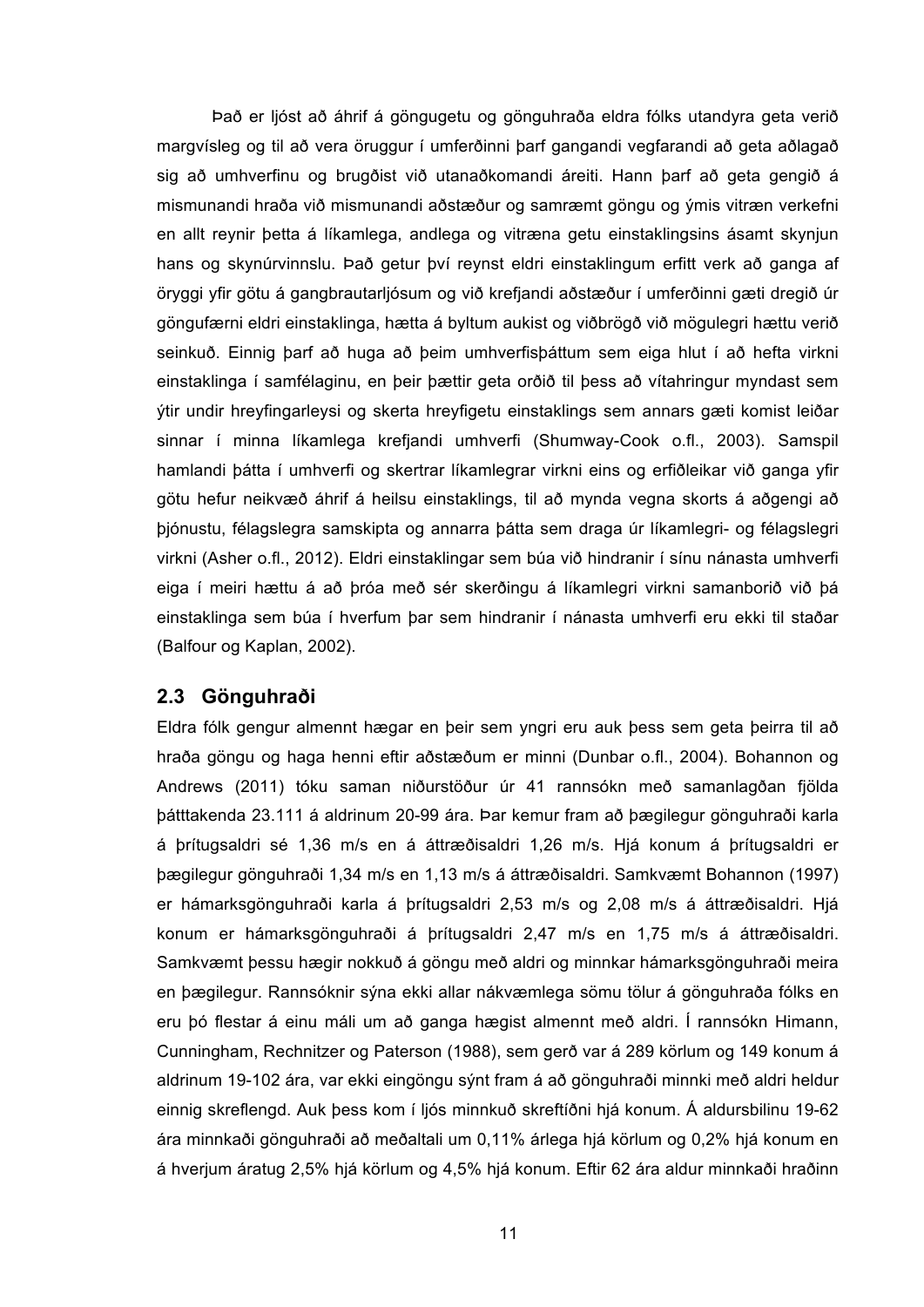Það er ljóst að áhrif á göngugetu og gönguhraða eldra fólks utandyra geta verið margvísleg og til að vera öruggur í umferðinni þarf gangandi vegfarandi að geta aðlagað sig að umhverfinu og brugðist við utanaðkomandi áreiti. Hann þarf að geta gengið á mismunandi hraða við mismunandi aðstæður og samræmt göngu og ýmis vitræn verkefni en allt reynir þetta á líkamlega, andlega og vitræna getu einstaklingsins ásamt skynjun hans og skynúrvinnslu. Það getur því reynst eldri einstaklingum erfitt verk að ganga af öryggi yfir götu á gangbrautarljósum og við krefjandi aðstæður í umferðinni gæti dregið úr göngufærni eldri einstaklinga, hætta á byltum aukist og viðbrögð við mögulegri hættu verið seinkuð. Einnig þarf að huga að þeim umhverfisþáttum sem eiga hlut í að hefta virkni einstaklinga í samfélaginu, en þeir þættir geta orðið til þess að vítahringur myndast sem ýtir undir hreyfingarleysi og skerta hreyfigetu einstaklings sem annars gæti komist leiðar sinnar í minna líkamlega krefjandi umhverfi (Shumway-Cook o.fl., 2003). Samspil hamlandi þátta í umhverfi og skertrar líkamlegrar virkni eins og erfiðleikar við ganga yfir götu hefur neikvæð áhrif á heilsu einstaklings, til að mynda vegna skorts á aðgengi að þjónustu, félagslegra samskipta og annarra þátta sem draga úr líkamlegri- og félagslegri virkni (Asher o.fl., 2012). Eldri einstaklingar sem búa við hindranir í sínu nánasta umhverfi eiga í meiri hættu á að þróa með sér skerðingu á líkamlegri virkni samanborið við þá einstaklinga sem búa í hverfum þar sem hindranir í nánasta umhverfi eru ekki til staðar (Balfour og Kaplan, 2002).

#### **2.3 Gönguhraði**

Eldra fólk gengur almennt hægar en þeir sem yngri eru auk þess sem geta þeirra til að hraða göngu og haga henni eftir aðstæðum er minni (Dunbar o.fl., 2004). Bohannon og Andrews (2011) tóku saman niðurstöður úr 41 rannsókn með samanlagðan fjölda þátttakenda 23.111 á aldrinum 20-99 ára. Þar kemur fram að þægilegur gönguhraði karla á þrítugsaldri sé 1,36 m/s en á áttræðisaldri 1,26 m/s. Hjá konum á þrítugsaldri er þægilegur gönguhraði 1,34 m/s en 1,13 m/s á áttræðisaldri. Samkvæmt Bohannon (1997) er hámarksgönguhraði karla á þrítugsaldri 2,53 m/s og 2,08 m/s á áttræðisaldri. Hjá konum er hámarksgönguhraði á þrítugsaldri 2,47 m/s en 1,75 m/s á áttræðisaldri. Samkvæmt þessu hægir nokkuð á göngu með aldri og minnkar hámarksgönguhraði meira en þægilegur. Rannsóknir sýna ekki allar nákvæmlega sömu tölur á gönguhraða fólks en eru þó flestar á einu máli um að ganga hægist almennt með aldri. Í rannsókn Himann, Cunningham, Rechnitzer og Paterson (1988), sem gerð var á 289 körlum og 149 konum á aldrinum 19-102 ára, var ekki eingöngu sýnt fram á að gönguhraði minnki með aldri heldur einnig skreflengd. Auk þess kom í ljós minnkuð skreftíðni hjá konum. Á aldursbilinu 19-62 ára minnkaði gönguhraði að meðaltali um 0,11% árlega hjá körlum og 0,2% hjá konum en á hverjum áratug 2,5% hjá körlum og 4,5% hjá konum. Eftir 62 ára aldur minnkaði hraðinn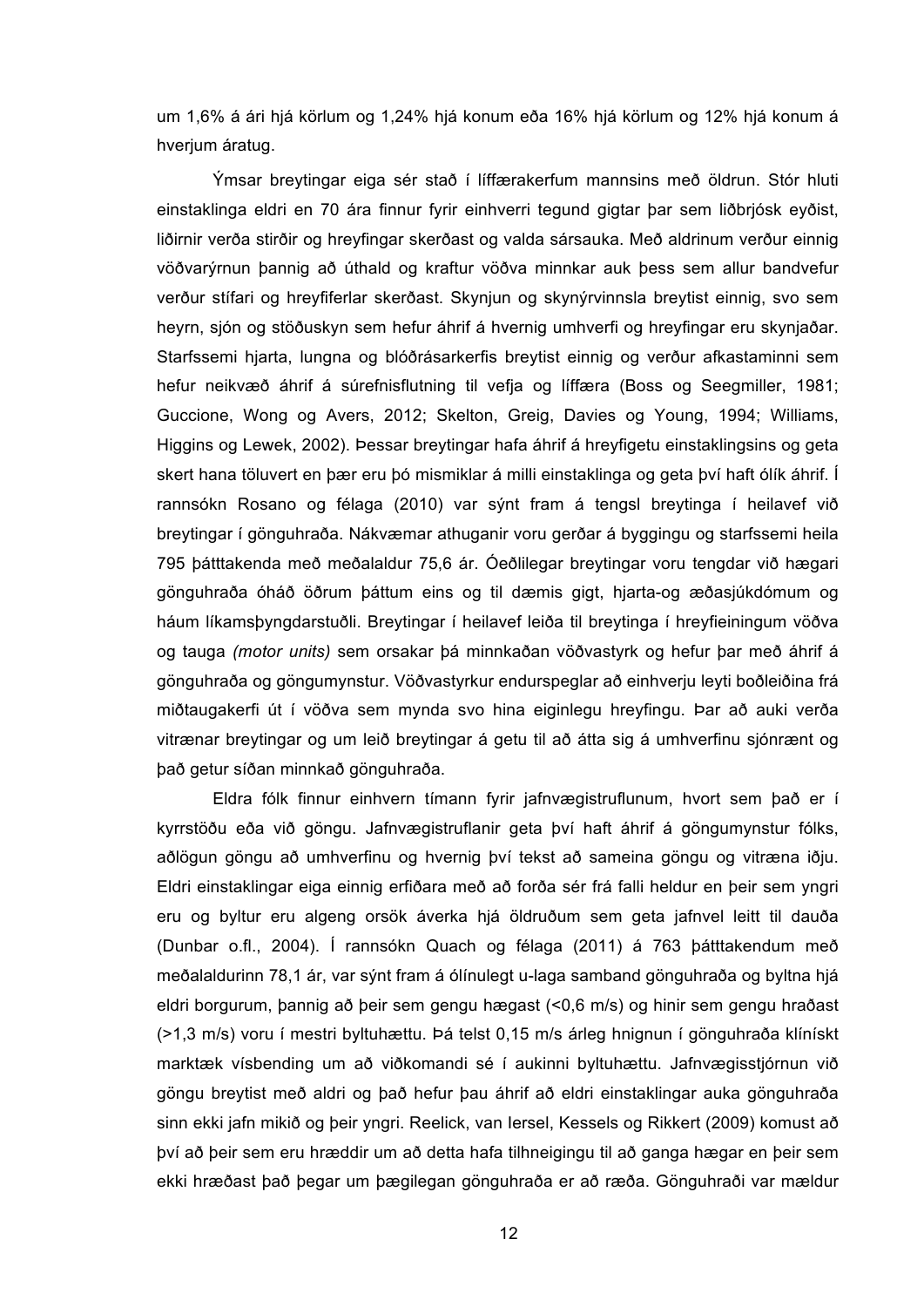um 1,6% á ári hjá körlum og 1,24% hjá konum eða 16% hjá körlum og 12% hjá konum á hverjum áratug.

Ýmsar breytingar eiga sér stað í líffærakerfum mannsins með öldrun. Stór hluti einstaklinga eldri en 70 ára finnur fyrir einhverri tegund gigtar þar sem liðbrjósk eyðist, liðirnir verða stirðir og hreyfingar skerðast og valda sársauka. Með aldrinum verður einnig vöðvarýrnun þannig að úthald og kraftur vöðva minnkar auk þess sem allur bandvefur verður stífari og hreyfiferlar skerðast. Skynjun og skynýrvinnsla breytist einnig, svo sem heyrn, sjón og stöðuskyn sem hefur áhrif á hvernig umhverfi og hreyfingar eru skynjaðar. Starfssemi hjarta, lungna og blóðrásarkerfis breytist einnig og verður afkastaminni sem hefur neikvæð áhrif á súrefnisflutning til vefja og líffæra (Boss og Seegmiller, 1981; Guccione, Wong og Avers, 2012; Skelton, Greig, Davies og Young, 1994; Williams, Higgins og Lewek, 2002). Þessar breytingar hafa áhrif á hreyfigetu einstaklingsins og geta skert hana töluvert en þær eru þó mismiklar á milli einstaklinga og geta því haft ólík áhrif. Í rannsókn Rosano og félaga (2010) var sýnt fram á tengsl breytinga í heilavef við breytingar í gönguhraða. Nákvæmar athuganir voru gerðar á byggingu og starfssemi heila 795 þátttakenda með meðalaldur 75,6 ár. Óeðlilegar breytingar voru tengdar við hægari gönguhraða óháð öðrum þáttum eins og til dæmis gigt, hjarta-og æðasjúkdómum og háum líkamsþyngdarstuðli. Breytingar í heilavef leiða til breytinga í hreyfieiningum vöðva og tauga *(motor units)* sem orsakar þá minnkaðan vöðvastyrk og hefur þar með áhrif á gönguhraða og göngumynstur. Vöðvastyrkur endurspeglar að einhverju leyti boðleiðina frá miðtaugakerfi út í vöðva sem mynda svo hina eiginlegu hreyfingu. Þar að auki verða vitrænar breytingar og um leið breytingar á getu til að átta sig á umhverfinu sjónrænt og það getur síðan minnkað gönguhraða.

Eldra fólk finnur einhvern tímann fyrir jafnvægistruflunum, hvort sem það er í kyrrstöðu eða við göngu. Jafnvægistruflanir geta því haft áhrif á göngumynstur fólks, aðlögun göngu að umhverfinu og hvernig því tekst að sameina göngu og vitræna iðju. Eldri einstaklingar eiga einnig erfiðara með að forða sér frá falli heldur en þeir sem yngri eru og byltur eru algeng orsök áverka hjá öldruðum sem geta jafnvel leitt til dauða (Dunbar o.fl., 2004). Í rannsókn Quach og félaga (2011) á 763 þátttakendum með meðalaldurinn 78,1 ár, var sýnt fram á ólínulegt u-laga samband gönguhraða og byltna hjá eldri borgurum, þannig að þeir sem gengu hægast (<0,6 m/s) og hinir sem gengu hraðast (>1,3 m/s) voru í mestri byltuhættu. Þá telst 0,15 m/s árleg hnignun í gönguhraða klínískt marktæk vísbending um að viðkomandi sé í aukinni byltuhættu. Jafnvægisstjórnun við göngu breytist með aldri og það hefur þau áhrif að eldri einstaklingar auka gönguhraða sinn ekki jafn mikið og þeir yngri. Reelick, van Iersel, Kessels og Rikkert (2009) komust að því að þeir sem eru hræddir um að detta hafa tilhneigingu til að ganga hægar en þeir sem ekki hræðast það þegar um þægilegan gönguhraða er að ræða. Gönguhraði var mældur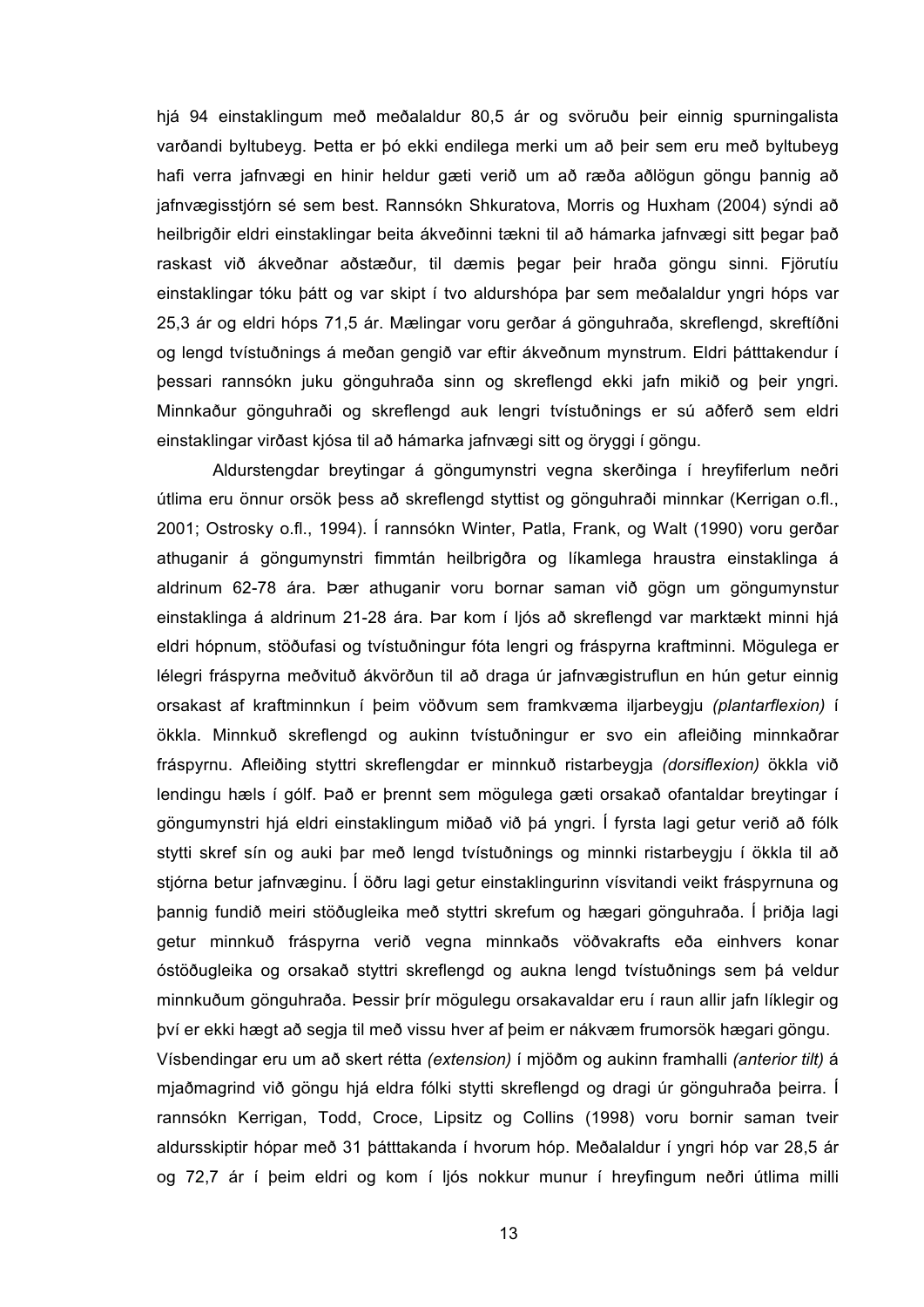hjá 94 einstaklingum með meðalaldur 80,5 ár og svöruðu þeir einnig spurningalista varðandi byltubeyg. Þetta er þó ekki endilega merki um að þeir sem eru með byltubeyg hafi verra jafnvægi en hinir heldur gæti verið um að ræða aðlögun göngu þannig að jafnvægisstjórn sé sem best. Rannsókn Shkuratova, Morris og Huxham (2004) sýndi að heilbrigðir eldri einstaklingar beita ákveðinni tækni til að hámarka jafnvægi sitt þegar það raskast við ákveðnar aðstæður, til dæmis þegar þeir hraða göngu sinni. Fjörutíu einstaklingar tóku þátt og var skipt í tvo aldurshópa þar sem meðalaldur yngri hóps var 25,3 ár og eldri hóps 71,5 ár. Mælingar voru gerðar á gönguhraða, skreflengd, skreftíðni og lengd tvístuðnings á meðan gengið var eftir ákveðnum mynstrum. Eldri þátttakendur í þessari rannsókn juku gönguhraða sinn og skreflengd ekki jafn mikið og þeir yngri. Minnkaður gönguhraði og skreflengd auk lengri tvístuðnings er sú aðferð sem eldri einstaklingar virðast kjósa til að hámarka jafnvægi sitt og öryggi í göngu.

Aldurstengdar breytingar á göngumynstri vegna skerðinga í hreyfiferlum neðri útlima eru önnur orsök þess að skreflengd styttist og gönguhraði minnkar (Kerrigan o.fl., 2001; Ostrosky o.fl., 1994). Í rannsókn Winter, Patla, Frank, og Walt (1990) voru gerðar athuganir á göngumynstri fimmtán heilbrigðra og líkamlega hraustra einstaklinga á aldrinum 62-78 ára. Þær athuganir voru bornar saman við gögn um göngumynstur einstaklinga á aldrinum 21-28 ára. Þar kom í ljós að skreflengd var marktækt minni hjá eldri hópnum, stöðufasi og tvístuðningur fóta lengri og fráspyrna kraftminni. Mögulega er lélegri fráspyrna meðvituð ákvörðun til að draga úr jafnvægistruflun en hún getur einnig orsakast af kraftminnkun í þeim vöðvum sem framkvæma iljarbeygju *(plantarflexion)* í ökkla. Minnkuð skreflengd og aukinn tvístuðningur er svo ein afleiðing minnkaðrar fráspyrnu. Afleiðing styttri skreflengdar er minnkuð ristarbeygja *(dorsiflexion)* ökkla við lendingu hæls í gólf. Það er þrennt sem mögulega gæti orsakað ofantaldar breytingar í göngumynstri hjá eldri einstaklingum miðað við þá yngri. Í fyrsta lagi getur verið að fólk stytti skref sín og auki þar með lengd tvístuðnings og minnki ristarbeygju í ökkla til að stjórna betur jafnvæginu. Í öðru lagi getur einstaklingurinn vísvitandi veikt fráspyrnuna og þannig fundið meiri stöðugleika með styttri skrefum og hægari gönguhraða. Í þriðja lagi getur minnkuð fráspyrna verið vegna minnkaðs vöðvakrafts eða einhvers konar óstöðugleika og orsakað styttri skreflengd og aukna lengd tvístuðnings sem þá veldur minnkuðum gönguhraða. Þessir þrír mögulegu orsakavaldar eru í raun allir jafn líklegir og því er ekki hægt að segja til með vissu hver af þeim er nákvæm frumorsök hægari göngu. Vísbendingar eru um að skert rétta *(extension)* í mjöðm og aukinn framhalli *(anterior tilt)* á

mjaðmagrind við göngu hjá eldra fólki stytti skreflengd og dragi úr gönguhraða þeirra. Í rannsókn Kerrigan, Todd, Croce, Lipsitz og Collins (1998) voru bornir saman tveir aldursskiptir hópar með 31 þátttakanda í hvorum hóp. Meðalaldur í yngri hóp var 28,5 ár og 72,7 ár í þeim eldri og kom í ljós nokkur munur í hreyfingum neðri útlima milli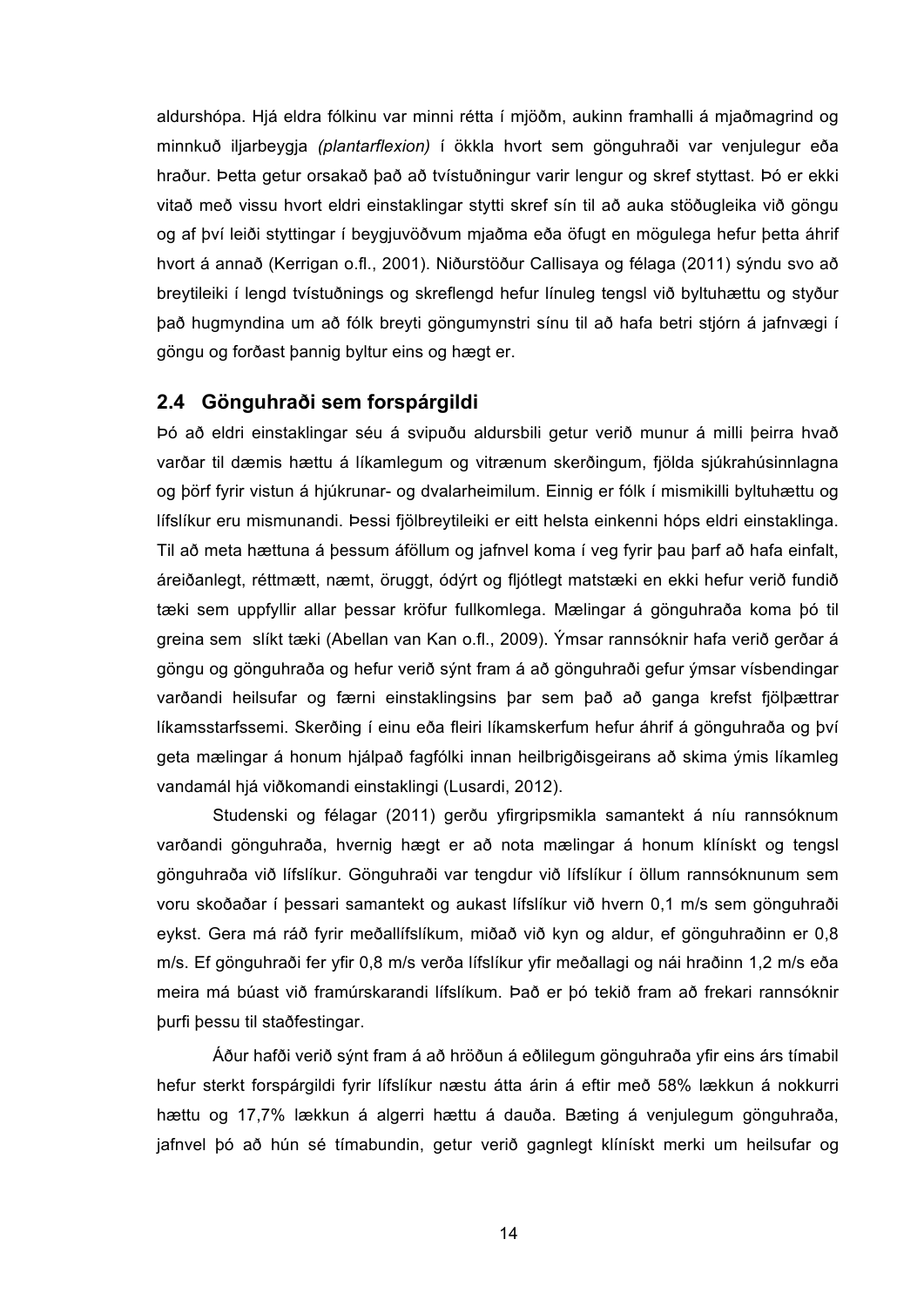aldurshópa. Hjá eldra fólkinu var minni rétta í mjöðm, aukinn framhalli á mjaðmagrind og minnkuð iljarbeygja *(plantarflexion)* í ökkla hvort sem gönguhraði var venjulegur eða hraður. Þetta getur orsakað það að tvístuðningur varir lengur og skref styttast. Þó er ekki vitað með vissu hvort eldri einstaklingar stytti skref sín til að auka stöðugleika við göngu og af því leiði styttingar í beygjuvöðvum mjaðma eða öfugt en mögulega hefur þetta áhrif hvort á annað (Kerrigan o.fl., 2001). Niðurstöður Callisaya og félaga (2011) sýndu svo að breytileiki í lengd tvístuðnings og skreflengd hefur línuleg tengsl við byltuhættu og styður það hugmyndina um að fólk breyti göngumynstri sínu til að hafa betri stjórn á jafnvægi í göngu og forðast þannig byltur eins og hægt er.

#### **2.4 Gönguhraði sem forspárgildi**

Þó að eldri einstaklingar séu á svipuðu aldursbili getur verið munur á milli þeirra hvað varðar til dæmis hættu á líkamlegum og vitrænum skerðingum, fjölda sjúkrahúsinnlagna og þörf fyrir vistun á hjúkrunar- og dvalarheimilum. Einnig er fólk í mismikilli byltuhættu og lífslíkur eru mismunandi. Þessi fjölbreytileiki er eitt helsta einkenni hóps eldri einstaklinga. Til að meta hættuna á þessum áföllum og jafnvel koma í veg fyrir þau þarf að hafa einfalt, áreiðanlegt, réttmætt, næmt, öruggt, ódýrt og fljótlegt matstæki en ekki hefur verið fundið tæki sem uppfyllir allar þessar kröfur fullkomlega. Mælingar á gönguhraða koma þó til greina sem slíkt tæki (Abellan van Kan o.fl., 2009). Ýmsar rannsóknir hafa verið gerðar á göngu og gönguhraða og hefur verið sýnt fram á að gönguhraði gefur ýmsar vísbendingar varðandi heilsufar og færni einstaklingsins þar sem það að ganga krefst fjölþættrar líkamsstarfssemi. Skerðing í einu eða fleiri líkamskerfum hefur áhrif á gönguhraða og því geta mælingar á honum hjálpað fagfólki innan heilbrigðisgeirans að skima ýmis líkamleg vandamál hjá viðkomandi einstaklingi (Lusardi, 2012).

Studenski og félagar (2011) gerðu yfirgripsmikla samantekt á níu rannsóknum varðandi gönguhraða, hvernig hægt er að nota mælingar á honum klínískt og tengsl gönguhraða við lífslíkur. Gönguhraði var tengdur við lífslíkur í öllum rannsóknunum sem voru skoðaðar í þessari samantekt og aukast lífslíkur við hvern 0,1 m/s sem gönguhraði eykst. Gera má ráð fyrir meðallífslíkum, miðað við kyn og aldur, ef gönguhraðinn er 0,8 m/s. Ef gönguhraði fer yfir 0,8 m/s verða lífslíkur yfir meðallagi og nái hraðinn 1,2 m/s eða meira má búast við framúrskarandi lífslíkum. Það er þó tekið fram að frekari rannsóknir þurfi þessu til staðfestingar.

Áður hafði verið sýnt fram á að hröðun á eðlilegum gönguhraða yfir eins árs tímabil hefur sterkt forspárgildi fyrir lífslíkur næstu átta árin á eftir með 58% lækkun á nokkurri hættu og 17,7% lækkun á algerri hættu á dauða. Bæting á venjulegum gönguhraða, jafnvel þó að hún sé tímabundin, getur verið gagnlegt klínískt merki um heilsufar og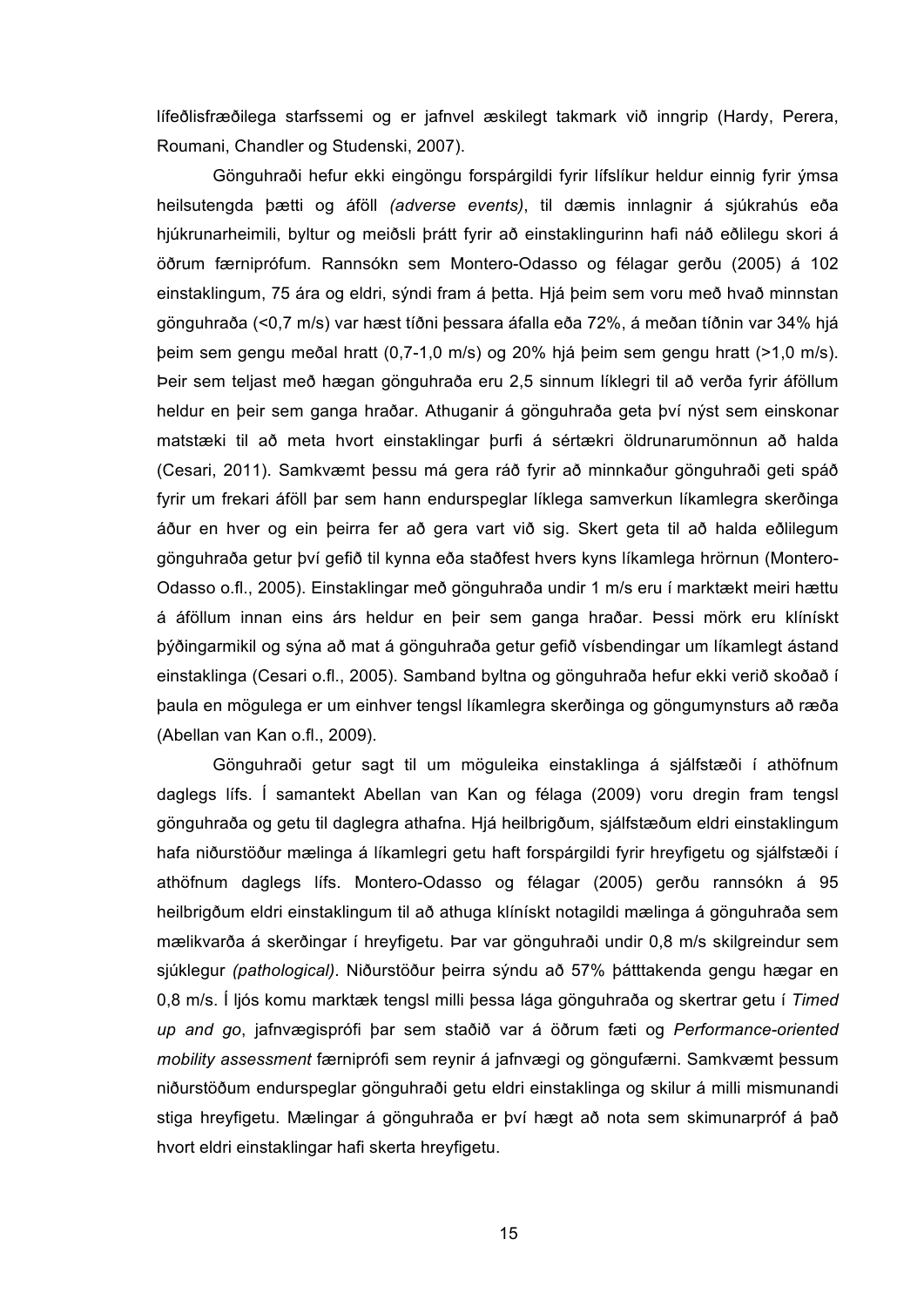lífeðlisfræðilega starfssemi og er jafnvel æskilegt takmark við inngrip (Hardy, Perera, Roumani, Chandler og Studenski, 2007).

Gönguhraði hefur ekki eingöngu forspárgildi fyrir lífslíkur heldur einnig fyrir ýmsa heilsutengda þætti og áföll *(adverse events)*, til dæmis innlagnir á sjúkrahús eða hjúkrunarheimili, byltur og meiðsli þrátt fyrir að einstaklingurinn hafi náð eðlilegu skori á öðrum færniprófum*.* Rannsókn sem Montero-Odasso og félagar gerðu (2005) á 102 einstaklingum, 75 ára og eldri, sýndi fram á þetta. Hjá þeim sem voru með hvað minnstan gönguhraða (<0,7 m/s) var hæst tíðni þessara áfalla eða 72%, á meðan tíðnin var 34% hjá þeim sem gengu meðal hratt (0,7-1,0 m/s) og 20% hjá þeim sem gengu hratt (>1,0 m/s). Þeir sem teljast með hægan gönguhraða eru 2,5 sinnum líklegri til að verða fyrir áföllum heldur en þeir sem ganga hraðar. Athuganir á gönguhraða geta því nýst sem einskonar matstæki til að meta hvort einstaklingar þurfi á sértækri öldrunarumönnun að halda (Cesari, 2011). Samkvæmt þessu má gera ráð fyrir að minnkaður gönguhraði geti spáð fyrir um frekari áföll þar sem hann endurspeglar líklega samverkun líkamlegra skerðinga áður en hver og ein þeirra fer að gera vart við sig. Skert geta til að halda eðlilegum gönguhraða getur því gefið til kynna eða staðfest hvers kyns líkamlega hrörnun (Montero-Odasso o.fl., 2005). Einstaklingar með gönguhraða undir 1 m/s eru í marktækt meiri hættu á áföllum innan eins árs heldur en þeir sem ganga hraðar. Þessi mörk eru klínískt þýðingarmikil og sýna að mat á gönguhraða getur gefið vísbendingar um líkamlegt ástand einstaklinga (Cesari o.fl., 2005). Samband byltna og gönguhraða hefur ekki verið skoðað í þaula en mögulega er um einhver tengsl líkamlegra skerðinga og göngumynsturs að ræða (Abellan van Kan o.fl., 2009).

Gönguhraði getur sagt til um möguleika einstaklinga á sjálfstæði í athöfnum daglegs lífs. Í samantekt Abellan van Kan og félaga (2009) voru dregin fram tengsl gönguhraða og getu til daglegra athafna. Hjá heilbrigðum, sjálfstæðum eldri einstaklingum hafa niðurstöður mælinga á líkamlegri getu haft forspárgildi fyrir hreyfigetu og sjálfstæði í athöfnum daglegs lífs. Montero-Odasso og félagar (2005) gerðu rannsókn á 95 heilbrigðum eldri einstaklingum til að athuga klínískt notagildi mælinga á gönguhraða sem mælikvarða á skerðingar í hreyfigetu. Þar var gönguhraði undir 0,8 m/s skilgreindur sem sjúklegur *(pathological)*. Niðurstöður þeirra sýndu að 57% þátttakenda gengu hægar en 0,8 m/s. Í ljós komu marktæk tengsl milli þessa lága gönguhraða og skertrar getu í *Timed up and go*, jafnvægisprófi þar sem staðið var á öðrum fæti og *Performance-oriented mobility assessment* færniprófi sem reynir á jafnvægi og göngufærni. Samkvæmt þessum niðurstöðum endurspeglar gönguhraði getu eldri einstaklinga og skilur á milli mismunandi stiga hreyfigetu. Mælingar á gönguhraða er því hægt að nota sem skimunarpróf á það hvort eldri einstaklingar hafi skerta hreyfigetu.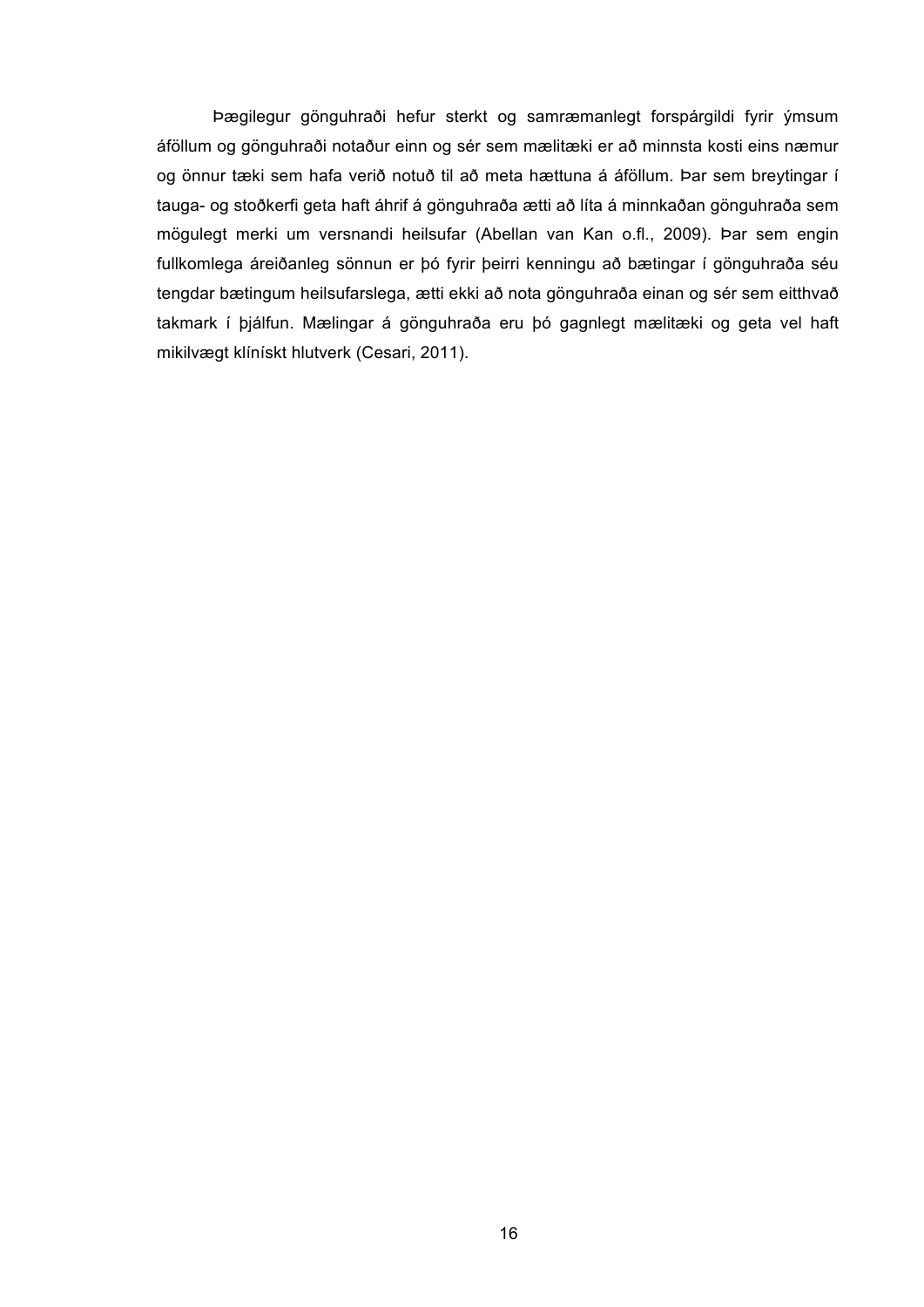Þægilegur gönguhraði hefur sterkt og samræmanlegt forspárgildi fyrir ýmsum áföllum og gönguhraði notaður einn og sér sem mælitæki er að minnsta kosti eins næmur og önnur tæki sem hafa verið notuð til að meta hættuna á áföllum. Þar sem breytingar í tauga- og stoðkerfi geta haft áhrif á gönguhraða ætti að líta á minnkaðan gönguhraða sem mögulegt merki um versnandi heilsufar (Abellan van Kan o.fl., 2009). Þar sem engin fullkomlega áreiðanleg sönnun er þó fyrir þeirri kenningu að bætingar í gönguhraða séu tengdar bætingum heilsufarslega, ætti ekki að nota gönguhraða einan og sér sem eitthvað takmark í þjálfun. Mælingar á gönguhraða eru þó gagnlegt mælitæki og geta vel haft mikilvægt klínískt hlutverk (Cesari, 2011).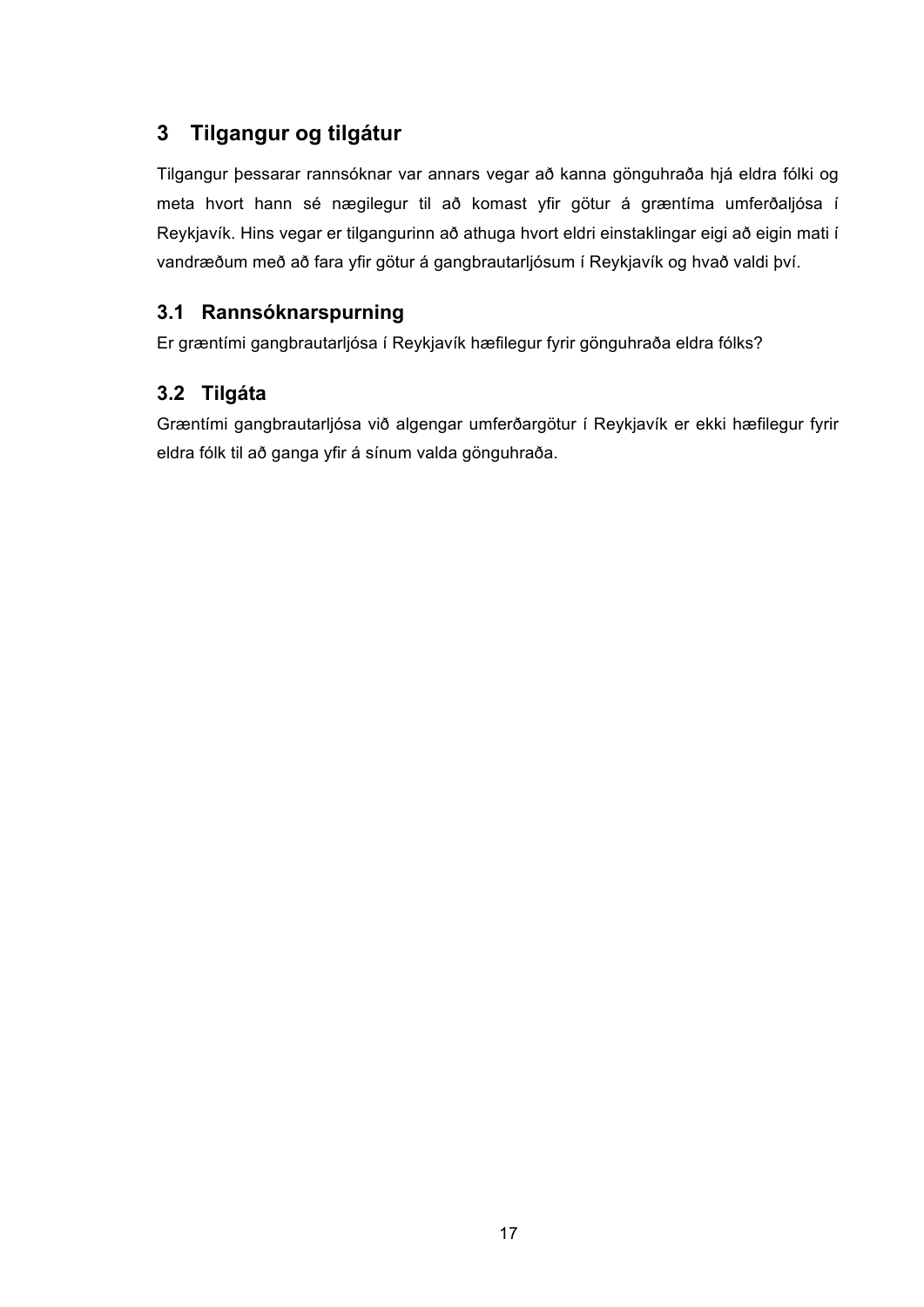## **3 Tilgangur og tilgátur**

Tilgangur þessarar rannsóknar var annars vegar að kanna gönguhraða hjá eldra fólki og meta hvort hann sé nægilegur til að komast yfir götur á græntíma umferðaljósa í Reykjavík. Hins vegar er tilgangurinn að athuga hvort eldri einstaklingar eigi að eigin mati í vandræðum með að fara yfir götur á gangbrautarljósum í Reykjavík og hvað valdi því.

## **3.1 Rannsóknarspurning**

Er græntími gangbrautarljósa í Reykjavík hæfilegur fyrir gönguhraða eldra fólks?

## **3.2 Tilgáta**

Græntími gangbrautarljósa við algengar umferðargötur í Reykjavík er ekki hæfilegur fyrir eldra fólk til að ganga yfir á sínum valda gönguhraða.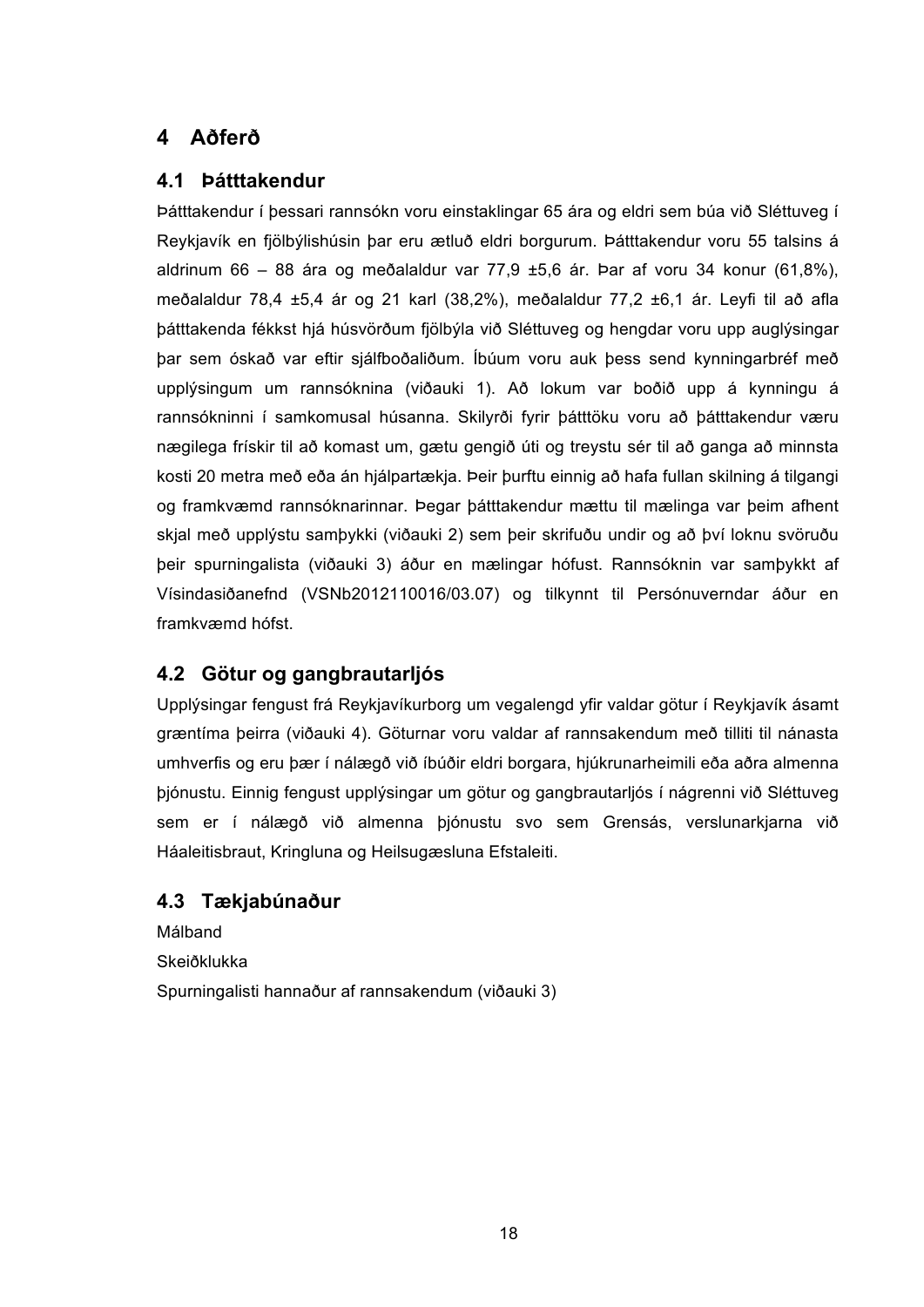## **4 Aðferð**

### **4.1 Þátttakendur**

Þátttakendur í þessari rannsókn voru einstaklingar 65 ára og eldri sem búa við Sléttuveg í Reykjavík en fjölbýlishúsin þar eru ætluð eldri borgurum. Þátttakendur voru 55 talsins á aldrinum 66 – 88 ára og meðalaldur var 77,9 ±5,6 ár. Þar af voru 34 konur (61,8%), meðalaldur 78,4 ±5,4 ár og 21 karl (38,2%), meðalaldur 77,2 ±6,1 ár. Leyfi til að afla þátttakenda fékkst hjá húsvörðum fjölbýla við Sléttuveg og hengdar voru upp auglýsingar þar sem óskað var eftir sjálfboðaliðum. Íbúum voru auk þess send kynningarbréf með upplýsingum um rannsóknina (viðauki 1). Að lokum var boðið upp á kynningu á rannsókninni í samkomusal húsanna. Skilyrði fyrir þátttöku voru að þátttakendur væru nægilega frískir til að komast um, gætu gengið úti og treystu sér til að ganga að minnsta kosti 20 metra með eða án hjálpartækja. Þeir þurftu einnig að hafa fullan skilning á tilgangi og framkvæmd rannsóknarinnar. Þegar þátttakendur mættu til mælinga var þeim afhent skjal með upplýstu samþykki (viðauki 2) sem þeir skrifuðu undir og að því loknu svöruðu þeir spurningalista (viðauki 3) áður en mælingar hófust. Rannsóknin var samþykkt af Vísindasiðanefnd (VSNb2012110016/03.07) og tilkynnt til Persónuverndar áður en framkvæmd hófst.

## **4.2 Götur og gangbrautarljós**

Upplýsingar fengust frá Reykjavíkurborg um vegalengd yfir valdar götur í Reykjavík ásamt græntíma þeirra (viðauki 4). Göturnar voru valdar af rannsakendum með tilliti til nánasta umhverfis og eru þær í nálægð við íbúðir eldri borgara, hjúkrunarheimili eða aðra almenna þjónustu. Einnig fengust upplýsingar um götur og gangbrautarljós í nágrenni við Sléttuveg sem er í nálægð við almenna þjónustu svo sem Grensás, verslunarkjarna við Háaleitisbraut, Kringluna og Heilsugæsluna Efstaleiti.

## **4.3 Tækjabúnaður**

Málband Skeiðklukka Spurningalisti hannaður af rannsakendum (viðauki 3)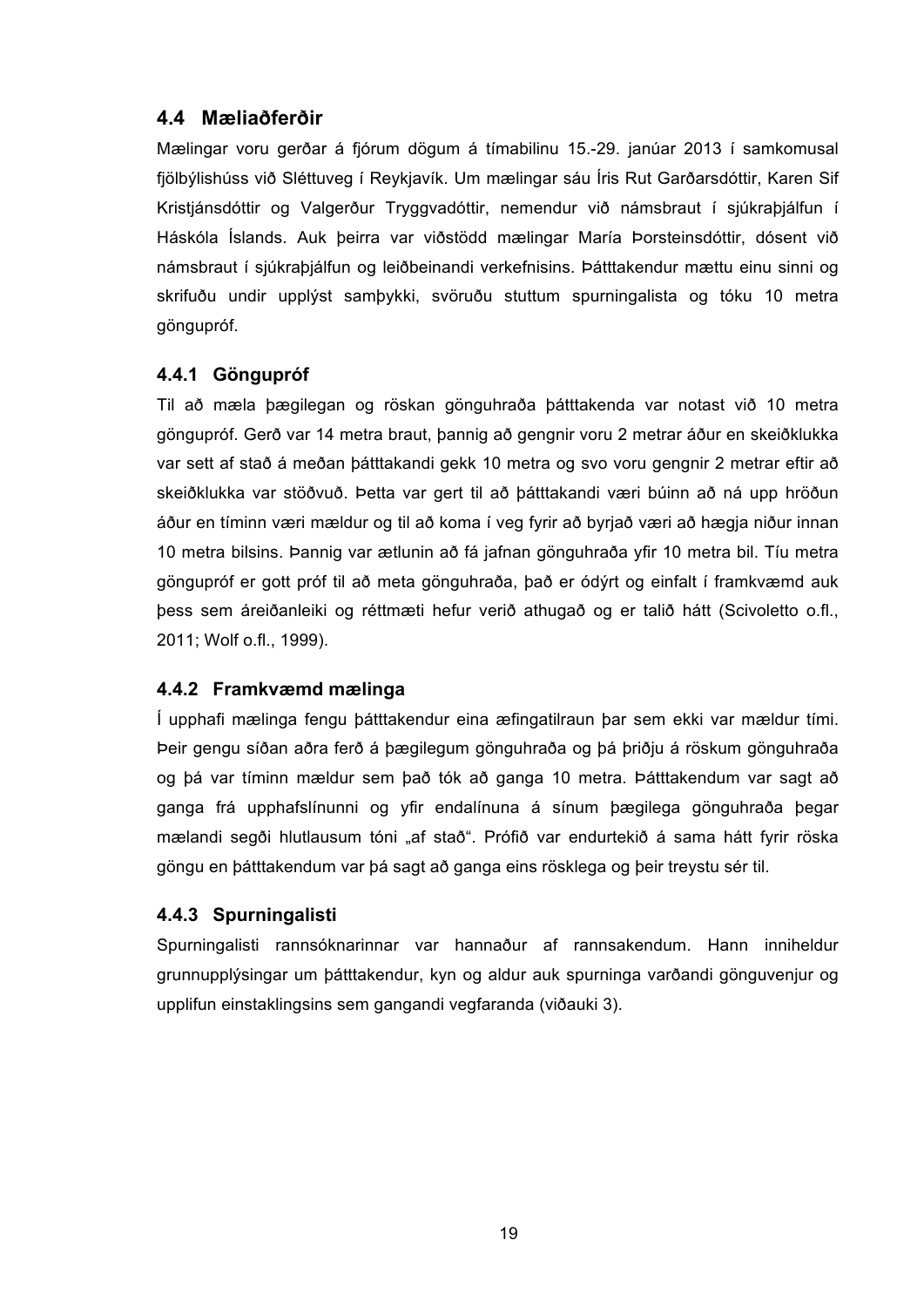### **4.4 Mæliaðferðir**

Mælingar voru gerðar á fjórum dögum á tímabilinu 15.-29. janúar 2013 í samkomusal fjölbýlishúss við Sléttuveg í Reykjavík. Um mælingar sáu Íris Rut Garðarsdóttir, Karen Sif Kristjánsdóttir og Valgerður Tryggvadóttir, nemendur við námsbraut í sjúkraþjálfun í Háskóla Íslands. Auk þeirra var viðstödd mælingar María Þorsteinsdóttir, dósent við námsbraut í sjúkraþjálfun og leiðbeinandi verkefnisins. Þátttakendur mættu einu sinni og skrifuðu undir upplýst samþykki, svöruðu stuttum spurningalista og tóku 10 metra göngupróf.

### **4.4.1 Göngupróf**

Til að mæla þægilegan og röskan gönguhraða þátttakenda var notast við 10 metra göngupróf. Gerð var 14 metra braut, þannig að gengnir voru 2 metrar áður en skeiðklukka var sett af stað á meðan þátttakandi gekk 10 metra og svo voru gengnir 2 metrar eftir að skeiðklukka var stöðvuð. Þetta var gert til að þátttakandi væri búinn að ná upp hröðun áður en tíminn væri mældur og til að koma í veg fyrir að byrjað væri að hægja niður innan 10 metra bilsins. Þannig var ætlunin að fá jafnan gönguhraða yfir 10 metra bil. Tíu metra göngupróf er gott próf til að meta gönguhraða, það er ódýrt og einfalt í framkvæmd auk þess sem áreiðanleiki og réttmæti hefur verið athugað og er talið hátt (Scivoletto o.fl., 2011; Wolf o.fl., 1999).

#### **4.4.2 Framkvæmd mælinga**

Í upphafi mælinga fengu þátttakendur eina æfingatilraun þar sem ekki var mældur tími. Þeir gengu síðan aðra ferð á þægilegum gönguhraða og þá þriðju á röskum gönguhraða og þá var tíminn mældur sem það tók að ganga 10 metra. Þátttakendum var sagt að ganga frá upphafslínunni og yfir endalínuna á sínum þægilega gönguhraða þegar mælandi segði hlutlausum tóni "af stað". Prófið var endurtekið á sama hátt fyrir röska göngu en þátttakendum var þá sagt að ganga eins rösklega og þeir treystu sér til.

#### **4.4.3 Spurningalisti**

Spurningalisti rannsóknarinnar var hannaður af rannsakendum. Hann inniheldur grunnupplýsingar um þátttakendur, kyn og aldur auk spurninga varðandi gönguvenjur og upplifun einstaklingsins sem gangandi vegfaranda (viðauki 3).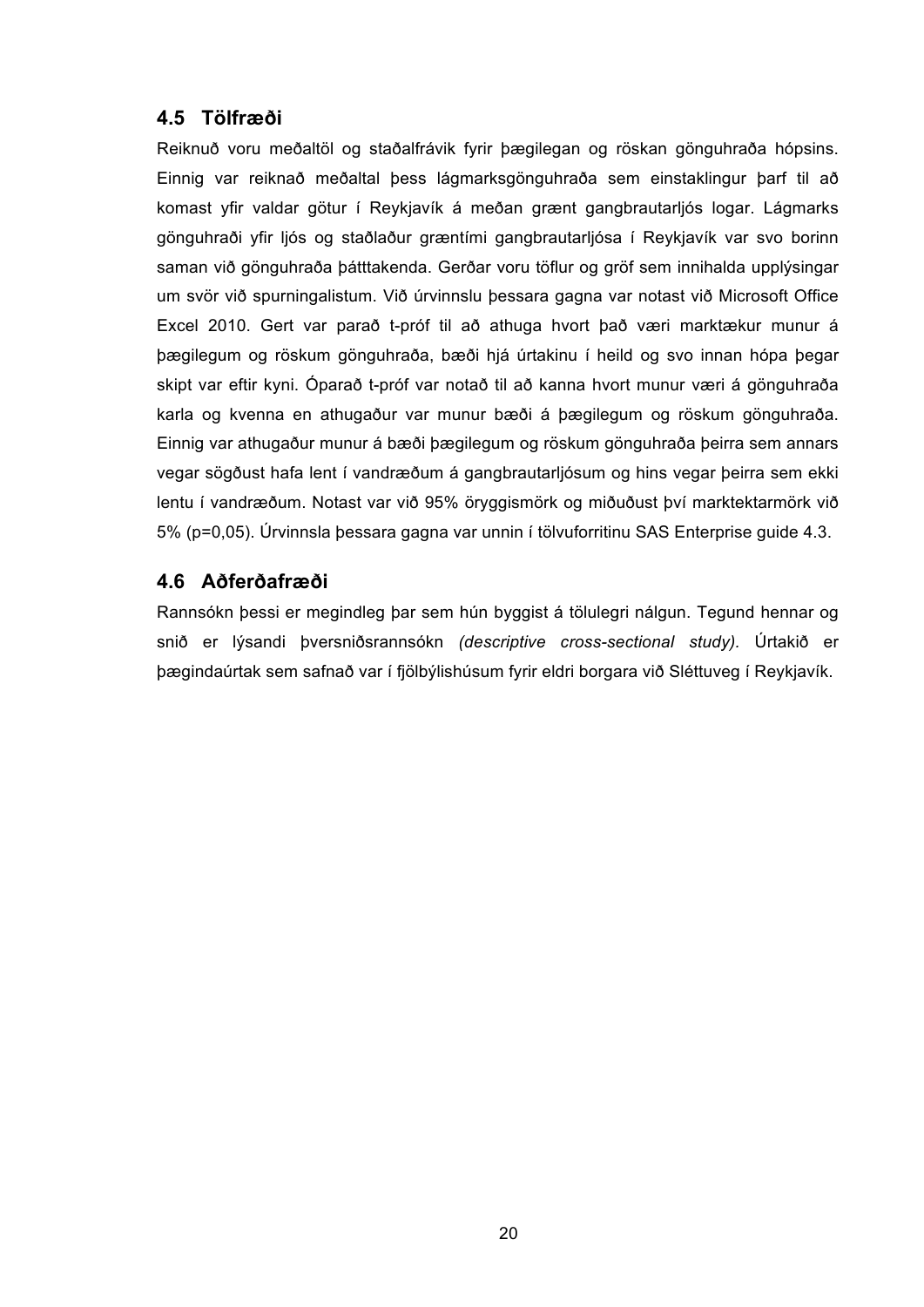## **4.5 Tölfræði**

Reiknuð voru meðaltöl og staðalfrávik fyrir þægilegan og röskan gönguhraða hópsins. Einnig var reiknað meðaltal þess lágmarksgönguhraða sem einstaklingur þarf til að komast yfir valdar götur í Reykjavík á meðan grænt gangbrautarljós logar. Lágmarks gönguhraði yfir ljós og staðlaður græntími gangbrautarljósa í Reykjavík var svo borinn saman við gönguhraða þátttakenda. Gerðar voru töflur og gröf sem innihalda upplýsingar um svör við spurningalistum. Við úrvinnslu þessara gagna var notast við Microsoft Office Excel 2010. Gert var parað t-próf til að athuga hvort það væri marktækur munur á þægilegum og röskum gönguhraða, bæði hjá úrtakinu í heild og svo innan hópa þegar skipt var eftir kyni. Óparað t-próf var notað til að kanna hvort munur væri á gönguhraða karla og kvenna en athugaður var munur bæði á þægilegum og röskum gönguhraða. Einnig var athugaður munur á bæði þægilegum og röskum gönguhraða þeirra sem annars vegar sögðust hafa lent í vandræðum á gangbrautarljósum og hins vegar þeirra sem ekki lentu í vandræðum. Notast var við 95% öryggismörk og miðuðust því marktektarmörk við 5% (p=0,05). Úrvinnsla þessara gagna var unnin í tölvuforritinu SAS Enterprise guide 4.3.

### **4.6 Aðferðafræði**

Rannsókn þessi er megindleg þar sem hún byggist á tölulegri nálgun. Tegund hennar og snið er lýsandi þversniðsrannsókn *(descriptive cross-sectional study).* Úrtakið er þægindaúrtak sem safnað var í fjölbýlishúsum fyrir eldri borgara við Sléttuveg í Reykjavík.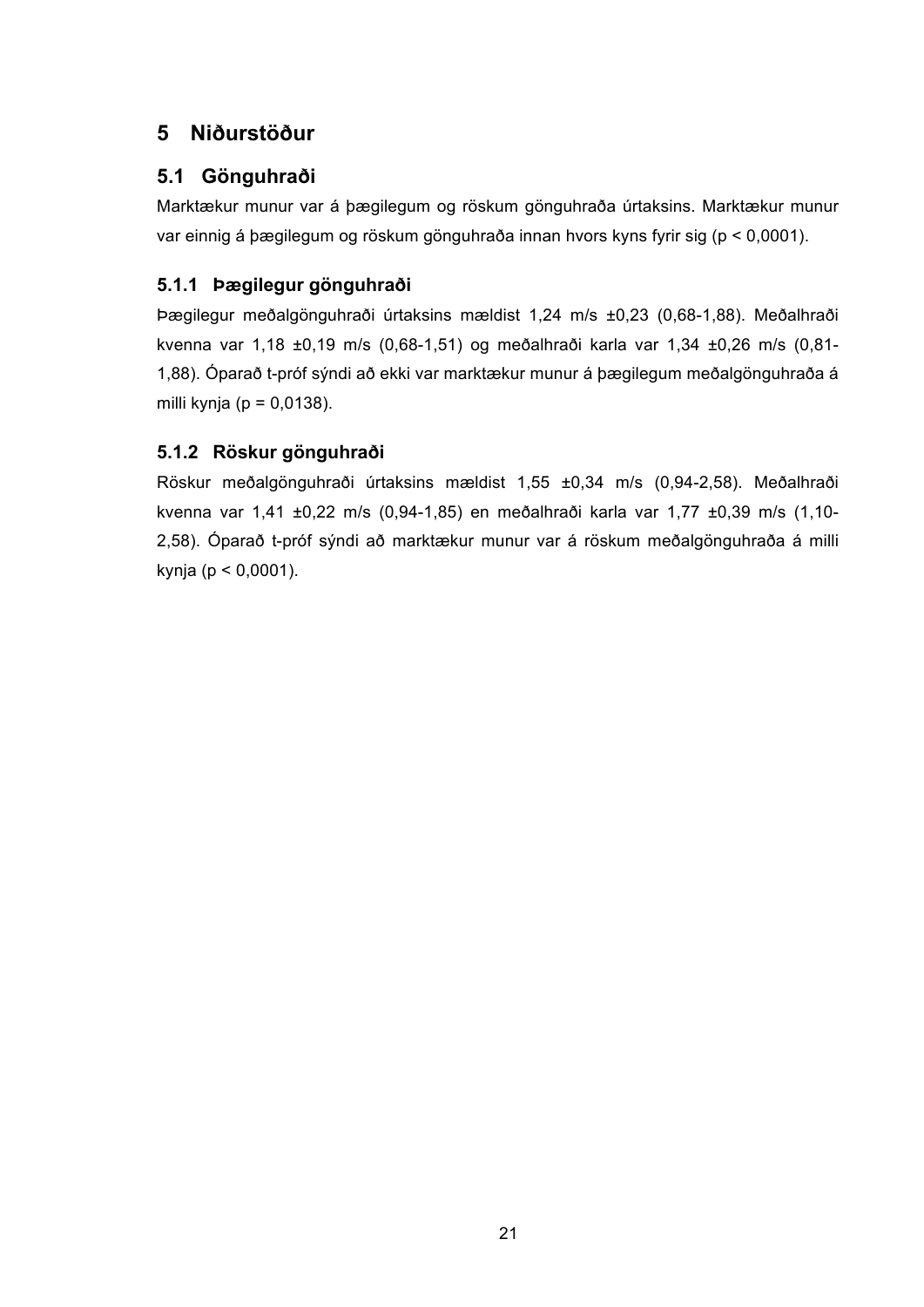## **5 Niðurstöður**

## **5.1 Gönguhraði**

Marktækur munur var á þægilegum og röskum gönguhraða úrtaksins. Marktækur munur var einnig á þægilegum og röskum gönguhraða innan hvors kyns fyrir sig (p < 0,0001).

## **5.1.1 Þægilegur gönguhraði**

Þægilegur meðalgönguhraði úrtaksins mældist 1,24 m/s ±0,23 (0,68-1,88). Meðalhraði kvenna var 1,18 ±0,19 m/s (0,68-1,51) og meðalhraði karla var 1,34 ±0,26 m/s (0,81- 1,88). Óparað t-próf sýndi að ekki var marktækur munur á þægilegum meðalgönguhraða á milli kynja ( $p = 0.0138$ ).

## **5.1.2 Röskur gönguhraði**

Röskur meðalgönguhraði úrtaksins mældist 1,55 ±0,34 m/s (0,94-2,58). Meðalhraði kvenna var 1,41 ±0,22 m/s (0,94-1,85) en meðalhraði karla var 1,77 ±0,39 m/s (1,10- 2,58). Óparað t-próf sýndi að marktækur munur var á röskum meðalgönguhraða á milli kynja (p < 0,0001).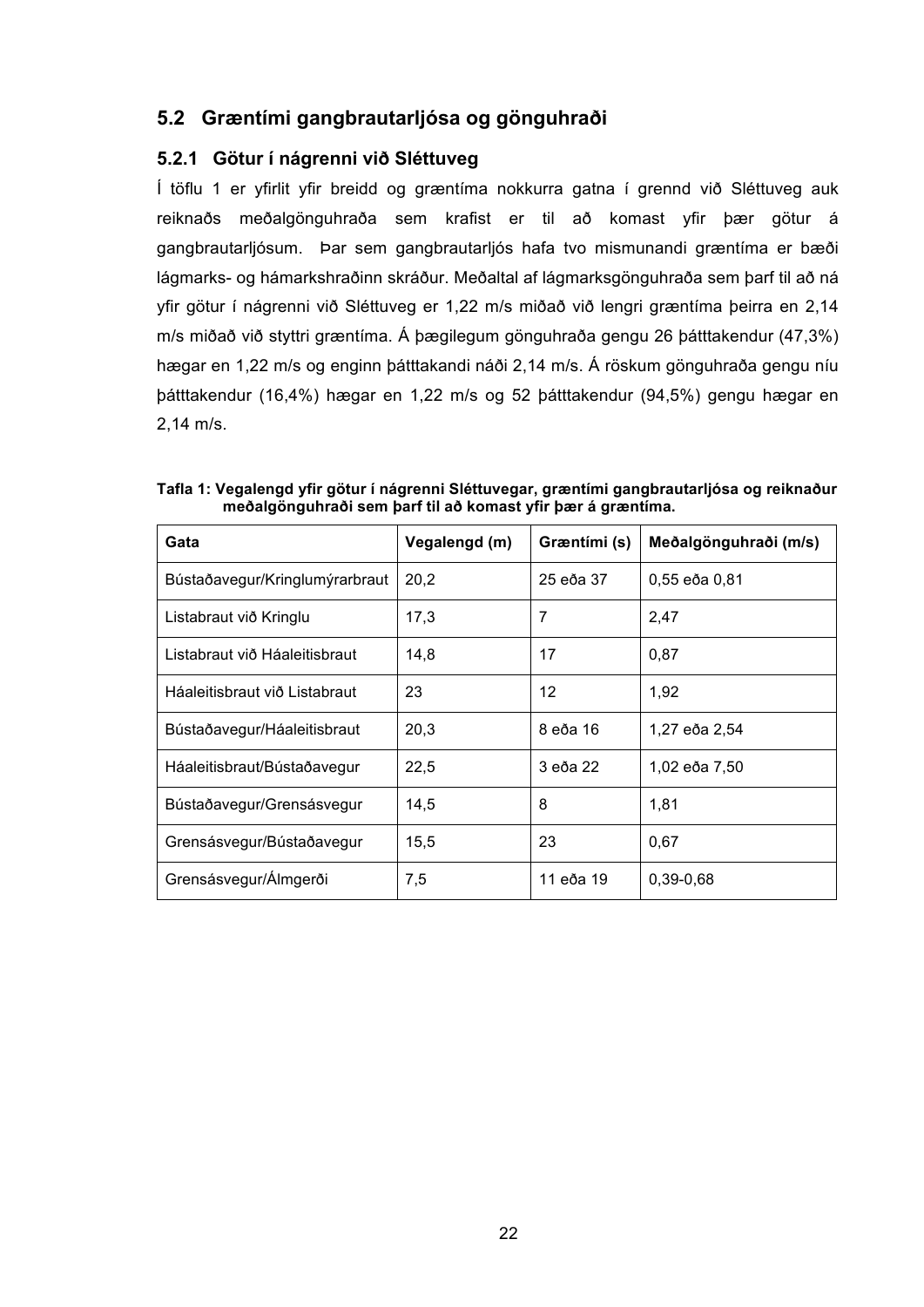### **5.2 Græntími gangbrautarljósa og gönguhraði**

#### **5.2.1 Götur í nágrenni við Sléttuveg**

Í töflu 1 er yfirlit yfir breidd og græntíma nokkurra gatna í grennd við Sléttuveg auk reiknaðs meðalgönguhraða sem krafist er til að komast yfir þær götur á gangbrautarljósum. Þar sem gangbrautarljós hafa tvo mismunandi græntíma er bæði lágmarks- og hámarkshraðinn skráður. Meðaltal af lágmarksgönguhraða sem þarf til að ná yfir götur í nágrenni við Sléttuveg er 1,22 m/s miðað við lengri græntíma þeirra en 2,14 m/s miðað við styttri græntíma. Á þægilegum gönguhraða gengu 26 þátttakendur (47,3%) hægar en 1,22 m/s og enginn þátttakandi náði 2,14 m/s. Á röskum gönguhraða gengu níu þátttakendur (16,4%) hægar en 1,22 m/s og 52 þátttakendur (94,5%) gengu hægar en 2,14 m/s.

| Gata                           | Vegalengd (m) | Græntími (s) | Meðalgönguhraði (m/s) |
|--------------------------------|---------------|--------------|-----------------------|
| Bústaðavegur/Kringlumýrarbraut | 20,2          | 25 eða 37    | 0,55 eða 0,81         |
| Listabraut við Kringlu         | 17,3          | 7            | 2,47                  |
| Listabraut við Háaleitisbraut  | 14,8          | 17           | 0,87                  |
| Háaleitisbraut við Listabraut  | 23            | 12           | 1,92                  |
| Bústaðavegur/Háaleitisbraut    | 20,3          | 8 eða 16     | 1,27 eða 2,54         |
| Háaleitisbraut/Bústaðavegur    | 22,5          | 3 eða 22     | 1,02 eða 7,50         |
| Bústaðavegur/Grensásvegur      | 14,5          | 8            | 1.81                  |
| Grensásvegur/Bústaðavegur      | 15,5          | 23           | 0,67                  |
| Grensásvegur/Álmgerði          | 7,5           | 11 eða 19    | 0,39-0,68             |

**Tafla 1: Vegalengd yfir götur í nágrenni Sléttuvegar, græntími gangbrautarljósa og reiknaður meðalgönguhraði sem þarf til að komast yfir þær á græntíma.**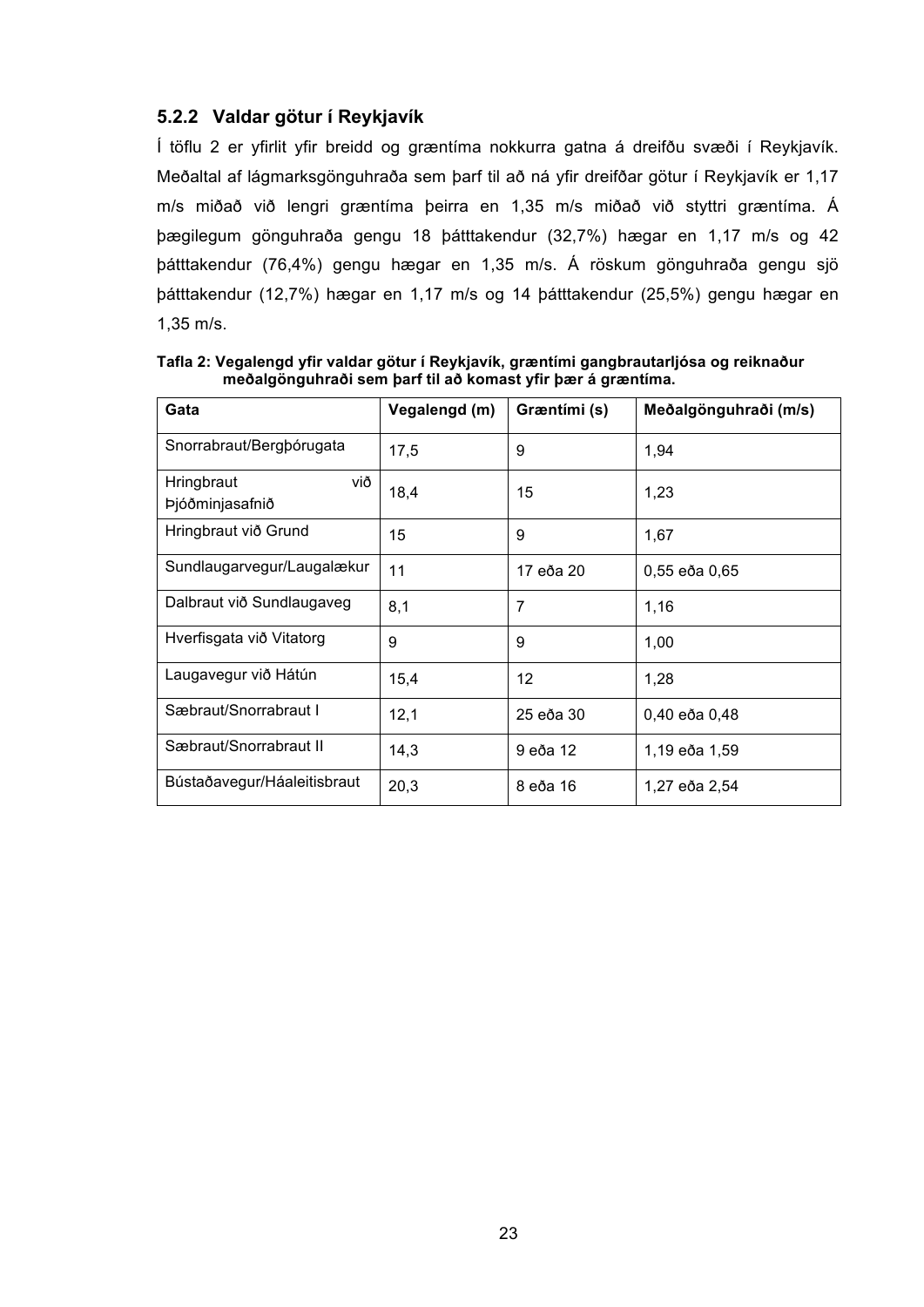### **5.2.2 Valdar götur í Reykjavík**

Í töflu 2 er yfirlit yfir breidd og græntíma nokkurra gatna á dreifðu svæði í Reykjavík. Meðaltal af lágmarksgönguhraða sem þarf til að ná yfir dreifðar götur í Reykjavík er 1,17 m/s miðað við lengri græntíma þeirra en 1,35 m/s miðað við styttri græntíma. Á þægilegum gönguhraða gengu 18 þátttakendur (32,7%) hægar en 1,17 m/s og 42 þátttakendur (76,4%) gengu hægar en 1,35 m/s. Á röskum gönguhraða gengu sjö þátttakendur (12,7%) hægar en 1,17 m/s og 14 þátttakendur (25,5%) gengu hægar en 1,35 m/s.

| Gata                                 | Vegalengd (m) | Græntími (s) | Meðalgönguhraði (m/s) |
|--------------------------------------|---------------|--------------|-----------------------|
| Snorrabraut/Bergbórugata             | 17,5          | 9            | 1,94                  |
| við<br>Hringbraut<br>Þjóðminjasafnið | 18,4          | 15           | 1,23                  |
| Hringbraut við Grund                 | 15            | 9            | 1,67                  |
| Sundlaugarvegur/Laugalækur           | 11            | 17 eða 20    | 0,55 eða 0,65         |
| Dalbraut við Sundlaugaveg            | 8,1           | 7            | 1,16                  |
| Hverfisgata við Vitatorg             | 9             | 9            | 1,00                  |
| Laugavegur við Hátún                 | 15,4          | 12           | 1,28                  |
| Sæbraut/Snorrabraut I                | 12,1          | 25 eða 30    | 0,40 eða 0,48         |
| Sæbraut/Snorrabraut II               | 14,3          | 9 eða 12     | 1,19 eða 1,59         |
| Bústaðavegur/Háaleitisbraut          | 20,3          | 8 eða 16     | 1,27 eða 2,54         |

**Tafla 2: Vegalengd yfir valdar götur í Reykjavík, græntími gangbrautarljósa og reiknaður meðalgönguhraði sem þarf til að komast yfir þær á græntíma.**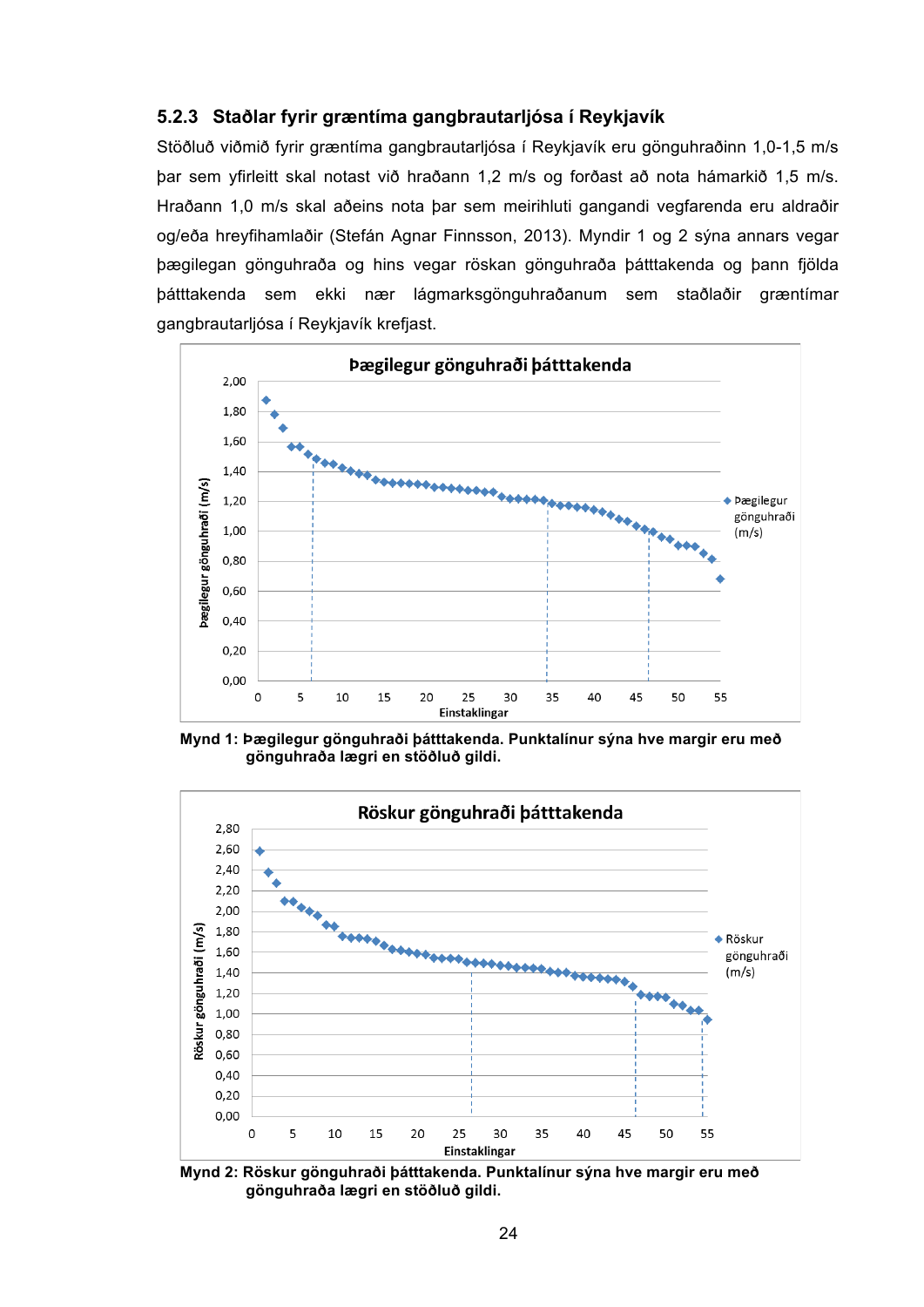#### **5.2.3 Staðlar fyrir græntíma gangbrautarljósa í Reykjavík**

Stöðluð viðmið fyrir græntíma gangbrautarljósa í Reykjavík eru gönguhraðinn 1,0-1,5 m/s þar sem yfirleitt skal notast við hraðann 1,2 m/s og forðast að nota hámarkið 1,5 m/s. Hraðann 1,0 m/s skal aðeins nota þar sem meirihluti gangandi vegfarenda eru aldraðir og/eða hreyfihamlaðir (Stefán Agnar Finnsson, 2013). Myndir 1 og 2 sýna annars vegar þægilegan gönguhraða og hins vegar röskan gönguhraða þátttakenda og þann fjölda þátttakenda sem ekki nær lágmarksgönguhraðanum sem staðlaðir græntímar gangbrautarljósa í Reykjavík krefjast.



**Mynd 1: Þægilegur gönguhraði þátttakenda. Punktalínur sýna hve margir eru með gönguhraða lægri en stöðluð gildi.**



**Mynd 2: Röskur gönguhraði þátttakenda. Punktalínur sýna hve margir eru með gönguhraða lægri en stöðluð gildi.**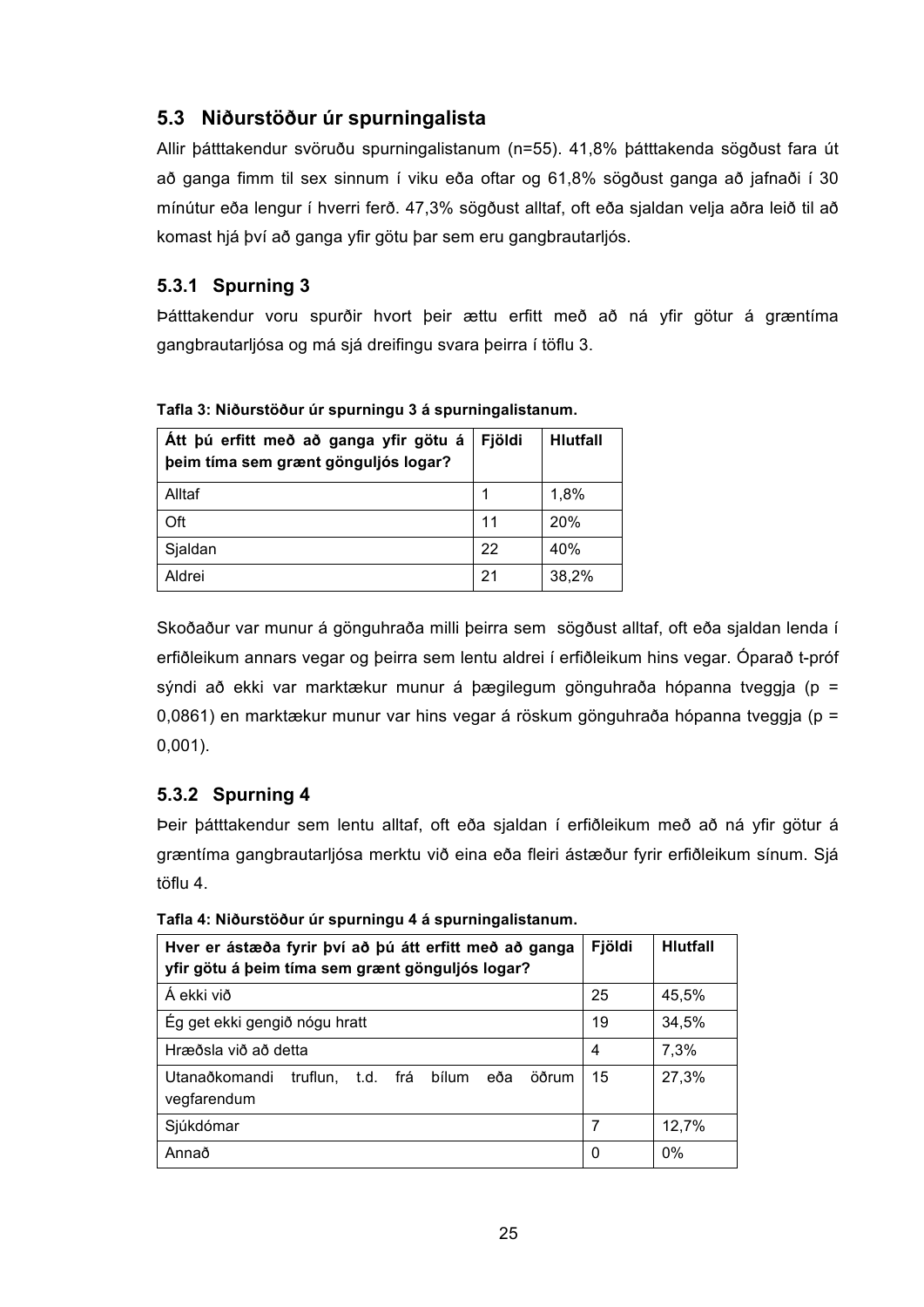## **5.3 Niðurstöður úr spurningalista**

Allir þátttakendur svöruðu spurningalistanum (n=55). 41,8% þátttakenda sögðust fara út að ganga fimm til sex sinnum í viku eða oftar og 61,8% sögðust ganga að jafnaði í 30 mínútur eða lengur í hverri ferð. 47,3% sögðust alltaf, oft eða sjaldan velja aðra leið til að komast hjá því að ganga yfir götu þar sem eru gangbrautarljós.

### **5.3.1 Spurning 3**

Þátttakendur voru spurðir hvort þeir ættu erfitt með að ná yfir götur á græntíma gangbrautarljósa og má sjá dreifingu svara þeirra í töflu 3.

| Att þú erfitt með að ganga yfir götu á<br>beim tíma sem grænt gönguljós logar? | Fjöldi | <b>Hlutfall</b> |
|--------------------------------------------------------------------------------|--------|-----------------|
| Alltaf                                                                         |        | 1,8%            |
| Oft                                                                            | 11     | 20%             |
| Sjaldan                                                                        | 22     | 40%             |
| Aldrei                                                                         | -21    | 38,2%           |

**Tafla 3: Niðurstöður úr spurningu 3 á spurningalistanum.**

Skoðaður var munur á gönguhraða milli þeirra sem sögðust alltaf, oft eða sjaldan lenda í erfiðleikum annars vegar og þeirra sem lentu aldrei í erfiðleikum hins vegar. Óparað t-próf sýndi að ekki var marktækur munur á þægilegum gönguhraða hópanna tveggja (p = 0,0861) en marktækur munur var hins vegar á röskum gönguhraða hópanna tveggja (p = 0,001).

## **5.3.2 Spurning 4**

Þeir þátttakendur sem lentu alltaf, oft eða sjaldan í erfiðleikum með að ná yfir götur á græntíma gangbrautarljósa merktu við eina eða fleiri ástæður fyrir erfiðleikum sínum. Sjá töflu 4.

| Hver er ástæða fyrir því að þú átt erfitt með að ganga<br>yfir götu á þeim tíma sem grænt gönguljós logar? | Fjöldi | <b>Hlutfall</b> |
|------------------------------------------------------------------------------------------------------------|--------|-----------------|
| Á ekki við                                                                                                 | 25     | 45,5%           |
| Ég get ekki gengið nógu hratt                                                                              | 19     | 34,5%           |
| Hræðsla við að detta                                                                                       | 4      | 7,3%            |
| Utanaðkomandi<br>truflun, t.d. frá bílum<br>öðrum<br>eða<br>vegfarendum                                    | 15     | 27,3%           |
| Sjúkdómar                                                                                                  | 7      | 12,7%           |
| Annað                                                                                                      | 0      | 0%              |

**Tafla 4: Niðurstöður úr spurningu 4 á spurningalistanum.**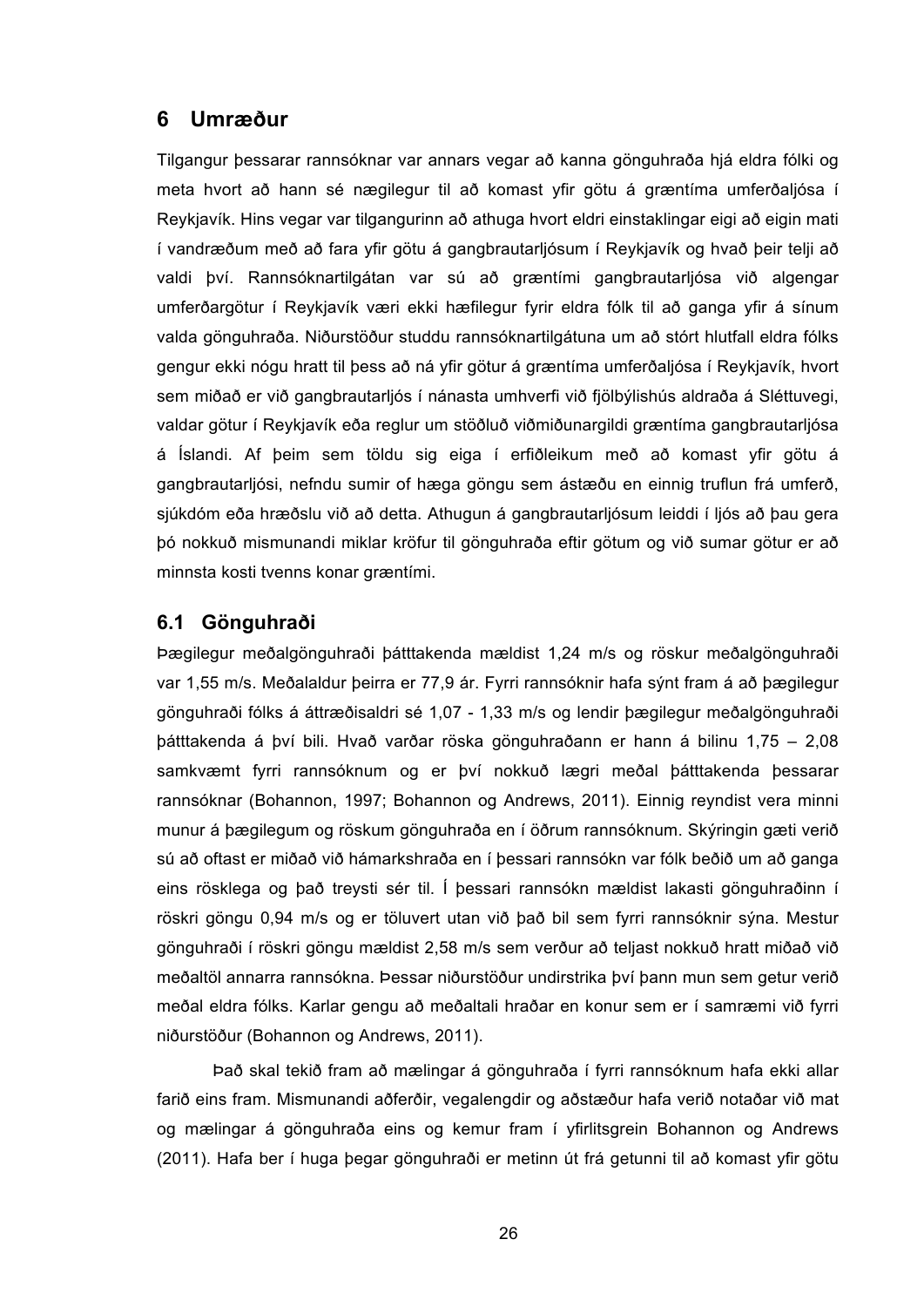## **6 Umræður**

Tilgangur þessarar rannsóknar var annars vegar að kanna gönguhraða hjá eldra fólki og meta hvort að hann sé nægilegur til að komast yfir götu á græntíma umferðaljósa í Reykjavík. Hins vegar var tilgangurinn að athuga hvort eldri einstaklingar eigi að eigin mati í vandræðum með að fara yfir götu á gangbrautarljósum í Reykjavík og hvað þeir telji að valdi því. Rannsóknartilgátan var sú að græntími gangbrautarljósa við algengar umferðargötur í Reykjavík væri ekki hæfilegur fyrir eldra fólk til að ganga yfir á sínum valda gönguhraða. Niðurstöður studdu rannsóknartilgátuna um að stórt hlutfall eldra fólks gengur ekki nógu hratt til þess að ná yfir götur á græntíma umferðaljósa í Reykjavík, hvort sem miðað er við gangbrautarljós í nánasta umhverfi við fjölbýlishús aldraða á Sléttuvegi, valdar götur í Reykjavík eða reglur um stöðluð viðmiðunargildi græntíma gangbrautarljósa á Íslandi. Af þeim sem töldu sig eiga í erfiðleikum með að komast yfir götu á gangbrautarljósi, nefndu sumir of hæga göngu sem ástæðu en einnig truflun frá umferð, sjúkdóm eða hræðslu við að detta. Athugun á gangbrautarljósum leiddi í ljós að þau gera þó nokkuð mismunandi miklar kröfur til gönguhraða eftir götum og við sumar götur er að minnsta kosti tvenns konar græntími.

### **6.1 Gönguhraði**

Þægilegur meðalgönguhraði þátttakenda mældist 1,24 m/s og röskur meðalgönguhraði var 1,55 m/s. Meðalaldur þeirra er 77,9 ár. Fyrri rannsóknir hafa sýnt fram á að þægilegur gönguhraði fólks á áttræðisaldri sé 1,07 - 1,33 m/s og lendir þægilegur meðalgönguhraði þátttakenda á því bili. Hvað varðar röska gönguhraðann er hann á bilinu 1,75 – 2,08 samkvæmt fyrri rannsóknum og er því nokkuð lægri meðal þátttakenda þessarar rannsóknar (Bohannon, 1997; Bohannon og Andrews, 2011). Einnig reyndist vera minni munur á þægilegum og röskum gönguhraða en í öðrum rannsóknum. Skýringin gæti verið sú að oftast er miðað við hámarkshraða en í þessari rannsókn var fólk beðið um að ganga eins rösklega og það treysti sér til. Í þessari rannsókn mældist lakasti gönguhraðinn í röskri göngu 0,94 m/s og er töluvert utan við það bil sem fyrri rannsóknir sýna. Mestur gönguhraði í röskri göngu mældist 2,58 m/s sem verður að teljast nokkuð hratt miðað við meðaltöl annarra rannsókna. Þessar niðurstöður undirstrika því þann mun sem getur verið meðal eldra fólks. Karlar gengu að meðaltali hraðar en konur sem er í samræmi við fyrri niðurstöður (Bohannon og Andrews, 2011).

Það skal tekið fram að mælingar á gönguhraða í fyrri rannsóknum hafa ekki allar farið eins fram. Mismunandi aðferðir, vegalengdir og aðstæður hafa verið notaðar við mat og mælingar á gönguhraða eins og kemur fram í yfirlitsgrein Bohannon og Andrews (2011). Hafa ber í huga þegar gönguhraði er metinn út frá getunni til að komast yfir götu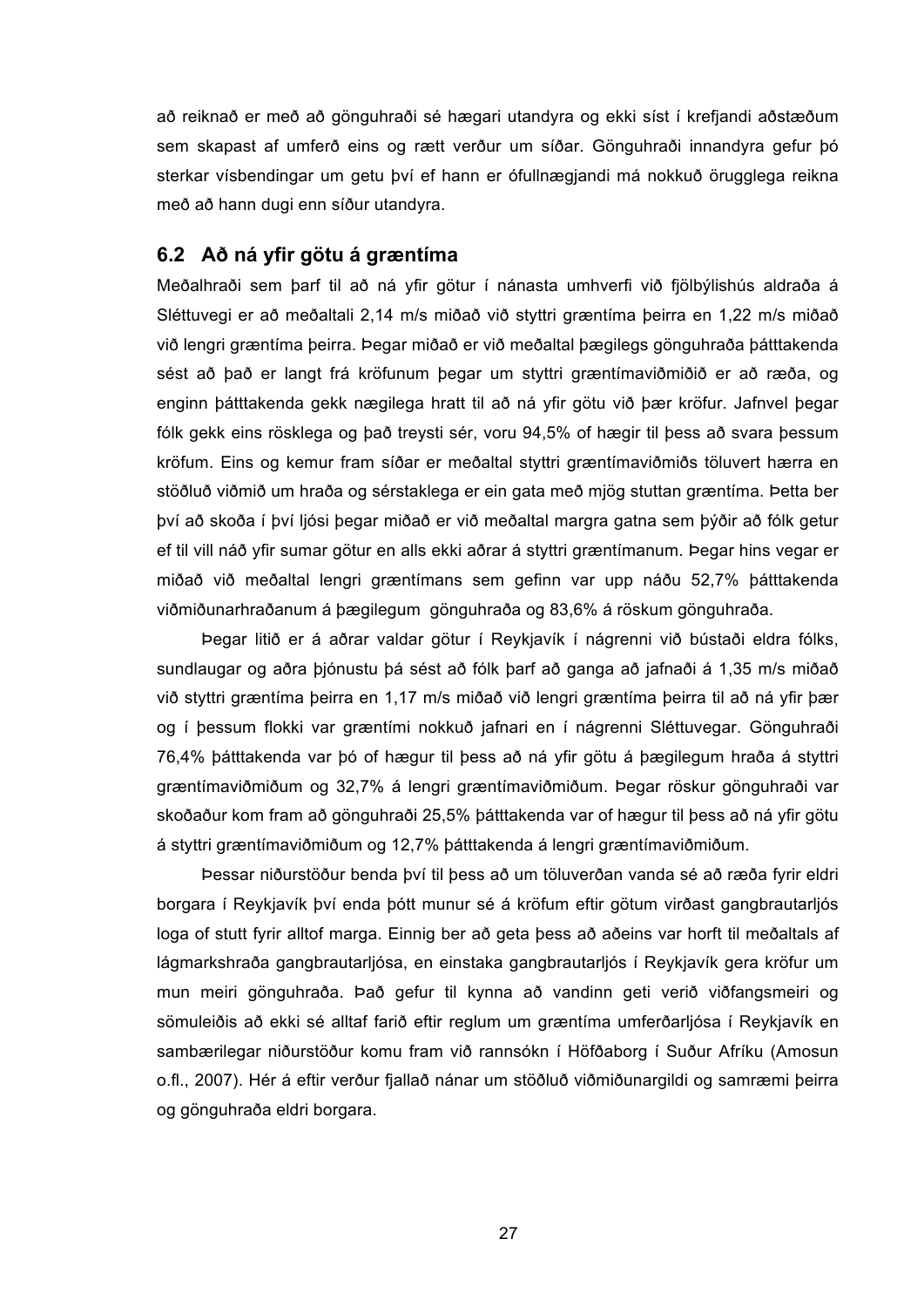að reiknað er með að gönguhraði sé hægari utandyra og ekki síst í krefjandi aðstæðum sem skapast af umferð eins og rætt verður um síðar. Gönguhraði innandyra gefur þó sterkar vísbendingar um getu því ef hann er ófullnægjandi má nokkuð örugglega reikna með að hann dugi enn síður utandyra.

#### **6.2 Að ná yfir götu á græntíma**

Meðalhraði sem þarf til að ná yfir götur í nánasta umhverfi við fjölbýlishús aldraða á Sléttuvegi er að meðaltali 2,14 m/s miðað við styttri græntíma þeirra en 1,22 m/s miðað við lengri græntíma þeirra. Þegar miðað er við meðaltal þægilegs gönguhraða þátttakenda sést að það er langt frá kröfunum þegar um styttri græntímaviðmiðið er að ræða, og enginn þátttakenda gekk nægilega hratt til að ná yfir götu við þær kröfur. Jafnvel þegar fólk gekk eins rösklega og það treysti sér, voru 94,5% of hægir til þess að svara þessum kröfum. Eins og kemur fram síðar er meðaltal styttri græntímaviðmiðs töluvert hærra en stöðluð viðmið um hraða og sérstaklega er ein gata með mjög stuttan græntíma. Þetta ber því að skoða í því ljósi þegar miðað er við meðaltal margra gatna sem þýðir að fólk getur ef til vill náð yfir sumar götur en alls ekki aðrar á styttri græntímanum. Þegar hins vegar er miðað við meðaltal lengri græntímans sem gefinn var upp náðu 52,7% þátttakenda viðmiðunarhraðanum á þægilegum gönguhraða og 83,6% á röskum gönguhraða.

Þegar litið er á aðrar valdar götur í Reykjavík í nágrenni við bústaði eldra fólks, sundlaugar og aðra þjónustu þá sést að fólk þarf að ganga að jafnaði á 1,35 m/s miðað við styttri græntíma þeirra en 1,17 m/s miðað við lengri græntíma þeirra til að ná yfir þær og í þessum flokki var græntími nokkuð jafnari en í nágrenni Sléttuvegar. Gönguhraði 76,4% þátttakenda var þó of hægur til þess að ná yfir götu á þægilegum hraða á styttri græntímaviðmiðum og 32,7% á lengri græntímaviðmiðum. Þegar röskur gönguhraði var skoðaður kom fram að gönguhraði 25,5% þátttakenda var of hægur til þess að ná yfir götu á styttri græntímaviðmiðum og 12,7% þátttakenda á lengri græntímaviðmiðum.

Þessar niðurstöður benda því til þess að um töluverðan vanda sé að ræða fyrir eldri borgara í Reykjavík því enda þótt munur sé á kröfum eftir götum virðast gangbrautarljós loga of stutt fyrir alltof marga. Einnig ber að geta þess að aðeins var horft til meðaltals af lágmarkshraða gangbrautarljósa, en einstaka gangbrautarljós í Reykjavík gera kröfur um mun meiri gönguhraða. Það gefur til kynna að vandinn geti verið viðfangsmeiri og sömuleiðis að ekki sé alltaf farið eftir reglum um græntíma umferðarljósa í Reykjavík en sambærilegar niðurstöður komu fram við rannsókn í Höfðaborg í Suður Afríku (Amosun o.fl., 2007). Hér á eftir verður fjallað nánar um stöðluð viðmiðunargildi og samræmi þeirra og gönguhraða eldri borgara.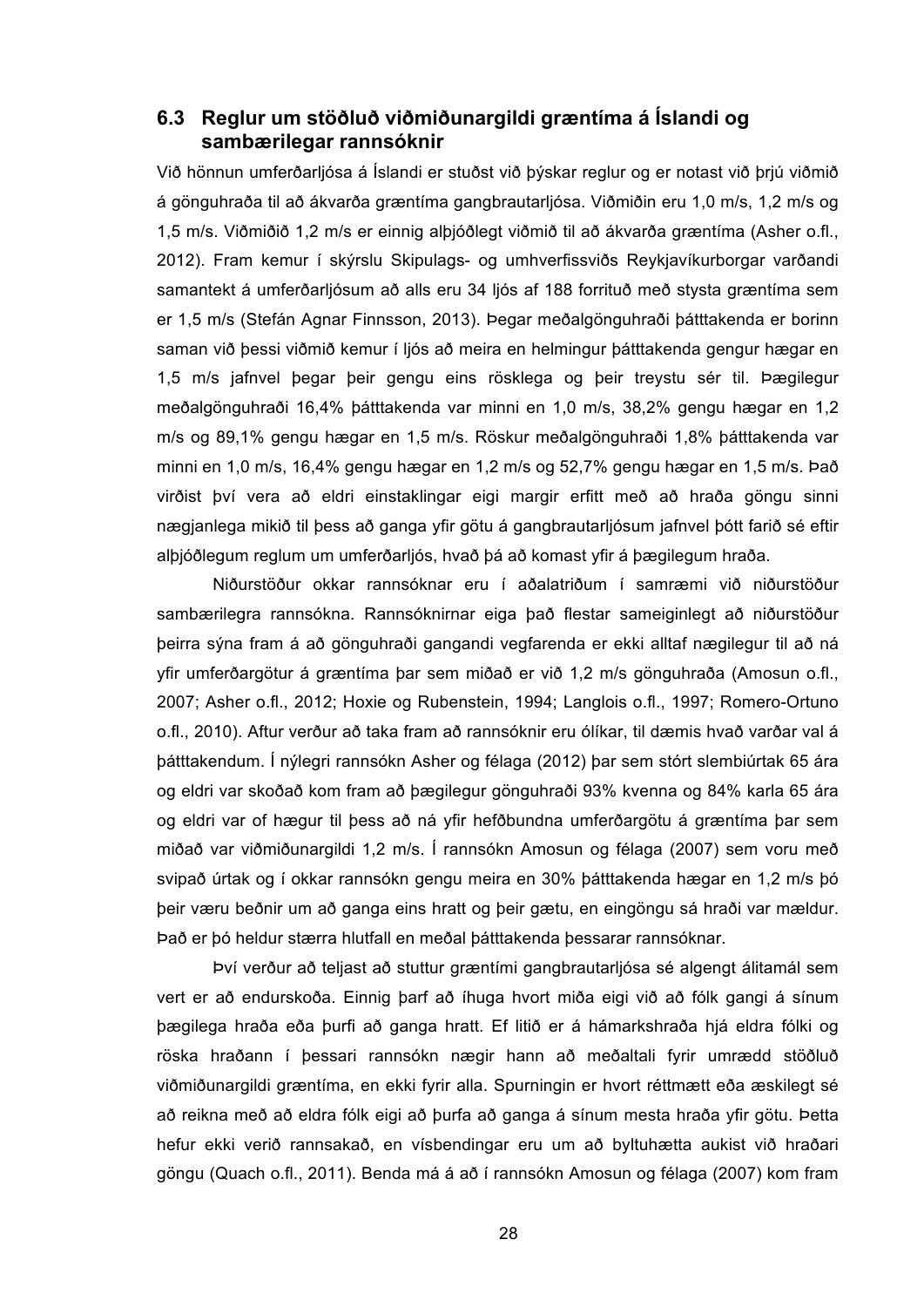#### **6.3 Reglur um stöðluð viðmiðunargildi græntíma á Íslandi og sambærilegar rannsóknir**

Við hönnun umferðarljósa á Íslandi er stuðst við þýskar reglur og er notast við þrjú viðmið á gönguhraða til að ákvarða græntíma gangbrautarljósa. Viðmiðin eru 1,0 m/s, 1,2 m/s og 1,5 m/s. Viðmiðið 1,2 m/s er einnig alþjóðlegt viðmið til að ákvarða græntíma (Asher o.fl., 2012). Fram kemur í skýrslu Skipulags- og umhverfissviðs Reykjavíkurborgar varðandi samantekt á umferðarljósum að alls eru 34 ljós af 188 forrituð með stysta græntíma sem er 1,5 m/s (Stefán Agnar Finnsson, 2013). Þegar meðalgönguhraði þátttakenda er borinn saman við þessi viðmið kemur í ljós að meira en helmingur þátttakenda gengur hægar en 1,5 m/s jafnvel þegar þeir gengu eins rösklega og þeir treystu sér til. Þægilegur meðalgönguhraði 16,4% þátttakenda var minni en 1,0 m/s, 38,2% gengu hægar en 1,2 m/s og 89,1% gengu hægar en 1,5 m/s. Röskur meðalgönguhraði 1,8% þátttakenda var minni en 1,0 m/s, 16,4% gengu hægar en 1,2 m/s og 52,7% gengu hægar en 1,5 m/s. Það virðist því vera að eldri einstaklingar eigi margir erfitt með að hraða göngu sinni nægjanlega mikið til þess að ganga yfir götu á gangbrautarljósum jafnvel þótt farið sé eftir alþjóðlegum reglum um umferðarljós, hvað þá að komast yfir á þægilegum hraða.

Niðurstöður okkar rannsóknar eru í aðalatriðum í samræmi við niðurstöður sambærilegra rannsókna. Rannsóknirnar eiga það flestar sameiginlegt að niðurstöður þeirra sýna fram á að gönguhraði gangandi vegfarenda er ekki alltaf nægilegur til að ná yfir umferðargötur á græntíma þar sem miðað er við 1,2 m/s gönguhraða (Amosun o.fl., 2007; Asher o.fl., 2012; Hoxie og Rubenstein, 1994; Langlois o.fl., 1997; Romero-Ortuno o.fl., 2010). Aftur verður að taka fram að rannsóknir eru ólíkar, til dæmis hvað varðar val á þátttakendum. Í nýlegri rannsókn Asher og félaga (2012) þar sem stórt slembiúrtak 65 ára og eldri var skoðað kom fram að þægilegur gönguhraði 93% kvenna og 84% karla 65 ára og eldri var of hægur til þess að ná yfir hefðbundna umferðargötu á græntíma þar sem miðað var viðmiðunargildi 1,2 m/s. Í rannsókn Amosun og félaga (2007) sem voru með svipað úrtak og í okkar rannsókn gengu meira en 30% þátttakenda hægar en 1,2 m/s þó þeir væru beðnir um að ganga eins hratt og þeir gætu, en eingöngu sá hraði var mældur. Það er þó heldur stærra hlutfall en meðal þátttakenda þessarar rannsóknar.

Því verður að teljast að stuttur græntími gangbrautarljósa sé algengt álitamál sem vert er að endurskoða. Einnig þarf að íhuga hvort miða eigi við að fólk gangi á sínum þægilega hraða eða þurfi að ganga hratt. Ef litið er á hámarkshraða hjá eldra fólki og röska hraðann í þessari rannsókn nægir hann að meðaltali fyrir umrædd stöðluð viðmiðunargildi græntíma, en ekki fyrir alla. Spurningin er hvort réttmætt eða æskilegt sé að reikna með að eldra fólk eigi að þurfa að ganga á sínum mesta hraða yfir götu. Þetta hefur ekki verið rannsakað, en vísbendingar eru um að byltuhætta aukist við hraðari göngu (Quach o.fl., 2011). Benda má á að í rannsókn Amosun og félaga (2007) kom fram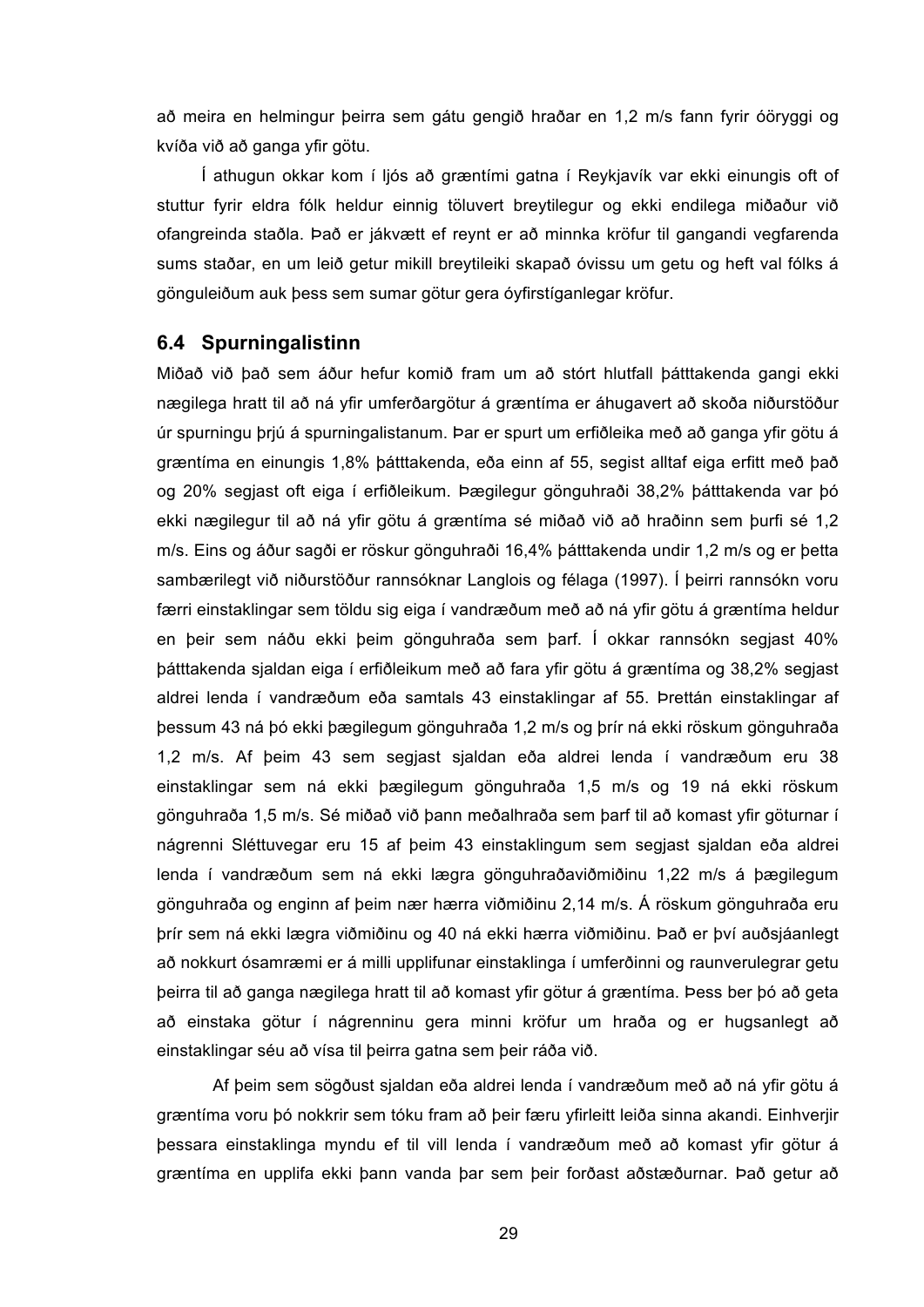að meira en helmingur þeirra sem gátu gengið hraðar en 1,2 m/s fann fyrir óöryggi og kvíða við að ganga yfir götu.

Í athugun okkar kom í ljós að græntími gatna í Reykjavík var ekki einungis oft of stuttur fyrir eldra fólk heldur einnig töluvert breytilegur og ekki endilega miðaður við ofangreinda staðla. Það er jákvætt ef reynt er að minnka kröfur til gangandi vegfarenda sums staðar, en um leið getur mikill breytileiki skapað óvissu um getu og heft val fólks á gönguleiðum auk þess sem sumar götur gera óyfirstíganlegar kröfur.

#### **6.4 Spurningalistinn**

Miðað við það sem áður hefur komið fram um að stórt hlutfall þátttakenda gangi ekki nægilega hratt til að ná yfir umferðargötur á græntíma er áhugavert að skoða niðurstöður úr spurningu þrjú á spurningalistanum. Þar er spurt um erfiðleika með að ganga yfir götu á græntíma en einungis 1,8% þátttakenda, eða einn af 55, segist alltaf eiga erfitt með það og 20% segjast oft eiga í erfiðleikum. Þægilegur gönguhraði 38,2% þátttakenda var þó ekki nægilegur til að ná yfir götu á græntíma sé miðað við að hraðinn sem þurfi sé 1,2 m/s. Eins og áður sagði er röskur gönguhraði 16,4% þátttakenda undir 1,2 m/s og er þetta sambærilegt við niðurstöður rannsóknar Langlois og félaga (1997). Í þeirri rannsókn voru færri einstaklingar sem töldu sig eiga í vandræðum með að ná yfir götu á græntíma heldur en þeir sem náðu ekki þeim gönguhraða sem þarf. Í okkar rannsókn segjast 40% þátttakenda sjaldan eiga í erfiðleikum með að fara yfir götu á græntíma og 38,2% segjast aldrei lenda í vandræðum eða samtals 43 einstaklingar af 55. Þrettán einstaklingar af þessum 43 ná þó ekki þægilegum gönguhraða 1,2 m/s og þrír ná ekki röskum gönguhraða 1,2 m/s. Af þeim 43 sem segjast sjaldan eða aldrei lenda í vandræðum eru 38 einstaklingar sem ná ekki þægilegum gönguhraða 1,5 m/s og 19 ná ekki röskum gönguhraða 1,5 m/s. Sé miðað við þann meðalhraða sem þarf til að komast yfir göturnar í nágrenni Sléttuvegar eru 15 af þeim 43 einstaklingum sem segjast sjaldan eða aldrei lenda í vandræðum sem ná ekki lægra gönguhraðaviðmiðinu 1,22 m/s á þægilegum gönguhraða og enginn af þeim nær hærra viðmiðinu 2,14 m/s. Á röskum gönguhraða eru þrír sem ná ekki lægra viðmiðinu og 40 ná ekki hærra viðmiðinu. Það er því auðsjáanlegt að nokkurt ósamræmi er á milli upplifunar einstaklinga í umferðinni og raunverulegrar getu þeirra til að ganga nægilega hratt til að komast yfir götur á græntíma. Þess ber þó að geta að einstaka götur í nágrenninu gera minni kröfur um hraða og er hugsanlegt að einstaklingar séu að vísa til þeirra gatna sem þeir ráða við.

Af þeim sem sögðust sjaldan eða aldrei lenda í vandræðum með að ná yfir götu á græntíma voru þó nokkrir sem tóku fram að þeir færu yfirleitt leiða sinna akandi. Einhverjir þessara einstaklinga myndu ef til vill lenda í vandræðum með að komast yfir götur á græntíma en upplifa ekki þann vanda þar sem þeir forðast aðstæðurnar. Það getur að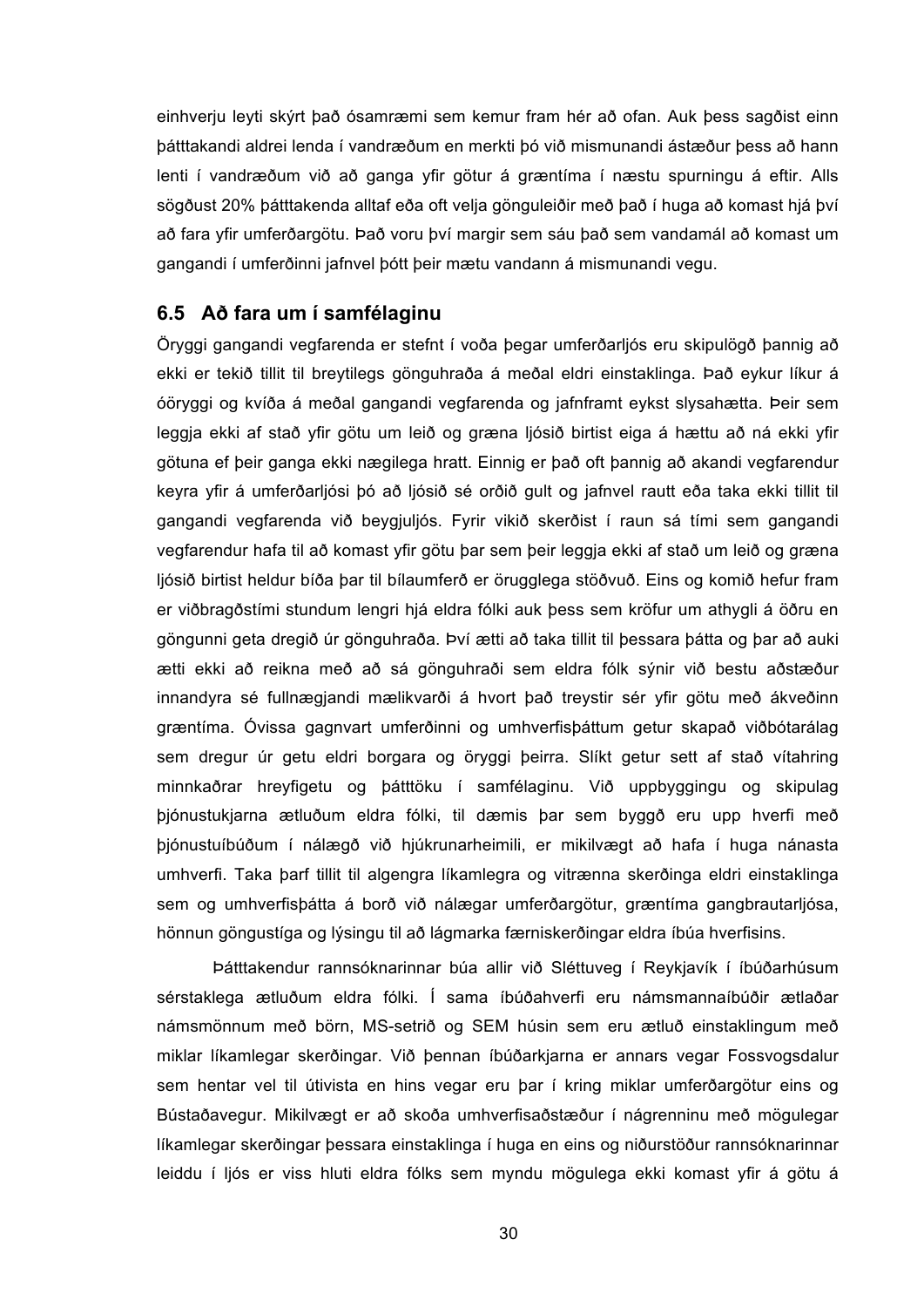einhverju leyti skýrt það ósamræmi sem kemur fram hér að ofan. Auk þess sagðist einn þátttakandi aldrei lenda í vandræðum en merkti þó við mismunandi ástæður þess að hann lenti í vandræðum við að ganga yfir götur á græntíma í næstu spurningu á eftir. Alls sögðust 20% þátttakenda alltaf eða oft velja gönguleiðir með það í huga að komast hjá því að fara yfir umferðargötu. Það voru því margir sem sáu það sem vandamál að komast um gangandi í umferðinni jafnvel þótt þeir mætu vandann á mismunandi vegu.

#### **6.5 Að fara um í samfélaginu**

Öryggi gangandi vegfarenda er stefnt í voða þegar umferðarljós eru skipulögð þannig að ekki er tekið tillit til breytilegs gönguhraða á meðal eldri einstaklinga. Það eykur líkur á óöryggi og kvíða á meðal gangandi vegfarenda og jafnframt eykst slysahætta. Þeir sem leggja ekki af stað yfir götu um leið og græna ljósið birtist eiga á hættu að ná ekki yfir götuna ef þeir ganga ekki nægilega hratt. Einnig er það oft þannig að akandi vegfarendur keyra yfir á umferðarljósi þó að ljósið sé orðið gult og jafnvel rautt eða taka ekki tillit til gangandi vegfarenda við beygjuljós. Fyrir vikið skerðist í raun sá tími sem gangandi vegfarendur hafa til að komast yfir götu þar sem þeir leggja ekki af stað um leið og græna ljósið birtist heldur bíða þar til bílaumferð er örugglega stöðvuð. Eins og komið hefur fram er viðbragðstími stundum lengri hjá eldra fólki auk þess sem kröfur um athygli á öðru en göngunni geta dregið úr gönguhraða. Því ætti að taka tillit til þessara þátta og þar að auki ætti ekki að reikna með að sá gönguhraði sem eldra fólk sýnir við bestu aðstæður innandyra sé fullnægjandi mælikvarði á hvort það treystir sér yfir götu með ákveðinn græntíma. Óvissa gagnvart umferðinni og umhverfisþáttum getur skapað viðbótarálag sem dregur úr getu eldri borgara og öryggi þeirra. Slíkt getur sett af stað vítahring minnkaðrar hreyfigetu og þátttöku í samfélaginu. Við uppbyggingu og skipulag þjónustukjarna ætluðum eldra fólki, til dæmis þar sem byggð eru upp hverfi með þjónustuíbúðum í nálægð við hjúkrunarheimili, er mikilvægt að hafa í huga nánasta umhverfi. Taka þarf tillit til algengra líkamlegra og vitrænna skerðinga eldri einstaklinga sem og umhverfisþátta á borð við nálægar umferðargötur, græntíma gangbrautarljósa, hönnun göngustíga og lýsingu til að lágmarka færniskerðingar eldra íbúa hverfisins.

Þátttakendur rannsóknarinnar búa allir við Sléttuveg í Reykjavík í íbúðarhúsum sérstaklega ætluðum eldra fólki. Í sama íbúðahverfi eru námsmannaíbúðir ætlaðar námsmönnum með börn, MS-setrið og SEM húsin sem eru ætluð einstaklingum með miklar líkamlegar skerðingar. Við þennan íbúðarkjarna er annars vegar Fossvogsdalur sem hentar vel til útivista en hins vegar eru þar í kring miklar umferðargötur eins og Bústaðavegur. Mikilvægt er að skoða umhverfisaðstæður í nágrenninu með mögulegar líkamlegar skerðingar þessara einstaklinga í huga en eins og niðurstöður rannsóknarinnar leiddu í ljós er viss hluti eldra fólks sem myndu mögulega ekki komast yfir á götu á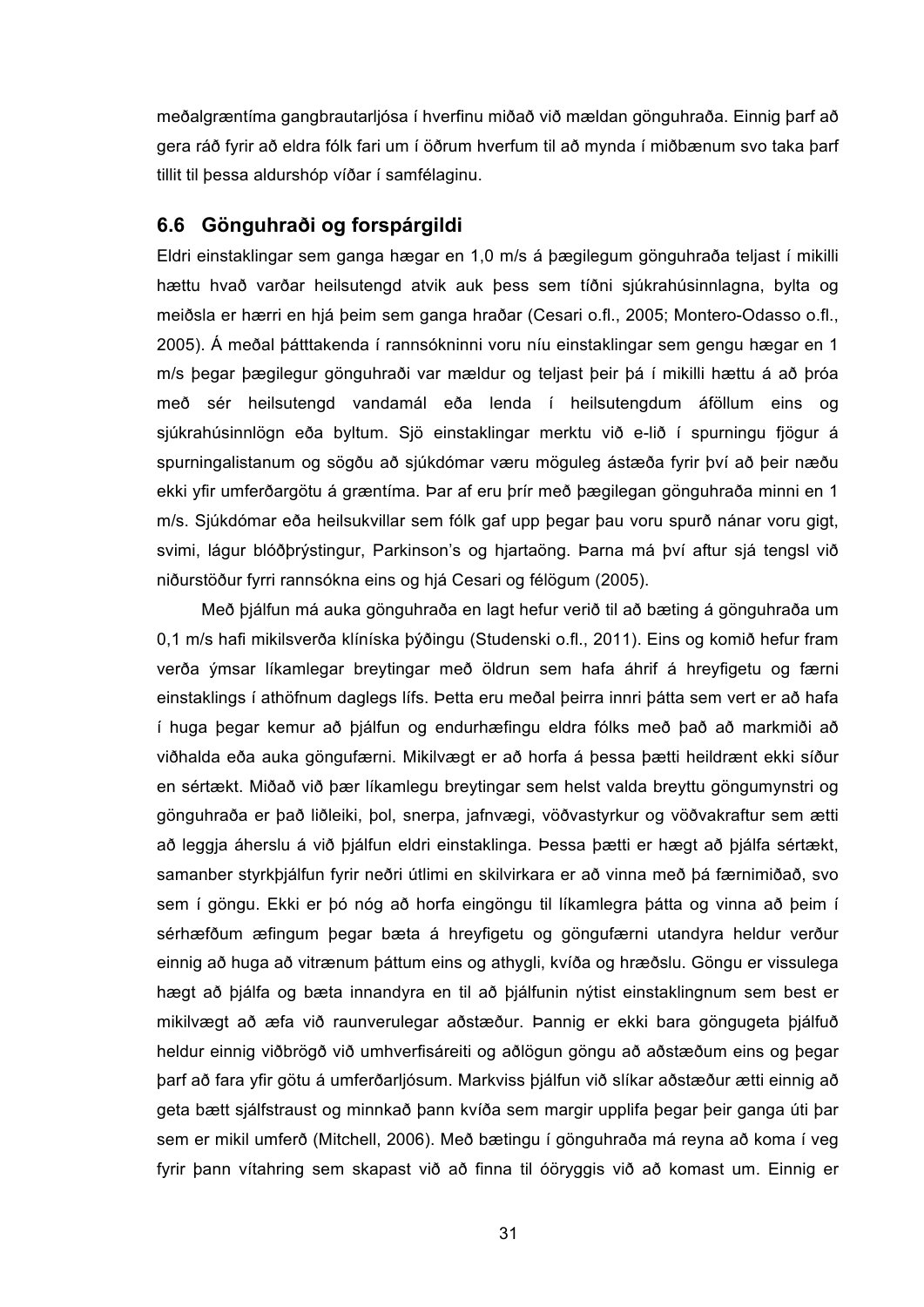meðalgræntíma gangbrautarljósa í hverfinu miðað við mældan gönguhraða. Einnig þarf að gera ráð fyrir að eldra fólk fari um í öðrum hverfum til að mynda í miðbænum svo taka þarf tillit til þessa aldurshóp víðar í samfélaginu.

#### **6.6 Gönguhraði og forspárgildi**

Eldri einstaklingar sem ganga hægar en 1,0 m/s á þægilegum gönguhraða teljast í mikilli hættu hvað varðar heilsutengd atvik auk þess sem tíðni sjúkrahúsinnlagna, bylta og meiðsla er hærri en hjá þeim sem ganga hraðar (Cesari o.fl., 2005; Montero-Odasso o.fl., 2005). Á meðal þátttakenda í rannsókninni voru níu einstaklingar sem gengu hægar en 1 m/s þegar þægilegur gönguhraði var mældur og teljast þeir þá í mikilli hættu á að þróa með sér heilsutengd vandamál eða lenda í heilsutengdum áföllum eins og sjúkrahúsinnlögn eða byltum. Sjö einstaklingar merktu við e-lið í spurningu fjögur á spurningalistanum og sögðu að sjúkdómar væru möguleg ástæða fyrir því að þeir næðu ekki yfir umferðargötu á græntíma. Þar af eru þrír með þægilegan gönguhraða minni en 1 m/s. Sjúkdómar eða heilsukvillar sem fólk gaf upp þegar þau voru spurð nánar voru gigt, svimi, lágur blóðþrýstingur, Parkinson's og hjartaöng. Þarna má því aftur sjá tengsl við niðurstöður fyrri rannsókna eins og hjá Cesari og félögum (2005).

Með þjálfun má auka gönguhraða en lagt hefur verið til að bæting á gönguhraða um 0,1 m/s hafi mikilsverða klíníska þýðingu (Studenski o.fl., 2011). Eins og komið hefur fram verða ýmsar líkamlegar breytingar með öldrun sem hafa áhrif á hreyfigetu og færni einstaklings í athöfnum daglegs lífs. Þetta eru meðal þeirra innri þátta sem vert er að hafa í huga þegar kemur að þjálfun og endurhæfingu eldra fólks með það að markmiði að viðhalda eða auka göngufærni. Mikilvægt er að horfa á þessa þætti heildrænt ekki síður en sértækt. Miðað við þær líkamlegu breytingar sem helst valda breyttu göngumynstri og gönguhraða er það liðleiki, þol, snerpa, jafnvægi, vöðvastyrkur og vöðvakraftur sem ætti að leggja áherslu á við þjálfun eldri einstaklinga. Þessa þætti er hægt að þjálfa sértækt, samanber styrkþjálfun fyrir neðri útlimi en skilvirkara er að vinna með þá færnimiðað, svo sem í göngu. Ekki er þó nóg að horfa eingöngu til líkamlegra þátta og vinna að þeim í sérhæfðum æfingum þegar bæta á hreyfigetu og göngufærni utandyra heldur verður einnig að huga að vitrænum þáttum eins og athygli, kvíða og hræðslu. Göngu er vissulega hægt að þjálfa og bæta innandyra en til að þjálfunin nýtist einstaklingnum sem best er mikilvægt að æfa við raunverulegar aðstæður. Þannig er ekki bara göngugeta þjálfuð heldur einnig viðbrögð við umhverfisáreiti og aðlögun göngu að aðstæðum eins og þegar þarf að fara yfir götu á umferðarljósum. Markviss þjálfun við slíkar aðstæður ætti einnig að geta bætt sjálfstraust og minnkað þann kvíða sem margir upplifa þegar þeir ganga úti þar sem er mikil umferð (Mitchell, 2006). Með bætingu í gönguhraða má reyna að koma í veg fyrir þann vítahring sem skapast við að finna til óöryggis við að komast um. Einnig er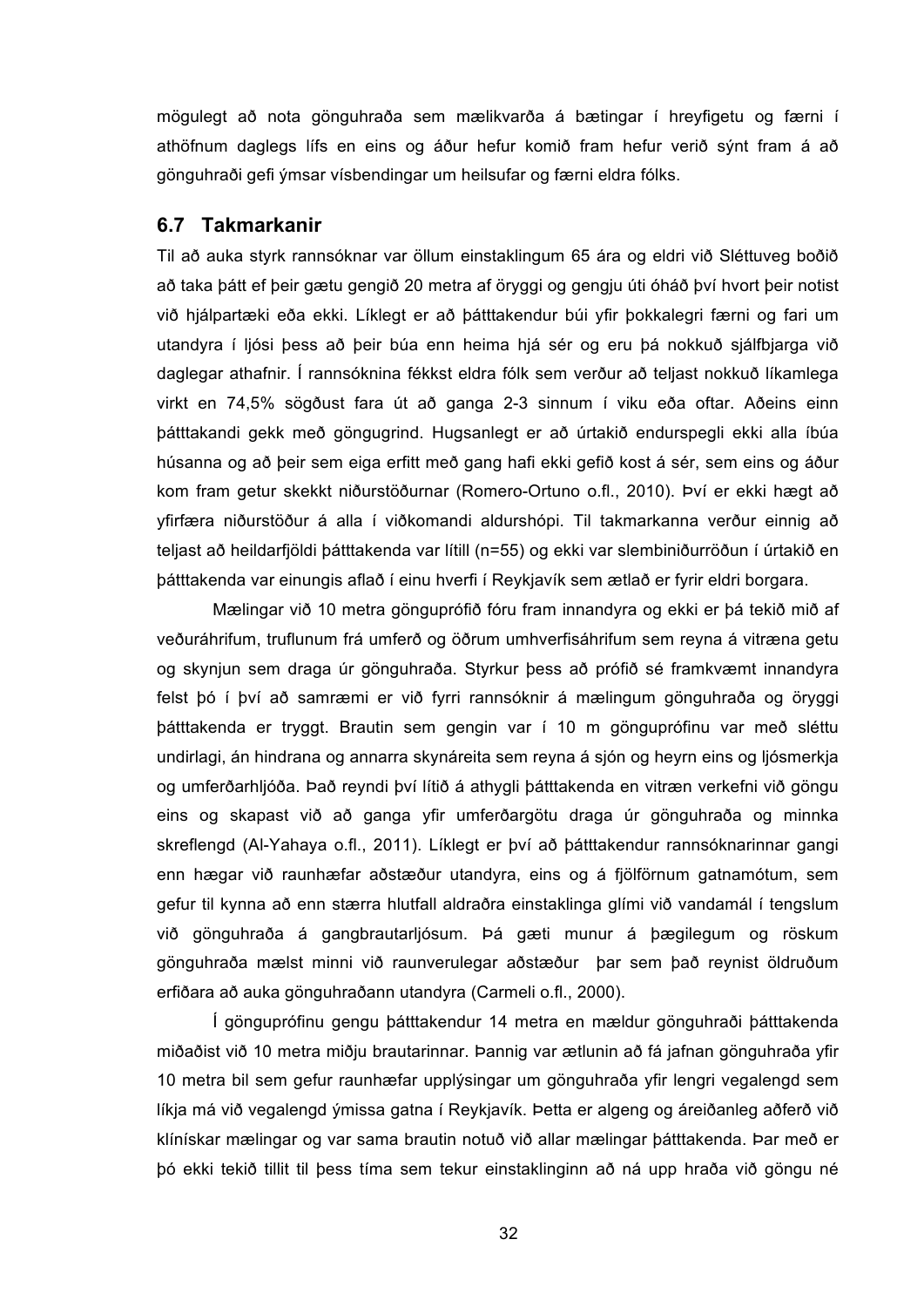mögulegt að nota gönguhraða sem mælikvarða á bætingar í hreyfigetu og færni í athöfnum daglegs lífs en eins og áður hefur komið fram hefur verið sýnt fram á að gönguhraði gefi ýmsar vísbendingar um heilsufar og færni eldra fólks.

#### **6.7 Takmarkanir**

Til að auka styrk rannsóknar var öllum einstaklingum 65 ára og eldri við Sléttuveg boðið að taka þátt ef þeir gætu gengið 20 metra af öryggi og gengju úti óháð því hvort þeir notist við hjálpartæki eða ekki. Líklegt er að þátttakendur búi yfir þokkalegri færni og fari um utandyra í ljósi þess að þeir búa enn heima hjá sér og eru þá nokkuð sjálfbjarga við daglegar athafnir. Í rannsóknina fékkst eldra fólk sem verður að teljast nokkuð líkamlega virkt en 74,5% sögðust fara út að ganga 2-3 sinnum í viku eða oftar. Aðeins einn þátttakandi gekk með göngugrind. Hugsanlegt er að úrtakið endurspegli ekki alla íbúa húsanna og að þeir sem eiga erfitt með gang hafi ekki gefið kost á sér, sem eins og áður kom fram getur skekkt niðurstöðurnar (Romero-Ortuno o.fl., 2010). Því er ekki hægt að yfirfæra niðurstöður á alla í viðkomandi aldurshópi. Til takmarkanna verður einnig að teljast að heildarfjöldi þátttakenda var lítill (n=55) og ekki var slembiniðurröðun í úrtakið en þátttakenda var einungis aflað í einu hverfi í Reykjavík sem ætlað er fyrir eldri borgara.

Mælingar við 10 metra gönguprófið fóru fram innandyra og ekki er þá tekið mið af veðuráhrifum, truflunum frá umferð og öðrum umhverfisáhrifum sem reyna á vitræna getu og skynjun sem draga úr gönguhraða. Styrkur þess að prófið sé framkvæmt innandyra felst þó í því að samræmi er við fyrri rannsóknir á mælingum gönguhraða og öryggi þátttakenda er tryggt. Brautin sem gengin var í 10 m gönguprófinu var með sléttu undirlagi, án hindrana og annarra skynáreita sem reyna á sjón og heyrn eins og ljósmerkja og umferðarhljóða. Það reyndi því lítið á athygli þátttakenda en vitræn verkefni við göngu eins og skapast við að ganga yfir umferðargötu draga úr gönguhraða og minnka skreflengd (Al-Yahaya o.fl., 2011). Líklegt er því að þátttakendur rannsóknarinnar gangi enn hægar við raunhæfar aðstæður utandyra, eins og á fjölförnum gatnamótum, sem gefur til kynna að enn stærra hlutfall aldraðra einstaklinga glími við vandamál í tengslum við gönguhraða á gangbrautarljósum. Þá gæti munur á þægilegum og röskum gönguhraða mælst minni við raunverulegar aðstæður þar sem það reynist öldruðum erfiðara að auka gönguhraðann utandyra (Carmeli o.fl., 2000).

Í gönguprófinu gengu þátttakendur 14 metra en mældur gönguhraði þátttakenda miðaðist við 10 metra miðju brautarinnar. Þannig var ætlunin að fá jafnan gönguhraða yfir 10 metra bil sem gefur raunhæfar upplýsingar um gönguhraða yfir lengri vegalengd sem líkja má við vegalengd ýmissa gatna í Reykjavík. Þetta er algeng og áreiðanleg aðferð við klínískar mælingar og var sama brautin notuð við allar mælingar þátttakenda. Þar með er þó ekki tekið tillit til þess tíma sem tekur einstaklinginn að ná upp hraða við göngu né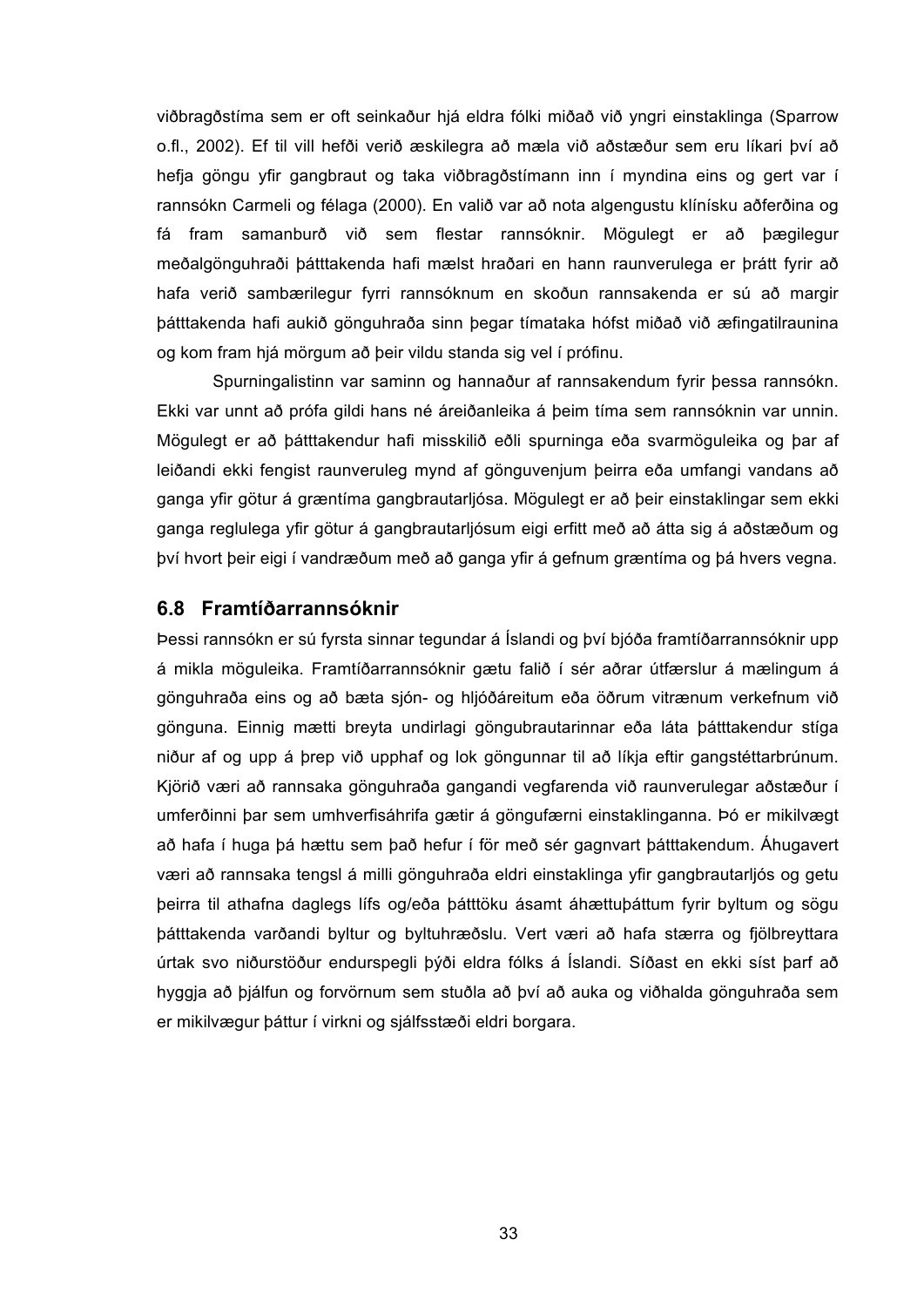viðbragðstíma sem er oft seinkaður hjá eldra fólki miðað við yngri einstaklinga (Sparrow o.fl., 2002). Ef til vill hefði verið æskilegra að mæla við aðstæður sem eru líkari því að hefja göngu yfir gangbraut og taka viðbragðstímann inn í myndina eins og gert var í rannsókn Carmeli og félaga (2000). En valið var að nota algengustu klínísku aðferðina og fá fram samanburð við sem flestar rannsóknir. Mögulegt er að þægilegur meðalgönguhraði þátttakenda hafi mælst hraðari en hann raunverulega er þrátt fyrir að hafa verið sambærilegur fyrri rannsóknum en skoðun rannsakenda er sú að margir þátttakenda hafi aukið gönguhraða sinn þegar tímataka hófst miðað við æfingatilraunina og kom fram hjá mörgum að þeir vildu standa sig vel í prófinu.

Spurningalistinn var saminn og hannaður af rannsakendum fyrir þessa rannsókn. Ekki var unnt að prófa gildi hans né áreiðanleika á þeim tíma sem rannsóknin var unnin. Mögulegt er að þátttakendur hafi misskilið eðli spurninga eða svarmöguleika og þar af leiðandi ekki fengist raunveruleg mynd af gönguvenjum þeirra eða umfangi vandans að ganga yfir götur á græntíma gangbrautarljósa. Mögulegt er að þeir einstaklingar sem ekki ganga reglulega yfir götur á gangbrautarljósum eigi erfitt með að átta sig á aðstæðum og því hvort þeir eigi í vandræðum með að ganga yfir á gefnum græntíma og þá hvers vegna.

#### **6.8 Framtíðarrannsóknir**

Þessi rannsókn er sú fyrsta sinnar tegundar á Íslandi og því bjóða framtíðarrannsóknir upp á mikla möguleika. Framtíðarrannsóknir gætu falið í sér aðrar útfærslur á mælingum á gönguhraða eins og að bæta sjón- og hljóðáreitum eða öðrum vitrænum verkefnum við gönguna. Einnig mætti breyta undirlagi göngubrautarinnar eða láta þátttakendur stíga niður af og upp á þrep við upphaf og lok göngunnar til að líkja eftir gangstéttarbrúnum. Kjörið væri að rannsaka gönguhraða gangandi vegfarenda við raunverulegar aðstæður í umferðinni þar sem umhverfisáhrifa gætir á göngufærni einstaklinganna. Þó er mikilvægt að hafa í huga þá hættu sem það hefur í för með sér gagnvart þátttakendum. Áhugavert væri að rannsaka tengsl á milli gönguhraða eldri einstaklinga yfir gangbrautarljós og getu þeirra til athafna daglegs lífs og/eða þátttöku ásamt áhættuþáttum fyrir byltum og sögu þátttakenda varðandi byltur og byltuhræðslu. Vert væri að hafa stærra og fjölbreyttara úrtak svo niðurstöður endurspegli þýði eldra fólks á Íslandi. Síðast en ekki síst þarf að hyggja að þjálfun og forvörnum sem stuðla að því að auka og viðhalda gönguhraða sem er mikilvægur þáttur í virkni og sjálfsstæði eldri borgara.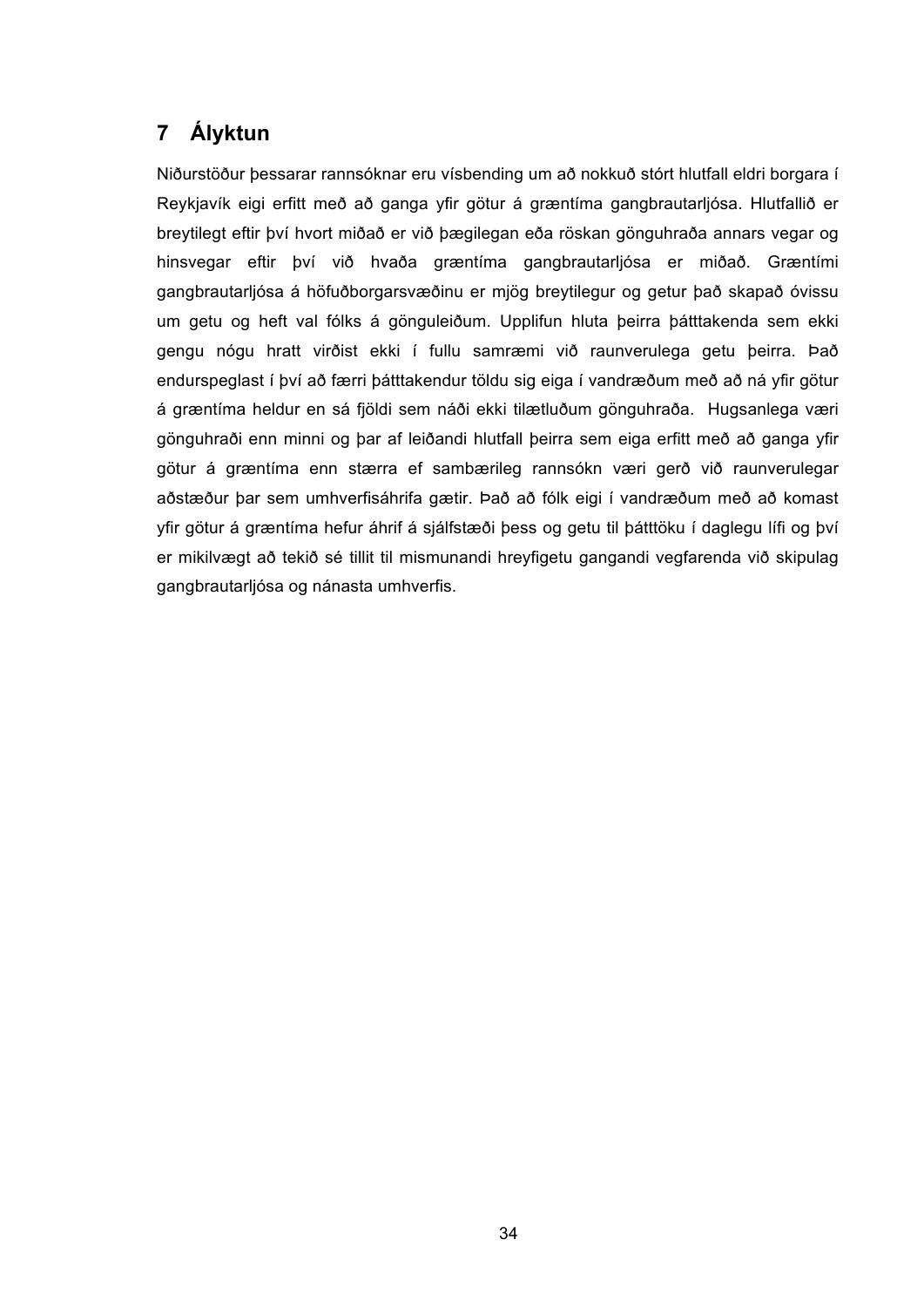# **7 Ályktun**

Niðurstöður þessarar rannsóknar eru vísbending um að nokkuð stórt hlutfall eldri borgara í Reykjavík eigi erfitt með að ganga yfir götur á græntíma gangbrautarljósa. Hlutfallið er breytilegt eftir því hvort miðað er við þægilegan eða röskan gönguhraða annars vegar og hinsvegar eftir því við hvaða græntíma gangbrautarljósa er miðað. Græntími gangbrautarljósa á höfuðborgarsvæðinu er mjög breytilegur og getur það skapað óvissu um getu og heft val fólks á gönguleiðum. Upplifun hluta þeirra þátttakenda sem ekki gengu nógu hratt virðist ekki í fullu samræmi við raunverulega getu þeirra. Það endurspeglast í því að færri þátttakendur töldu sig eiga í vandræðum með að ná yfir götur á græntíma heldur en sá fjöldi sem náði ekki tilætluðum gönguhraða. Hugsanlega væri gönguhraði enn minni og þar af leiðandi hlutfall þeirra sem eiga erfitt með að ganga yfir götur á græntíma enn stærra ef sambærileg rannsókn væri gerð við raunverulegar aðstæður þar sem umhverfisáhrifa gætir. Það að fólk eigi í vandræðum með að komast yfir götur á græntíma hefur áhrif á sjálfstæði þess og getu til þátttöku í daglegu lífi og því er mikilvægt að tekið sé tillit til mismunandi hreyfigetu gangandi vegfarenda við skipulag gangbrautarljósa og nánasta umhverfis.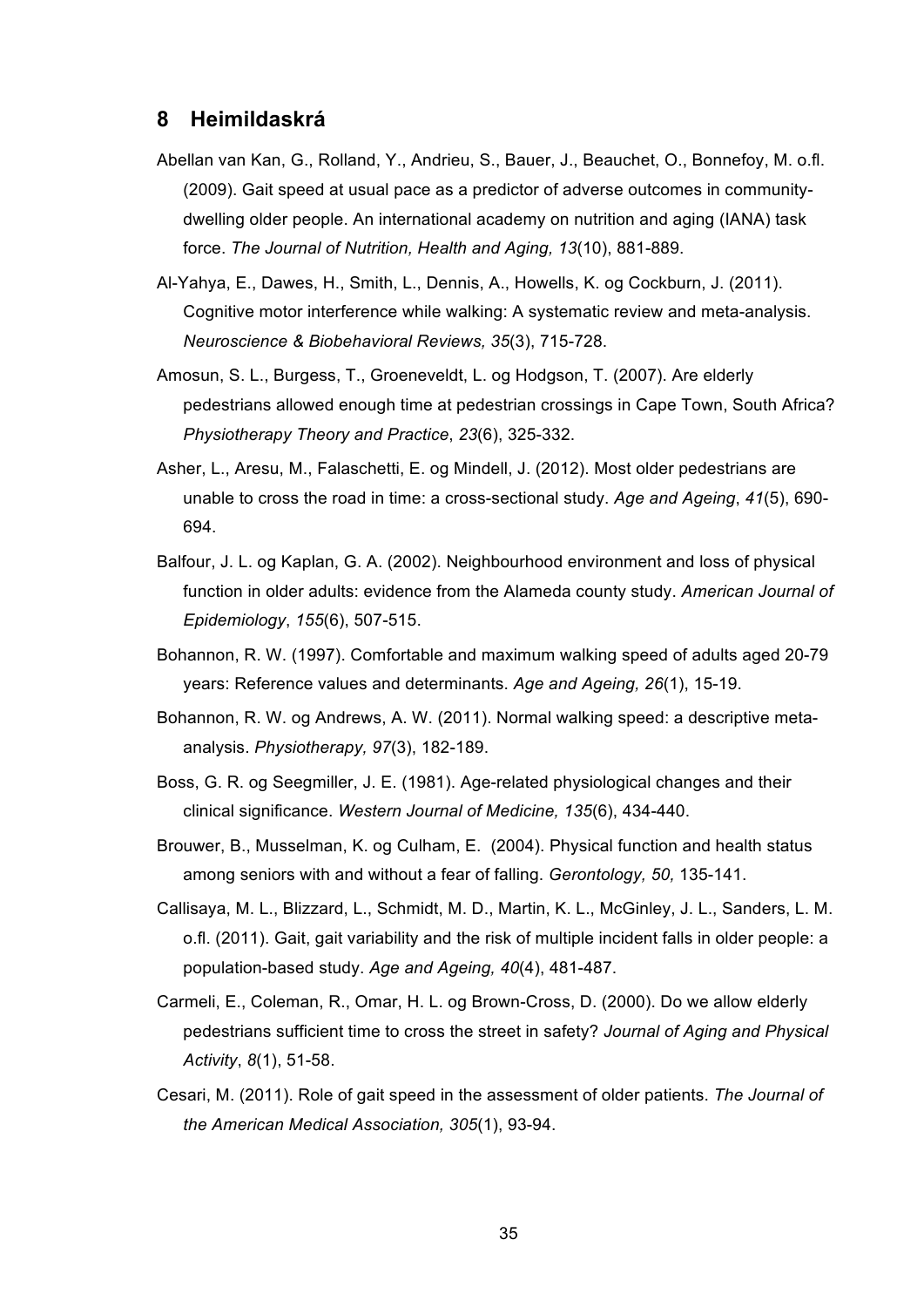#### **8 Heimildaskrá**

- Abellan van Kan, G., Rolland, Y., Andrieu, S., Bauer, J., Beauchet, O., Bonnefoy, M. o.fl. (2009). Gait speed at usual pace as a predictor of adverse outcomes in communitydwelling older people. An international academy on nutrition and aging (IANA) task force. *The Journal of Nutrition, Health and Aging, 13*(10), 881-889.
- Al-Yahya, E., Dawes, H., Smith, L., Dennis, A., Howells, K. og Cockburn, J. (2011). Cognitive motor interference while walking: A systematic review and meta-analysis. *Neuroscience & Biobehavioral Reviews, 35*(3), 715-728.
- Amosun, S. L., Burgess, T., Groeneveldt, L. og Hodgson, T. (2007). Are elderly pedestrians allowed enough time at pedestrian crossings in Cape Town, South Africa? *Physiotherapy Theory and Practice*, *23*(6), 325-332.
- Asher, L., Aresu, M., Falaschetti, E. og Mindell, J. (2012). Most older pedestrians are unable to cross the road in time: a cross-sectional study. *Age and Ageing*, *41*(5), 690- 694.
- Balfour, J. L. og Kaplan, G. A. (2002). Neighbourhood environment and loss of physical function in older adults: evidence from the Alameda county study. *American Journal of Epidemiology*, *155*(6), 507-515.
- Bohannon, R. W. (1997). Comfortable and maximum walking speed of adults aged 20-79 years: Reference values and determinants. *Age and Ageing, 26*(1), 15-19.
- Bohannon, R. W. og Andrews, A. W. (2011). Normal walking speed: a descriptive metaanalysis. *Physiotherapy, 97*(3), 182-189.
- Boss, G. R. og Seegmiller, J. E. (1981). Age-related physiological changes and their clinical significance. *Western Journal of Medicine, 135*(6), 434-440.
- Brouwer, B., Musselman, K. og Culham, E. (2004). Physical function and health status among seniors with and without a fear of falling. *Gerontology, 50,* 135-141.
- Callisaya, M. L., Blizzard, L., Schmidt, M. D., Martin, K. L., McGinley, J. L., Sanders, L. M. o.fl. (2011). Gait, gait variability and the risk of multiple incident falls in older people: a population-based study. *Age and Ageing, 40*(4), 481-487.
- Carmeli, E., Coleman, R., Omar, H. L. og Brown-Cross, D. (2000). Do we allow elderly pedestrians sufficient time to cross the street in safety? *Journal of Aging and Physical Activity*, *8*(1), 51-58.
- Cesari, M. (2011). Role of gait speed in the assessment of older patients. *The Journal of the American Medical Association, 305*(1), 93-94.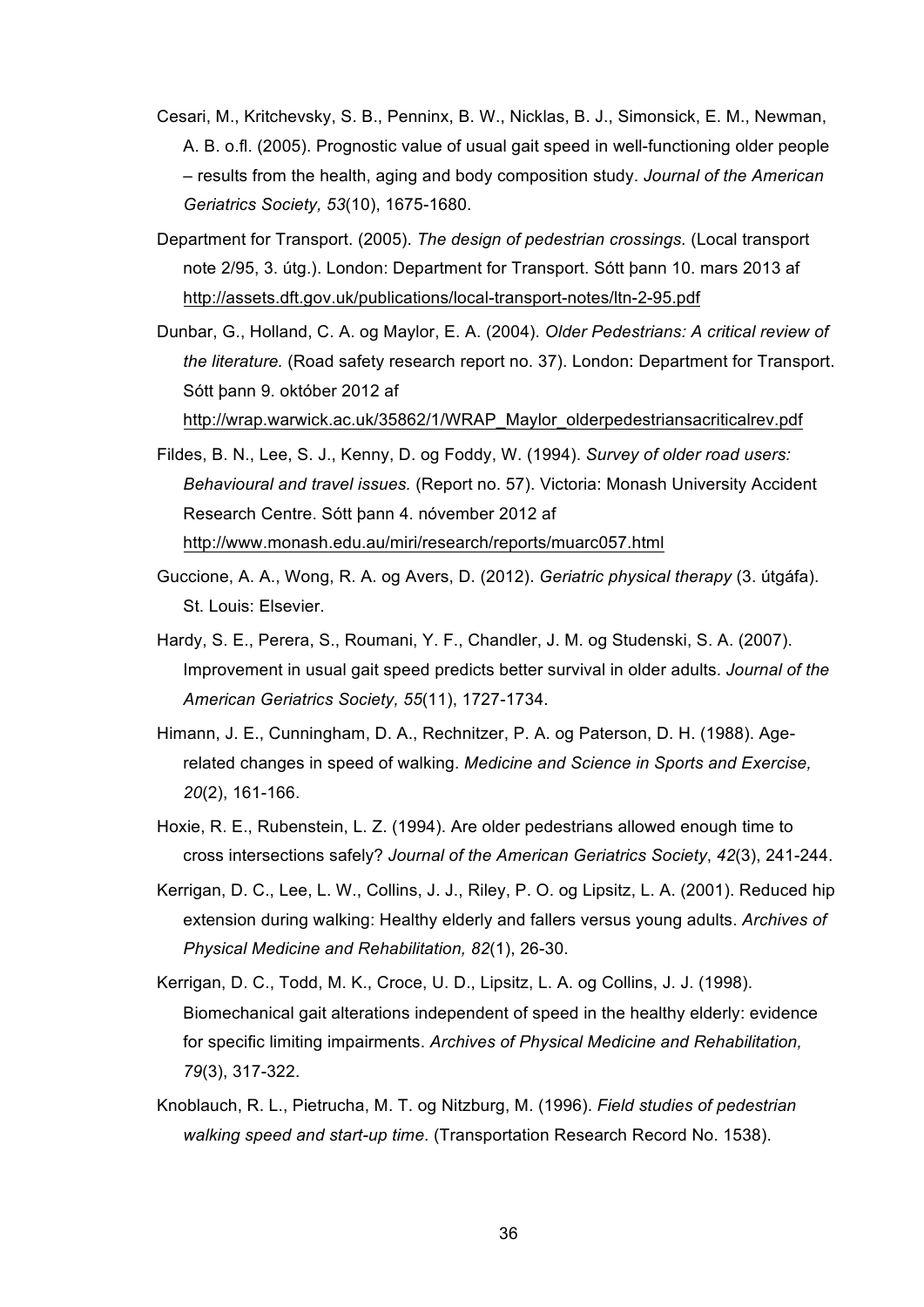- Cesari, M., Kritchevsky, S. B., Penninx, B. W., Nicklas, B. J., Simonsick, E. M., Newman, A. B. o.fl. (2005). Prognostic value of usual gait speed in well-functioning older people – results from the health, aging and body composition study. *Journal of the American Geriatrics Society, 53*(10), 1675-1680.
- Department for Transport. (2005). *The design of pedestrian crossings.* (Local transport note 2/95, 3. útg.). London: Department for Transport. Sótt þann 10. mars 2013 af http://assets.dft.gov.uk/publications/local-transport-notes/ltn-2-95.pdf
- Dunbar, G., Holland, C. A. og Maylor, E. A. (2004). *Older Pedestrians: A critical review of the literature.* (Road safety research report no. 37). London: Department for Transport. Sótt þann 9. október 2012 af http://wrap.warwick.ac.uk/35862/1/WRAP\_Maylor\_olderpedestriansacriticalrev.pdf
- Fildes, B. N., Lee, S. J., Kenny, D. og Foddy, W. (1994). *Survey of older road users: Behavioural and travel issues.* (Report no. 57). Victoria: Monash University Accident Research Centre. Sótt þann 4. nóvember 2012 af http://www.monash.edu.au/miri/research/reports/muarc057.html
- Guccione, A. A., Wong, R. A. og Avers, D. (2012). *Geriatric physical therapy* (3. útgáfa). St. Louis: Elsevier.
- Hardy, S. E., Perera, S., Roumani, Y. F., Chandler, J. M. og Studenski, S. A. (2007). Improvement in usual gait speed predicts better survival in older adults. *Journal of the American Geriatrics Society, 55*(11), 1727-1734.
- Himann, J. E., Cunningham, D. A., Rechnitzer, P. A. og Paterson, D. H. (1988). Agerelated changes in speed of walking. *Medicine and Science in Sports and Exercise, 20*(2), 161-166.
- Hoxie, R. E., Rubenstein, L. Z. (1994). Are older pedestrians allowed enough time to cross intersections safely? *Journal of the American Geriatrics Society*, *42*(3), 241-244.
- Kerrigan, D. C., Lee, L. W., Collins, J. J., Riley, P. O. og Lipsitz, L. A. (2001). Reduced hip extension during walking: Healthy elderly and fallers versus young adults. *Archives of Physical Medicine and Rehabilitation, 82*(1), 26-30.
- Kerrigan, D. C., Todd, M. K., Croce, U. D., Lipsitz, L. A. og Collins, J. J. (1998). Biomechanical gait alterations independent of speed in the healthy elderly: evidence for specific limiting impairments. *Archives of Physical Medicine and Rehabilitation, 79*(3), 317-322.
- Knoblauch, R. L., Pietrucha, M. T. og Nitzburg, M. (1996). *Field studies of pedestrian walking speed and start-up time*. (Transportation Research Record No. 1538).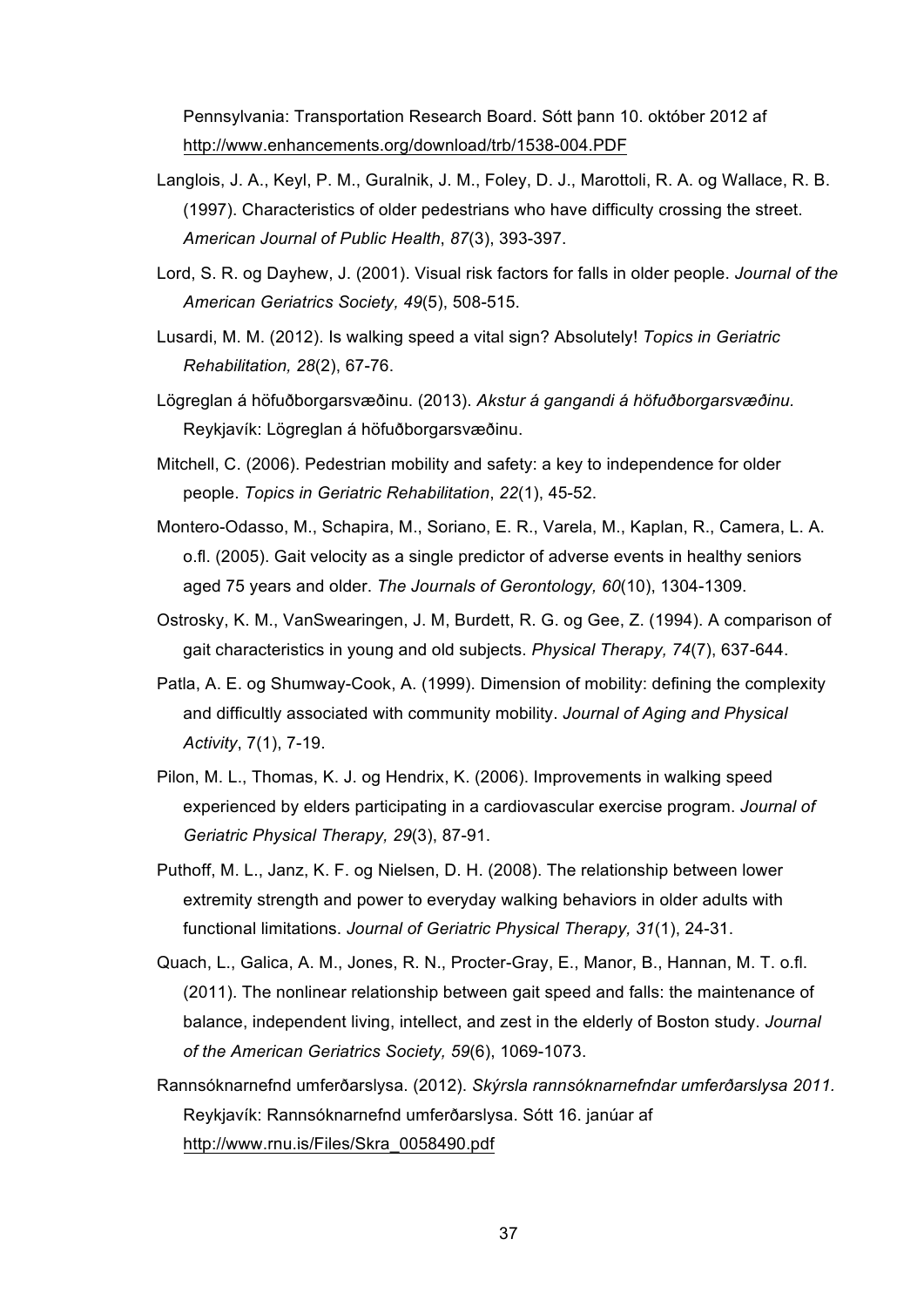Pennsylvania: Transportation Research Board. Sótt þann 10. október 2012 af http://www.enhancements.org/download/trb/1538-004.PDF

- Langlois, J. A., Keyl, P. M., Guralnik, J. M., Foley, D. J., Marottoli, R. A. og Wallace, R. B. (1997). Characteristics of older pedestrians who have difficulty crossing the street. *American Journal of Public Health*, *87*(3), 393-397.
- Lord, S. R. og Dayhew, J. (2001). Visual risk factors for falls in older people. *Journal of the American Geriatrics Society, 49*(5), 508-515.
- Lusardi, M. M. (2012). Is walking speed a vital sign? Absolutely! *Topics in Geriatric Rehabilitation, 28*(2), 67-76.
- Lögreglan á höfuðborgarsvæðinu. (2013). *Akstur á gangandi á höfuðborgarsvæðinu.*  Reykjavík: Lögreglan á höfuðborgarsvæðinu.
- Mitchell, C. (2006). Pedestrian mobility and safety: a key to independence for older people. *Topics in Geriatric Rehabilitation*, *22*(1), 45-52.
- Montero-Odasso, M., Schapira, M., Soriano, E. R., Varela, M., Kaplan, R., Camera, L. A. o.fl. (2005). Gait velocity as a single predictor of adverse events in healthy seniors aged 75 years and older. *The Journals of Gerontology, 60*(10), 1304-1309.
- Ostrosky, K. M., VanSwearingen, J. M, Burdett, R. G. og Gee, Z. (1994). A comparison of gait characteristics in young and old subjects. *Physical Therapy, 74*(7), 637-644.
- Patla, A. E. og Shumway-Cook, A. (1999). Dimension of mobility: defining the complexity and difficultly associated with community mobility. *Journal of Aging and Physical Activity*, 7(1), 7-19.
- Pilon, M. L., Thomas, K. J. og Hendrix, K. (2006). Improvements in walking speed experienced by elders participating in a cardiovascular exercise program. *Journal of Geriatric Physical Therapy, 29*(3), 87-91.
- Puthoff, M. L., Janz, K. F. og Nielsen, D. H. (2008). The relationship between lower extremity strength and power to everyday walking behaviors in older adults with functional limitations. *Journal of Geriatric Physical Therapy, 31*(1), 24-31.
- Quach, L., Galica, A. M., Jones, R. N., Procter-Gray, E., Manor, B., Hannan, M. T. o.fl. (2011). The nonlinear relationship between gait speed and falls: the maintenance of balance, independent living, intellect, and zest in the elderly of Boston study. *Journal of the American Geriatrics Society, 59*(6), 1069-1073.
- Rannsóknarnefnd umferðarslysa. (2012). *Skýrsla rannsóknarnefndar umferðarslysa 2011.*  Reykjavík: Rannsóknarnefnd umferðarslysa. Sótt 16. janúar af http://www.rnu.is/Files/Skra\_0058490.pdf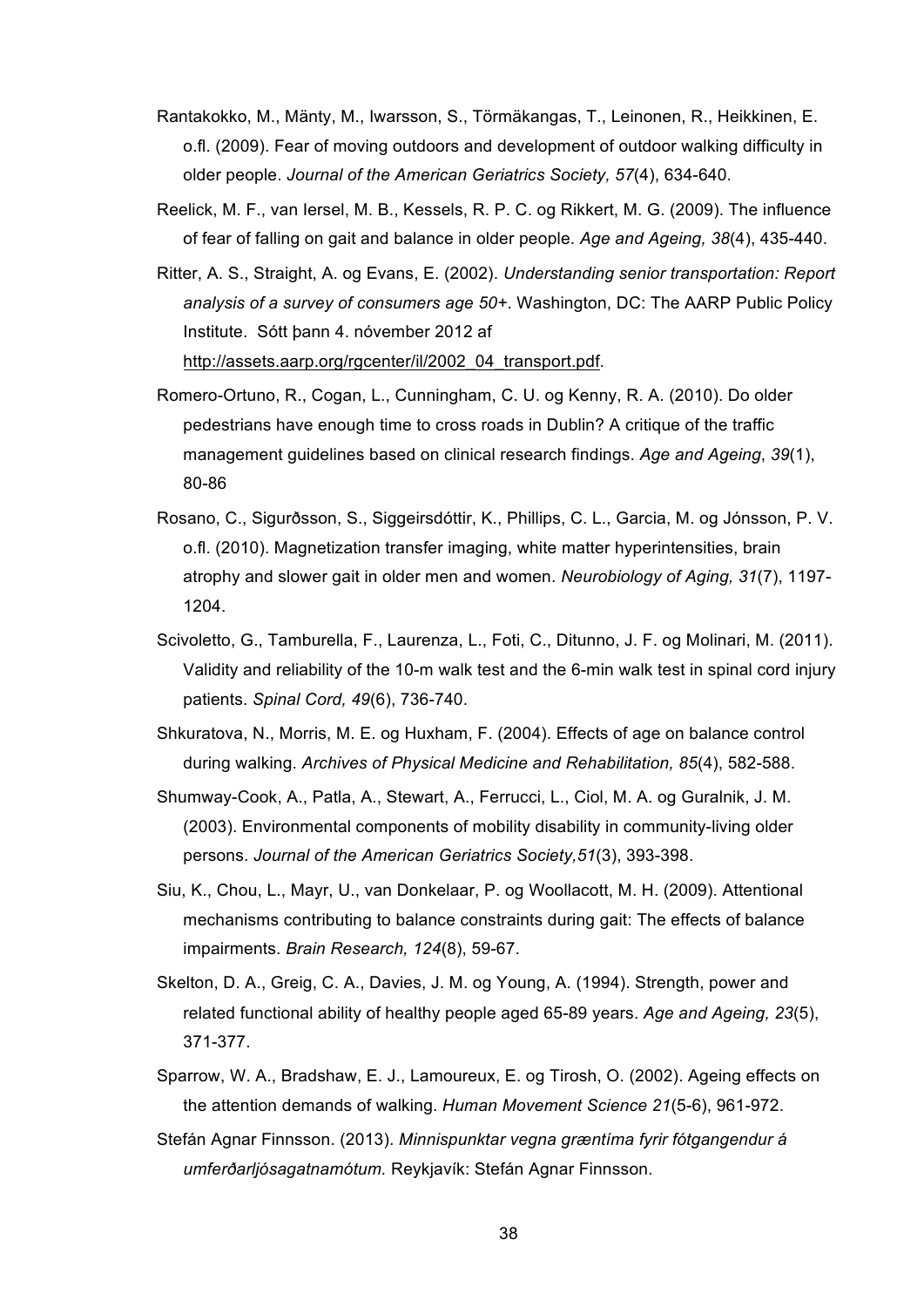- Rantakokko, M., Mänty, M., Iwarsson, S., Törmäkangas, T., Leinonen, R., Heikkinen, E. o.fl. (2009). Fear of moving outdoors and development of outdoor walking difficulty in older people. *Journal of the American Geriatrics Society, 57*(4), 634-640.
- Reelick, M. F., van Iersel, M. B., Kessels, R. P. C. og Rikkert, M. G. (2009). The influence of fear of falling on gait and balance in older people. *Age and Ageing, 38*(4), 435-440.
- Ritter, A. S., Straight, A. og Evans, E. (2002). *Understanding senior transportation: Report analysis of a survey of consumers age 50+*. Washington, DC: The AARP Public Policy Institute. Sótt þann 4. nóvember 2012 af http://assets.aarp.org/rgcenter/il/2002\_04\_transport.pdf.
- Romero-Ortuno, R., Cogan, L., Cunningham, C. U. og Kenny, R. A. (2010). Do older pedestrians have enough time to cross roads in Dublin? A critique of the traffic management guidelines based on clinical research findings. *Age and Ageing*, *39*(1), 80-86
- Rosano, C., Sigurðsson, S., Siggeirsdóttir, K., Phillips, C. L., Garcia, M. og Jónsson, P. V. o.fl. (2010). Magnetization transfer imaging, white matter hyperintensities, brain atrophy and slower gait in older men and women. *Neurobiology of Aging, 31*(7), 1197- 1204.
- Scivoletto, G., Tamburella, F., Laurenza, L., Foti, C., Ditunno, J. F. og Molinari, M. (2011). Validity and reliability of the 10-m walk test and the 6-min walk test in spinal cord injury patients. *Spinal Cord, 49*(6), 736-740.
- Shkuratova, N., Morris, M. E. og Huxham, F. (2004). Effects of age on balance control during walking. *Archives of Physical Medicine and Rehabilitation, 85*(4), 582-588.
- Shumway-Cook, A., Patla, A., Stewart, A., Ferrucci, L., Ciol, M. A. og Guralnik, J. M. (2003). Environmental components of mobility disability in community-living older persons. *Journal of the American Geriatrics Society,51*(3), 393-398.
- Siu, K., Chou, L., Mayr, U., van Donkelaar, P. og Woollacott, M. H. (2009). Attentional mechanisms contributing to balance constraints during gait: The effects of balance impairments. *Brain Research, 124*(8), 59-67.
- Skelton, D. A., Greig, C. A., Davies, J. M. og Young, A. (1994). Strength, power and related functional ability of healthy people aged 65-89 years. *Age and Ageing, 23*(5), 371-377.
- Sparrow, W. A., Bradshaw, E. J., Lamoureux, E. og Tirosh, O. (2002). Ageing effects on the attention demands of walking. *Human Movement Science 21*(5-6), 961-972.
- Stefán Agnar Finnsson. (2013). *Minnispunktar vegna græntíma fyrir fótgangendur á umferðarljósagatnamótum.* Reykjavík: Stefán Agnar Finnsson.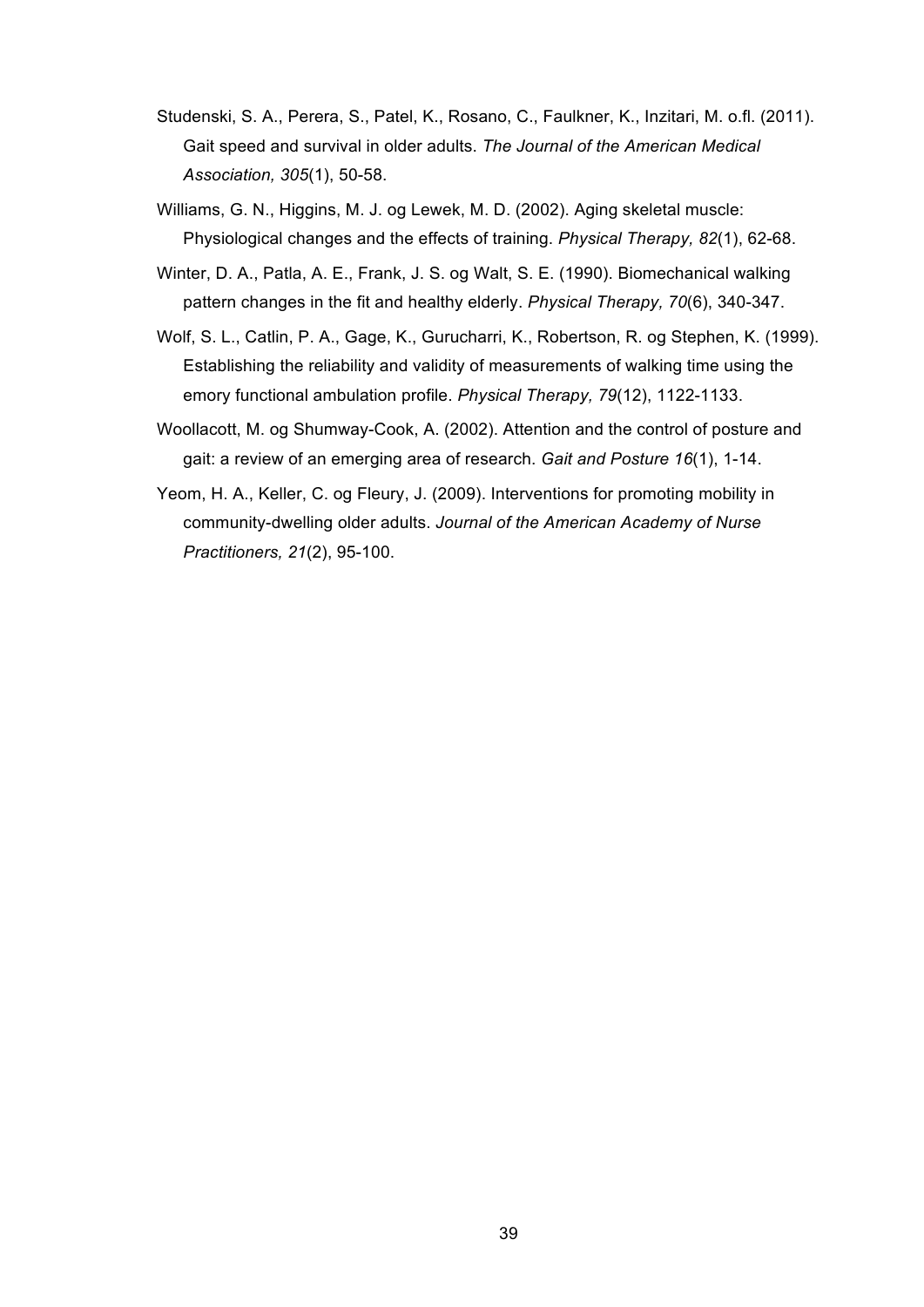- Studenski, S. A., Perera, S., Patel, K., Rosano, C., Faulkner, K., Inzitari, M. o.fl. (2011). Gait speed and survival in older adults. *The Journal of the American Medical Association, 305*(1), 50-58.
- Williams, G. N., Higgins, M. J. og Lewek, M. D. (2002). Aging skeletal muscle: Physiological changes and the effects of training. *Physical Therapy, 82*(1), 62-68.
- Winter, D. A., Patla, A. E., Frank, J. S. og Walt, S. E. (1990). Biomechanical walking pattern changes in the fit and healthy elderly. *Physical Therapy, 70*(6), 340-347.
- Wolf, S. L., Catlin, P. A., Gage, K., Gurucharri, K., Robertson, R. og Stephen, K. (1999). Establishing the reliability and validity of measurements of walking time using the emory functional ambulation profile. *Physical Therapy, 79*(12), 1122-1133.
- Woollacott, M. og Shumway-Cook, A. (2002). Attention and the control of posture and gait: a review of an emerging area of research. *Gait and Posture 16*(1), 1-14.
- Yeom, H. A., Keller, C. og Fleury, J. (2009). Interventions for promoting mobility in community-dwelling older adults. *Journal of the American Academy of Nurse Practitioners, 21*(2), 95-100.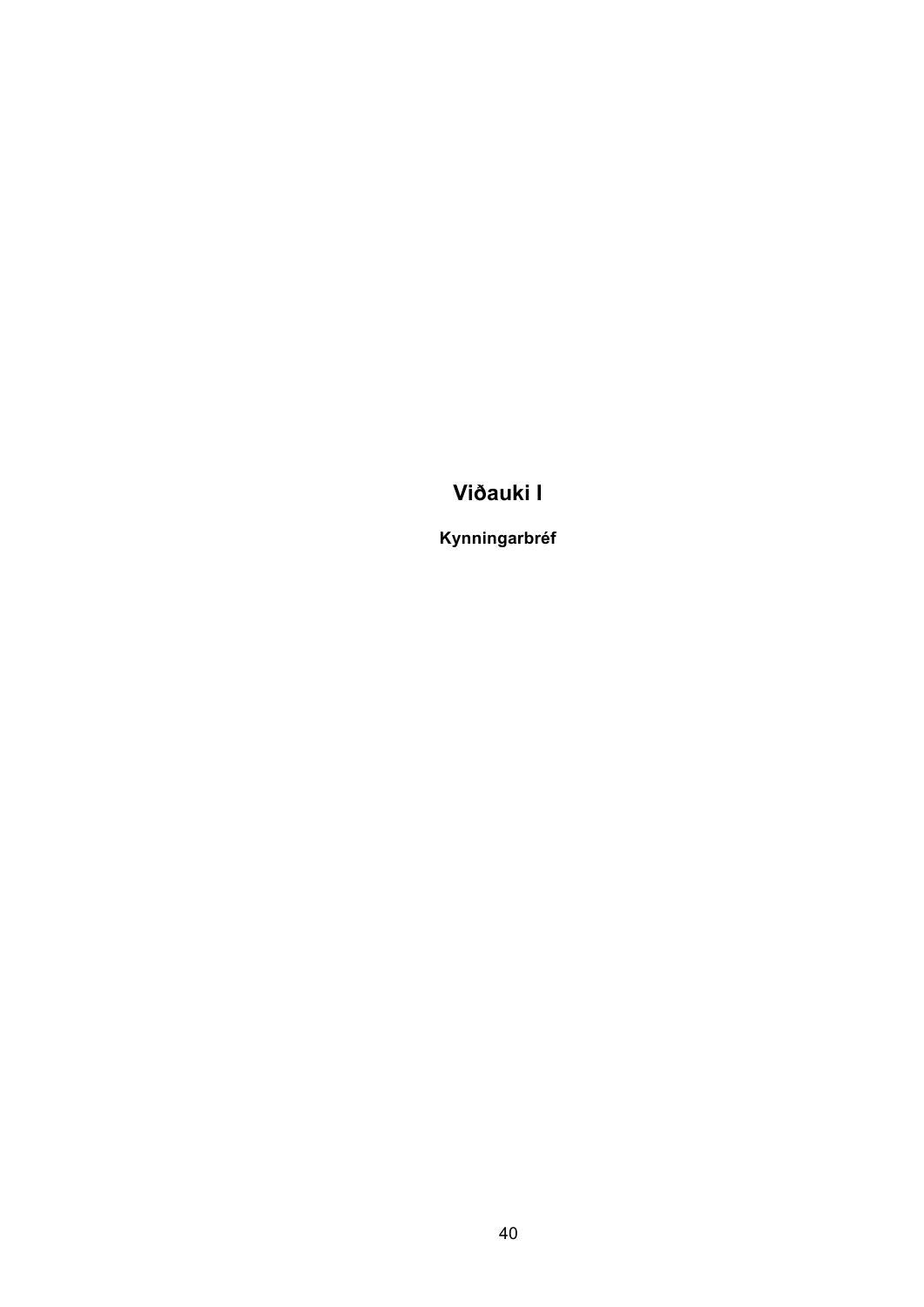# **Viðauki I**

**Kynningarbréf**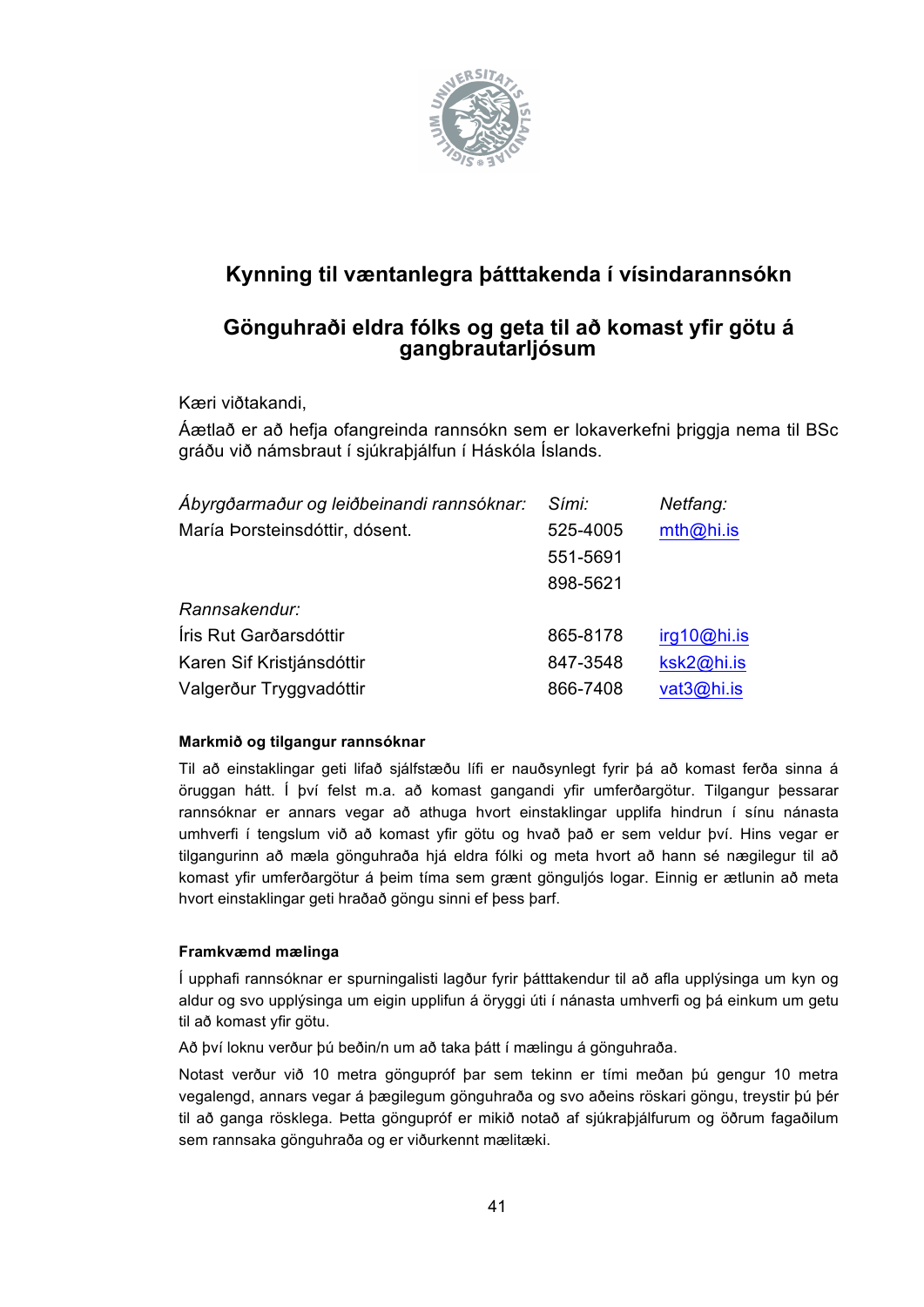

## **Kynning til væntanlegra þátttakenda í vísindarannsókn**

## **Gönguhraði eldra fólks og geta til að komast yfir götu á gangbrautarljósum**

Kæri viðtakandi,

Áætlað er að hefja ofangreinda rannsókn sem er lokaverkefni þriggja nema til BSc gráðu við námsbraut í sjúkraþjálfun í Háskóla Íslands.

| Ábyrgðarmaður og leiðbeinandi rannsóknar: | Sími:    | Netfang:    |
|-------------------------------------------|----------|-------------|
| María Þorsteinsdóttir, dósent.            | 525-4005 | mth@hi.is   |
|                                           | 551-5691 |             |
|                                           | 898-5621 |             |
| Rannsakendur:                             |          |             |
| Íris Rut Garðarsdóttir                    | 865-8178 | irq10@hi.is |
| Karen Sif Kristjánsdóttir                 | 847-3548 | ksk2@hi.is  |
| Valgerður Tryggvadóttir                   | 866-7408 | vat3@hi.is  |

#### **Markmið og tilgangur rannsóknar**

Til að einstaklingar geti lifað sjálfstæðu lífi er nauðsynlegt fyrir þá að komast ferða sinna á öruggan hátt. Í því felst m.a. að komast gangandi yfir umferðargötur. Tilgangur þessarar rannsóknar er annars vegar að athuga hvort einstaklingar upplifa hindrun í sínu nánasta umhverfi í tengslum við að komast yfir götu og hvað það er sem veldur því. Hins vegar er tilgangurinn að mæla gönguhraða hjá eldra fólki og meta hvort að hann sé nægilegur til að komast yfir umferðargötur á þeim tíma sem grænt gönguljós logar. Einnig er ætlunin að meta hvort einstaklingar geti hraðað göngu sinni ef þess þarf.

#### **Framkvæmd mælinga**

Í upphafi rannsóknar er spurningalisti lagður fyrir þátttakendur til að afla upplýsinga um kyn og aldur og svo upplýsinga um eigin upplifun á öryggi úti í nánasta umhverfi og þá einkum um getu til að komast yfir götu.

Að því loknu verður þú beðin/n um að taka þátt í mælingu á gönguhraða.

Notast verður við 10 metra göngupróf þar sem tekinn er tími meðan þú gengur 10 metra vegalengd, annars vegar á þægilegum gönguhraða og svo aðeins röskari göngu, treystir þú þér til að ganga rösklega. Þetta göngupróf er mikið notað af sjúkraþjálfurum og öðrum fagaðilum sem rannsaka gönguhraða og er viðurkennt mælitæki.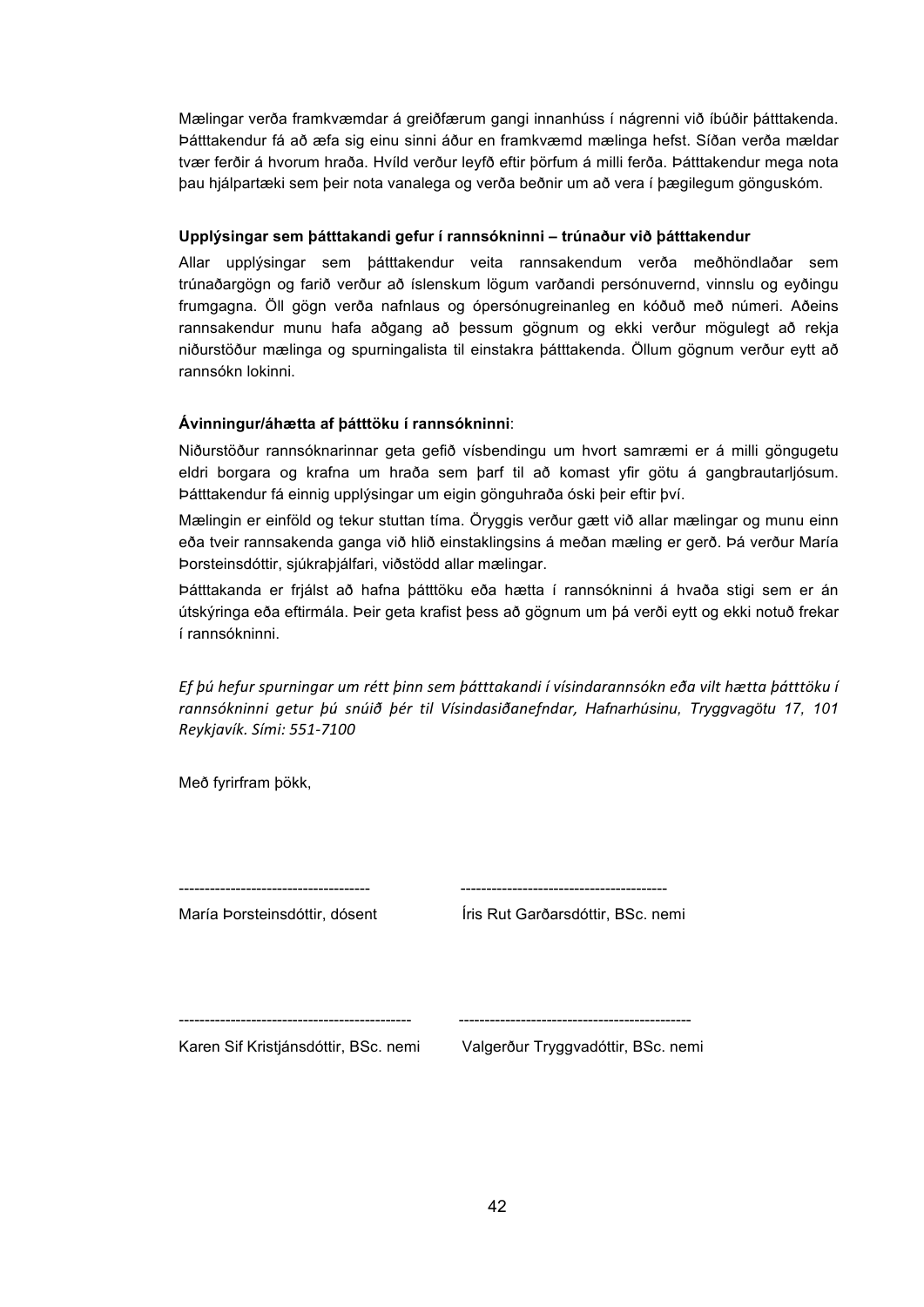Mælingar verða framkvæmdar á greiðfærum gangi innanhúss í nágrenni við íbúðir þátttakenda. Þátttakendur fá að æfa sig einu sinni áður en framkvæmd mælinga hefst. Síðan verða mældar tvær ferðir á hvorum hraða. Hvíld verður leyfð eftir þörfum á milli ferða. Þátttakendur mega nota þau hjálpartæki sem þeir nota vanalega og verða beðnir um að vera í þægilegum gönguskóm.

#### **Upplýsingar sem þátttakandi gefur í rannsókninni – trúnaður við þátttakendur**

Allar upplýsingar sem þátttakendur veita rannsakendum verða meðhöndlaðar sem trúnaðargögn og farið verður að íslenskum lögum varðandi persónuvernd, vinnslu og eyðingu frumgagna. Öll gögn verða nafnlaus og ópersónugreinanleg en kóðuð með númeri. Aðeins rannsakendur munu hafa aðgang að þessum gögnum og ekki verður mögulegt að rekja niðurstöður mælinga og spurningalista til einstakra þátttakenda. Öllum gögnum verður eytt að rannsókn lokinni.

#### **Ávinningur/áhætta af þátttöku í rannsókninni**:

Niðurstöður rannsóknarinnar geta gefið vísbendingu um hvort samræmi er á milli göngugetu eldri borgara og krafna um hraða sem þarf til að komast yfir götu á gangbrautarljósum. Þátttakendur fá einnig upplýsingar um eigin gönguhraða óski þeir eftir því.

Mælingin er einföld og tekur stuttan tíma. Öryggis verður gætt við allar mælingar og munu einn eða tveir rannsakenda ganga við hlið einstaklingsins á meðan mæling er gerð. Þá verður María Þorsteinsdóttir, sjúkraþjálfari, viðstödd allar mælingar.

Þátttakanda er frjálst að hafna þátttöku eða hætta í rannsókninni á hvaða stigi sem er án útskýringa eða eftirmála. Þeir geta krafist þess að gögnum um þá verði eytt og ekki notuð frekar í rannsókninni.

Ef þú hefur spurningar um rétt þinn sem þátttakandi í vísindarannsókn eða vilt hætta þátttöku í *rannsókninni# getur# þú# snúið# þér# til# Vísindasiðanefndar,# Hafnarhúsinu, Tryggvagötu 17, 101 Reykjavík.#Sími:#551G7100*

Með fyrirfram þökk,

| María Þorsteinsdóttir, dósent        | Íris Rut Garðarsdóttir, BSc. nemi  |
|--------------------------------------|------------------------------------|
| Karen Sif Kristjánsdóttir, BSc. nemi | Valgerður Tryggvadóttir, BSc. nemi |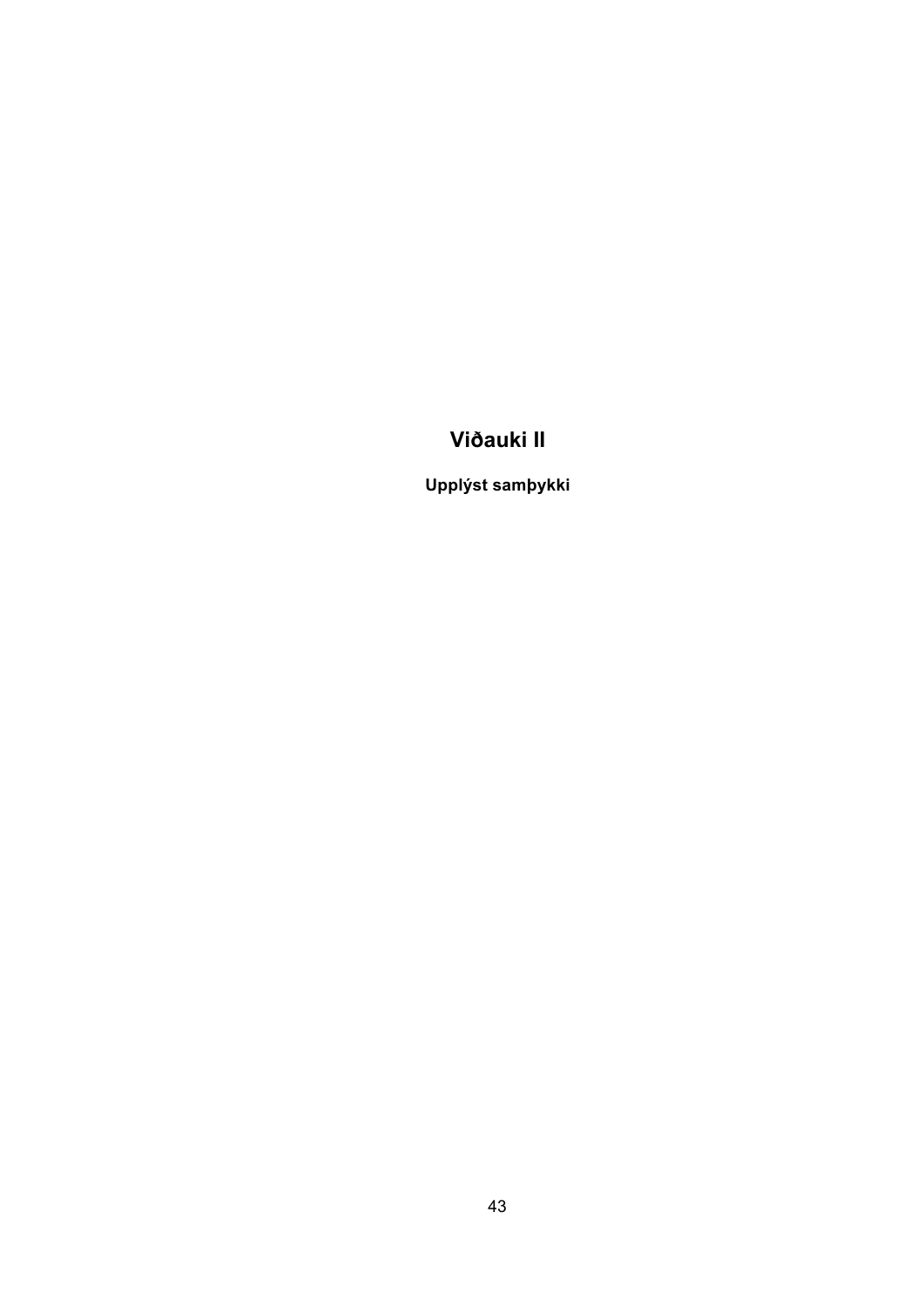# **Viðauki II**

**Upplýst samþykki**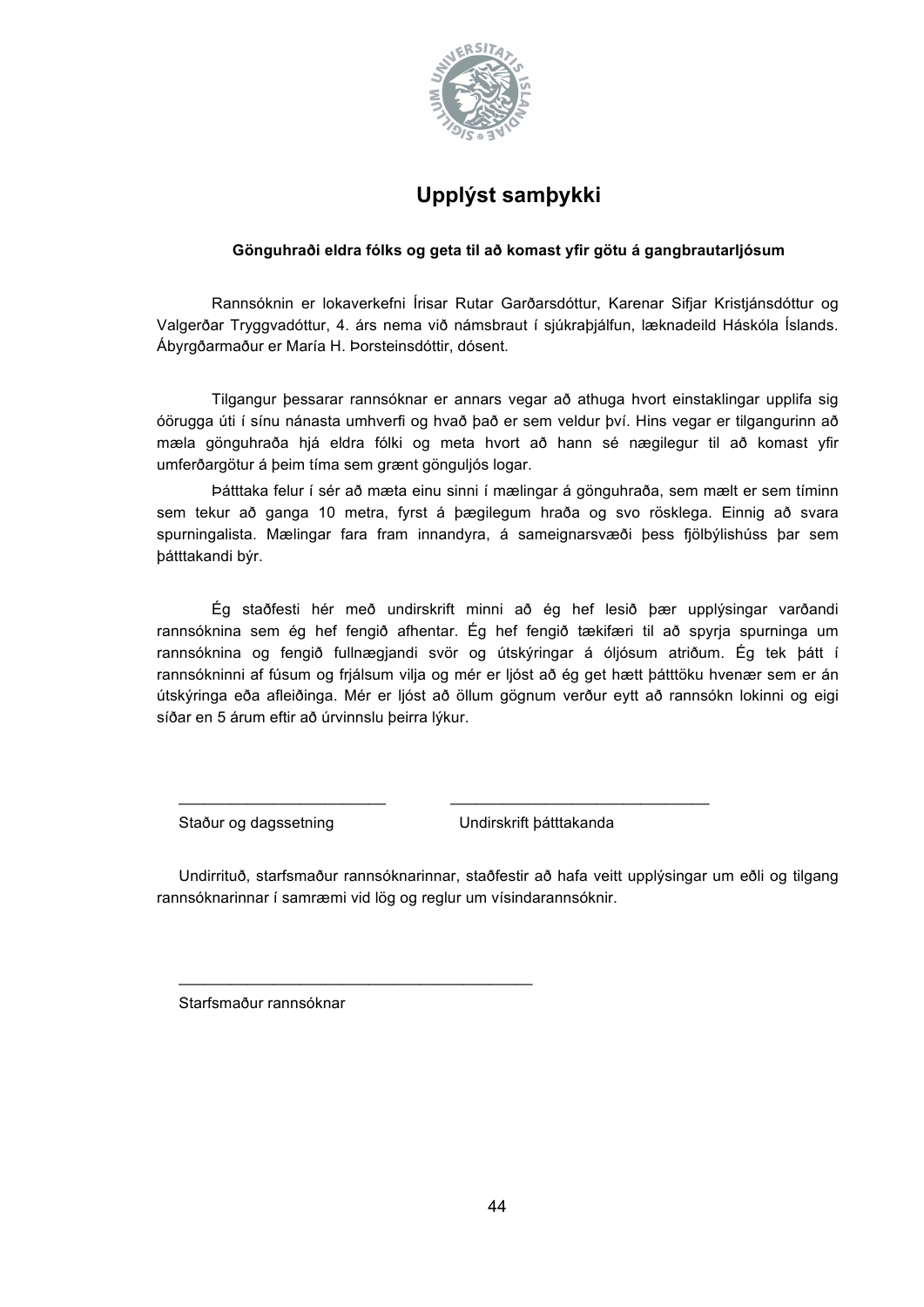

# **Upplýst samþykki**

#### **Gönguhraði eldra fólks og geta til að komast yfir götu á gangbrautarljósum**

Rannsóknin er lokaverkefni Írisar Rutar Garðarsdóttur, Karenar Sifjar Kristjánsdóttur og Valgerðar Tryggvadóttur, 4. árs nema við námsbraut í sjúkraþjálfun, læknadeild Háskóla Íslands. Ábyrgðarmaður er María H. Þorsteinsdóttir, dósent.

Tilgangur þessarar rannsóknar er annars vegar að athuga hvort einstaklingar upplifa sig óörugga úti í sínu nánasta umhverfi og hvað það er sem veldur því. Hins vegar er tilgangurinn að mæla gönguhraða hjá eldra fólki og meta hvort að hann sé nægilegur til að komast yfir umferðargötur á þeim tíma sem grænt gönguljós logar.

Þátttaka felur í sér að mæta einu sinni í mælingar á gönguhraða, sem mælt er sem tíminn sem tekur að ganga 10 metra, fyrst á þægilegum hraða og svo rösklega. Einnig að svara spurningalista. Mælingar fara fram innandyra, á sameignarsvæði þess fjölbýlishúss þar sem þátttakandi býr.

Ég staðfesti hér með undirskrift minni að ég hef lesið þær upplýsingar varðandi rannsóknina sem ég hef fengið afhentar. Ég hef fengið tækifæri til að spyrja spurninga um rannsóknina og fengið fullnægjandi svör og útskýringar á óljósum atriðum. Ég tek þátt í rannsókninni af fúsum og frjálsum vilja og mér er ljóst að ég get hætt þátttöku hvenær sem er án útskýringa eða afleiðinga. Mér er ljóst að öllum gögnum verður eytt að rannsókn lokinni og eigi síðar en 5 árum eftir að úrvinnslu þeirra lýkur.

Staður og dagssetning Vallam Undirskrift þátttakanda

Undirrituð, starfsmaður rannsóknarinnar, staðfestir að hafa veitt upplýsingar um eðli og tilgang rannsóknarinnar í samræmi vid lög og reglur um vísindarannsóknir.

\_\_\_\_\_\_\_\_\_\_\_\_\_\_\_\_\_\_\_\_\_\_\_\_ \_\_\_\_\_\_\_\_\_\_\_\_\_\_\_\_\_\_\_\_\_\_\_\_\_\_\_\_\_\_

Starfsmaður rannsóknar

\_\_\_\_\_\_\_\_\_\_\_\_\_\_\_\_\_\_\_\_\_\_\_\_\_\_\_\_\_\_\_\_\_\_\_\_\_\_\_\_\_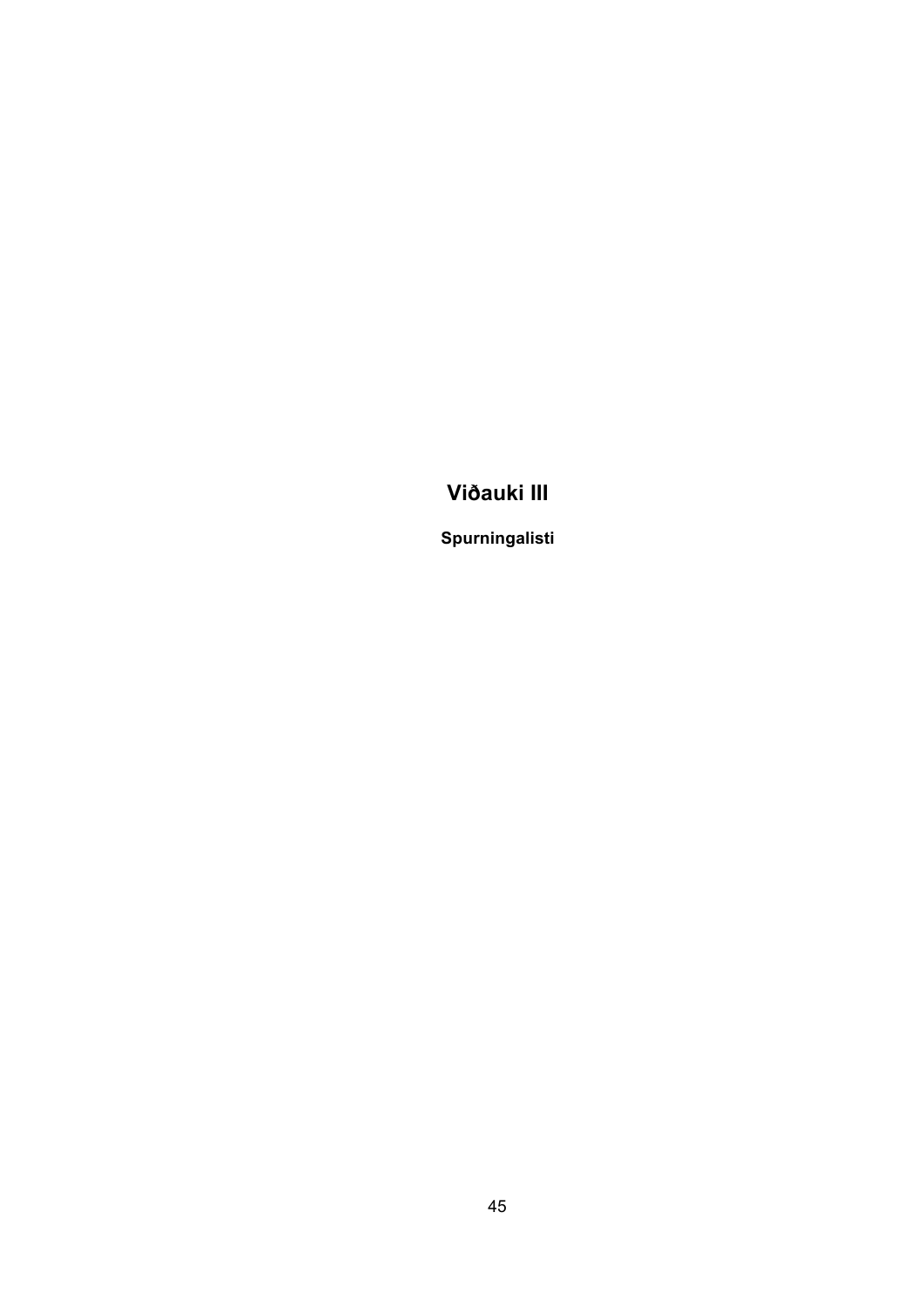# **Viðauki III**

**Spurningalisti**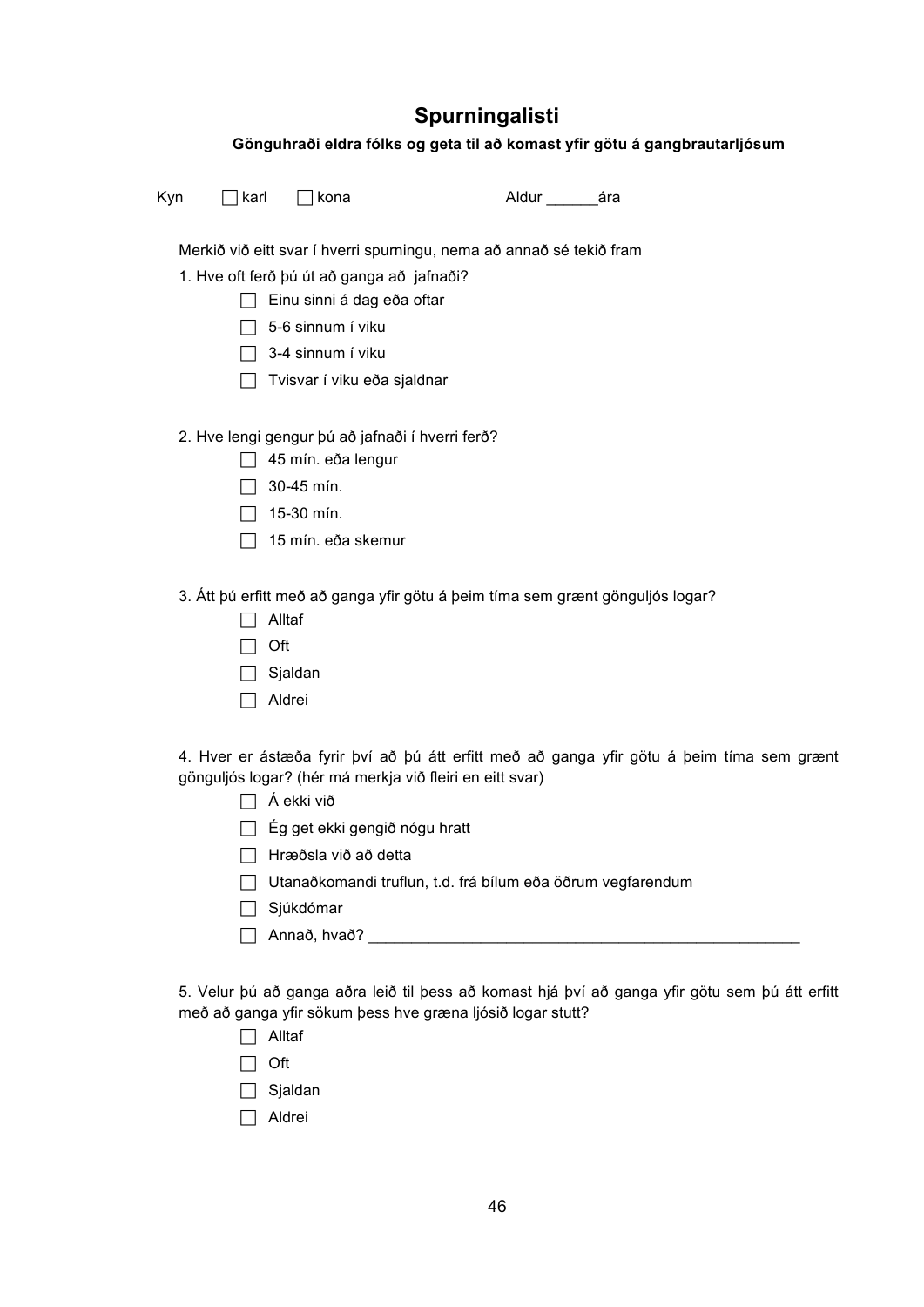# **Spurningalisti**

|     |      |                                                                        |  | Gönguhraði eldra fólks og geta til að komast yfir götu á gangbrautarljósum                     |  |
|-----|------|------------------------------------------------------------------------|--|------------------------------------------------------------------------------------------------|--|
| Kyn | karl | ] kona                                                                 |  |                                                                                                |  |
|     |      | Merkið við eitt svar í hverri spurningu, nema að annað sé tekið fram   |  |                                                                                                |  |
|     |      | 1. Hve oft ferð þú út að ganga að jafnaði?                             |  |                                                                                                |  |
|     |      | Einu sinni á dag eða oftar                                             |  |                                                                                                |  |
|     |      | 5-6 sinnum í viku                                                      |  |                                                                                                |  |
|     |      | 3-4 sinnum í viku                                                      |  |                                                                                                |  |
|     |      | Tvisvar í viku eða sjaldnar                                            |  |                                                                                                |  |
|     |      | 2. Hve lengi gengur þú að jafnaði í hverri ferð?<br>45 mín. eða lengur |  |                                                                                                |  |
|     |      | 30-45 mín.                                                             |  |                                                                                                |  |
|     |      | 15-30 mín.                                                             |  |                                                                                                |  |
|     |      | 15 mín. eða skemur                                                     |  |                                                                                                |  |
|     | Oft  | Alltaf<br>Sjaldan<br>Aldrei                                            |  | 3. Átt þú erfitt með að ganga yfir götu á þeim tíma sem grænt gönguljós logar?                 |  |
|     |      | gönguljós logar? (hér má merkja við fleiri en eitt svar)<br>Á ekki við |  | 4. Hver er ástæða fyrir því að þú átt erfitt með að ganga yfir götu á þeim tíma sem grænt      |  |
|     |      | □ Ég get ekki gengið nógu hratt                                        |  |                                                                                                |  |
|     |      | Hræðsla við að detta                                                   |  |                                                                                                |  |
|     |      | Utanaðkomandi truflun, t.d. frá bílum eða öðrum vegfarendum            |  |                                                                                                |  |
|     |      | Sjúkdómar                                                              |  |                                                                                                |  |
|     |      |                                                                        |  |                                                                                                |  |
|     | Oft  | með að ganga yfir sökum þess hve græna ljósið logar stutt?<br>Alltaf   |  | 5. Velur þú að ganga aðra leið til þess að komast hjá því að ganga yfir götu sem þú átt erfitt |  |
|     |      |                                                                        |  |                                                                                                |  |

- Sjaldan
- Aldrei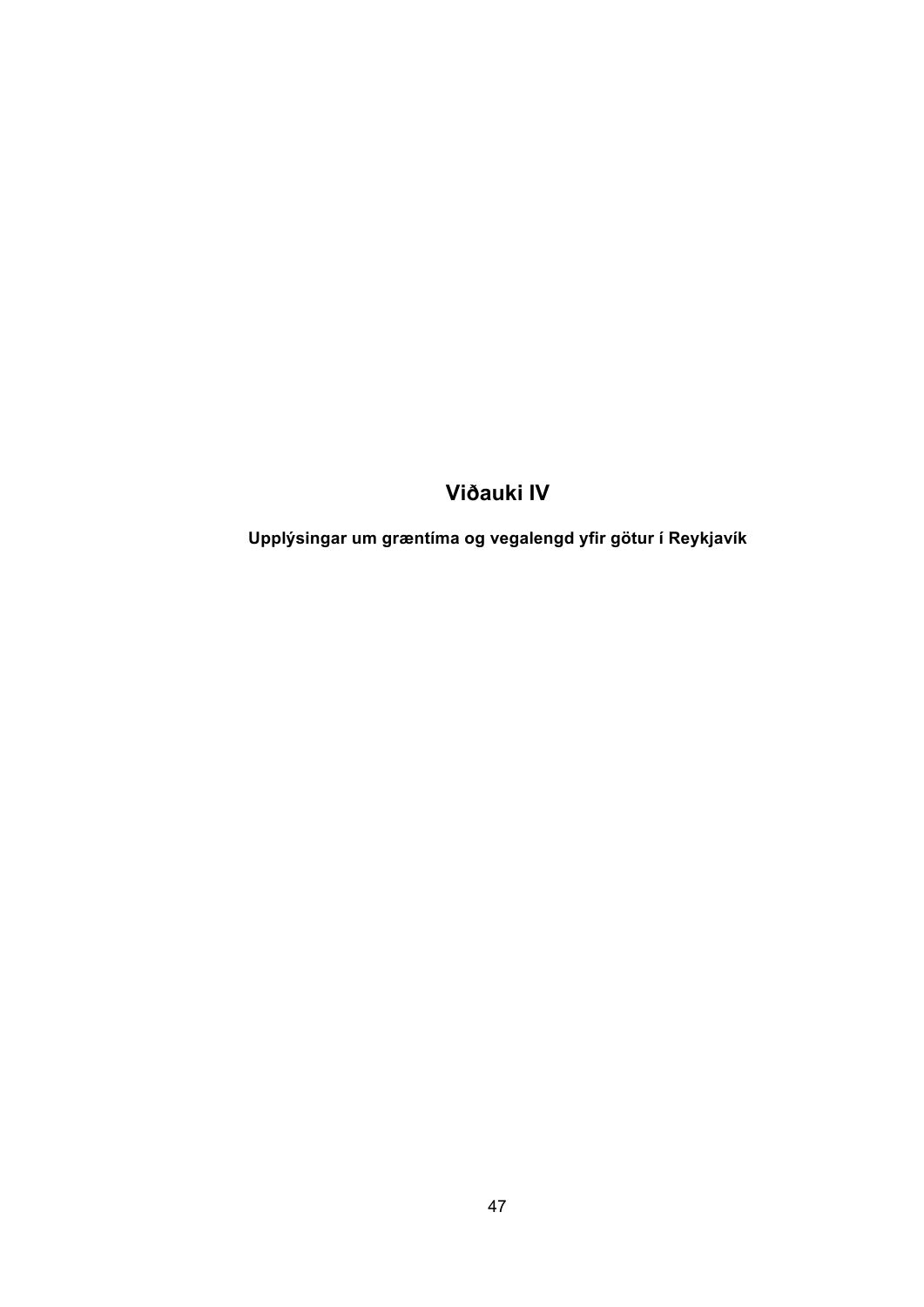## **Viðauki IV**

**Upplýsingar um græntíma og vegalengd yfir götur í Reykjavík**